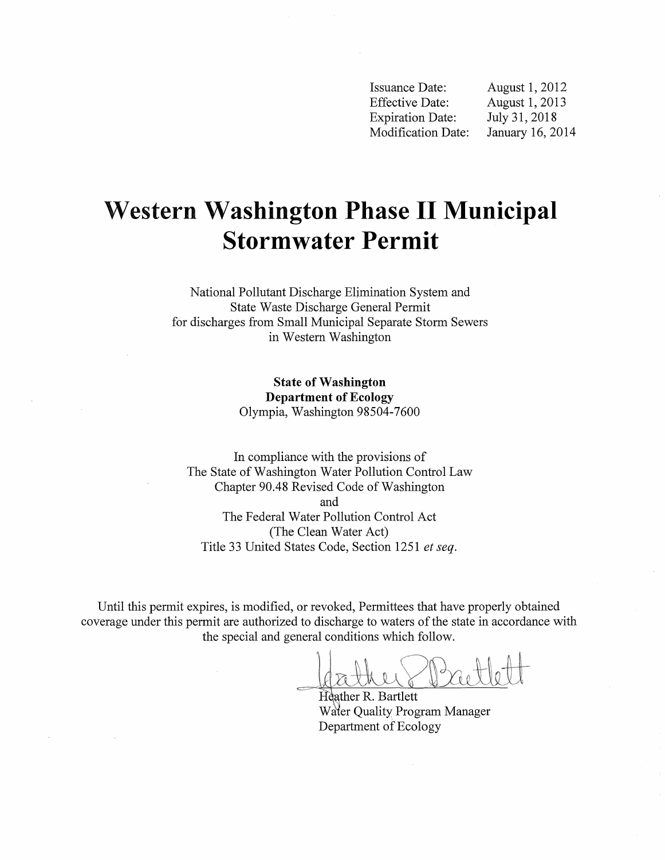Issuance Date: Effective Date: Expiration Date: Modification Date: August 1, 2012 August 1, 2013 July31,2018 January 16, 2014

# **Western Washington Phase II Municipal Stormwater Permit**

National Pollutant Discharge Elimination System and State Waste Discharge General Permit for discharges from Small Municipal Separate Storm Sewers in Western Washington

> **State of Washington Department of Ecology**  Olympia, Washington 98504-7600

In compliance with the provisions of The State of Washington Water Pollution Control Law Chapter 90.48 Revised Code of Washington and The Federal Water Pollution Control Act (The Clean Water Act) Title 33 United States Code, Section 1251 *et seq.* 

Until this permit expires, is modified, or revoked, Permittees that have properly obtained coverage under this permit are authorized to discharge to waters of the state in accordance with the special and general conditions which follow.

Heather R. Bartlett Water Quality Program Manager Department of Ecology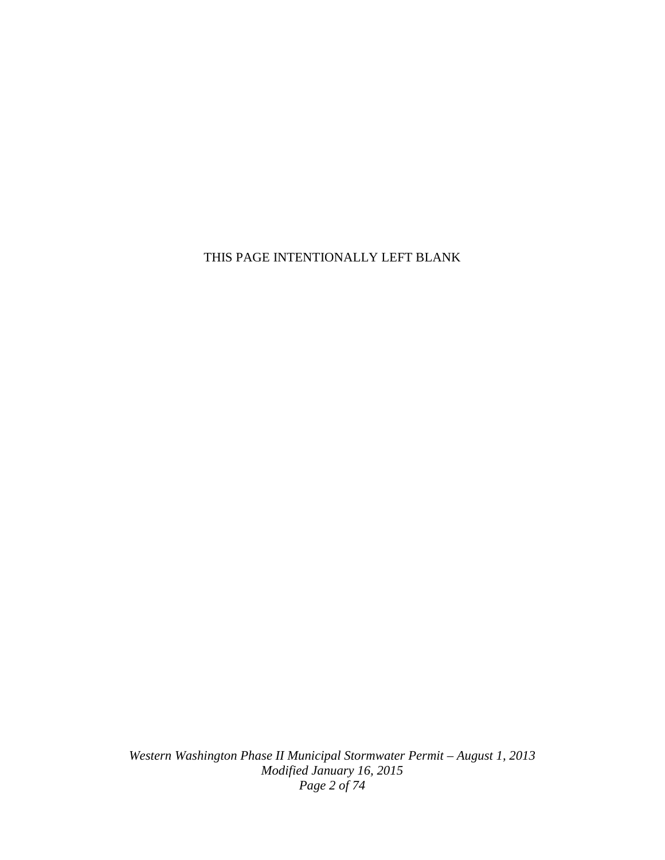THIS PAGE INTENTIONALLY LEFT BLANK

*Western Washington Phase II Municipal Stormwater Permit – August 1, 2013 Modified January 16, 2015 Page 2 of 74*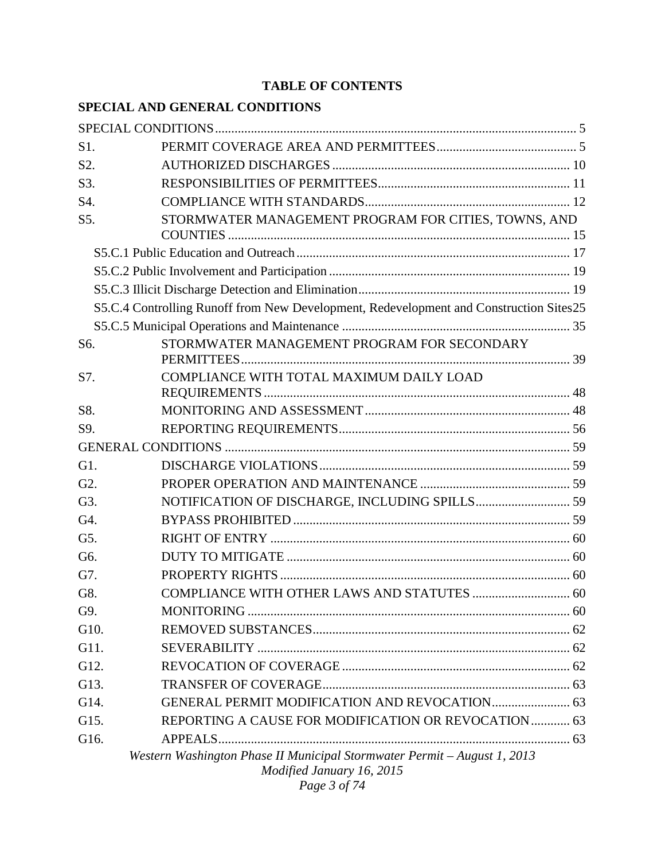# **TABLE OF CONTENTS**

# **SPECIAL AND GENERAL CONDITIONS**

| $S1$ .           |                                                                                                                       |  |
|------------------|-----------------------------------------------------------------------------------------------------------------------|--|
| S <sub>2</sub> . |                                                                                                                       |  |
| S3.              |                                                                                                                       |  |
| S4.              |                                                                                                                       |  |
| S5.              | STORMWATER MANAGEMENT PROGRAM FOR CITIES, TOWNS, AND                                                                  |  |
|                  |                                                                                                                       |  |
|                  |                                                                                                                       |  |
|                  |                                                                                                                       |  |
|                  | S5.C.4 Controlling Runoff from New Development, Redevelopment and Construction Sites25                                |  |
|                  |                                                                                                                       |  |
| S6.              | STORMWATER MANAGEMENT PROGRAM FOR SECONDARY                                                                           |  |
|                  |                                                                                                                       |  |
| S7.              | COMPLIANCE WITH TOTAL MAXIMUM DAILY LOAD                                                                              |  |
| S8.              |                                                                                                                       |  |
| S9.              |                                                                                                                       |  |
|                  |                                                                                                                       |  |
| G1.              |                                                                                                                       |  |
| G <sub>2</sub> . |                                                                                                                       |  |
| G3.              |                                                                                                                       |  |
| G4.              |                                                                                                                       |  |
| G5.              |                                                                                                                       |  |
| G6.              |                                                                                                                       |  |
| G7.              |                                                                                                                       |  |
| G8.              |                                                                                                                       |  |
| G9.              |                                                                                                                       |  |
| G10.             |                                                                                                                       |  |
| G11.             |                                                                                                                       |  |
| G12.             |                                                                                                                       |  |
| G13.             |                                                                                                                       |  |
| G14.             |                                                                                                                       |  |
| G15.             | REPORTING A CAUSE FOR MODIFICATION OR REVOCATION 63                                                                   |  |
| G16.             |                                                                                                                       |  |
|                  | Western Washington Phase II Municipal Stormwater Permit - August 1, 2013<br>Modified January 16, 2015<br>Page 3 of 74 |  |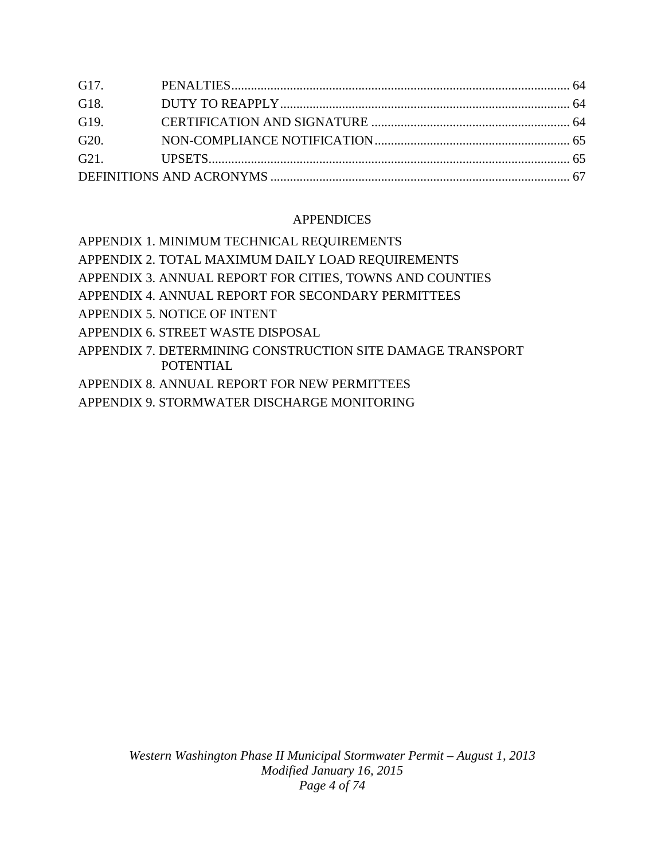| G18. |  |
|------|--|
| G19. |  |
| G20. |  |
|      |  |
|      |  |

## APPENDICES

| APPENDIX 1. MINIMUM TECHNICAL REQUIREMENTS                                     |
|--------------------------------------------------------------------------------|
| APPENDIX 2. TOTAL MAXIMUM DAILY LOAD REQUIREMENTS                              |
| APPENDIX 3. ANNUAL REPORT FOR CITIES, TOWNS AND COUNTIES                       |
| APPENDIX 4. ANNUAL REPORT FOR SECONDARY PERMITTEES                             |
| APPENDIX 5. NOTICE OF INTENT                                                   |
| APPENDIX 6. STREET WASTE DISPOSAL                                              |
| APPENDIX 7. DETERMINING CONSTRUCTION SITE DAMAGE TRANSPORT<br><b>POTENTIAL</b> |
| APPENDIX 8. ANNUAL REPORT FOR NEW PERMITTEES                                   |
| APPENDIX 9. STORMWATER DISCHARGE MONITORING                                    |

*Western Washington Phase II Municipal Stormwater Permit – August 1, 2013 Modified January 16, 2015 Page 4 of 74*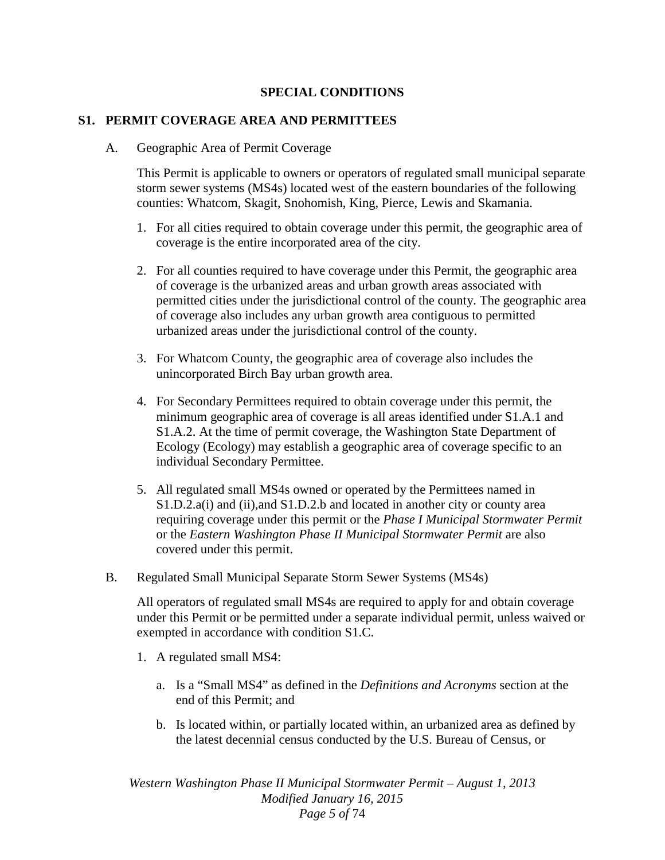## **SPECIAL CONDITIONS**

## <span id="page-4-1"></span><span id="page-4-0"></span>**S1. PERMIT COVERAGE AREA AND PERMITTEES**

#### A. Geographic Area of Permit Coverage

This Permit is applicable to owners or operators of regulated small municipal separate storm sewer systems (MS4s) located west of the eastern boundaries of the following counties: Whatcom, Skagit, Snohomish, King, Pierce, Lewis and Skamania.

- 1. For all cities required to obtain coverage under this permit, the geographic area of coverage is the entire incorporated area of the city.
- 2. For all counties required to have coverage under this Permit, the geographic area of coverage is the urbanized areas and urban growth areas associated with permitted cities under the jurisdictional control of the county. The geographic area of coverage also includes any urban growth area contiguous to permitted urbanized areas under the jurisdictional control of the county.
- 3. For Whatcom County, the geographic area of coverage also includes the unincorporated Birch Bay urban growth area.
- 4. For Secondary Permittees required to obtain coverage under this permit, the minimum geographic area of coverage is all areas identified under S1.A.1 and S1.A.2. At the time of permit coverage, the Washington State Department of Ecology (Ecology) may establish a geographic area of coverage specific to an individual Secondary Permittee.
- 5. All regulated small MS4s owned or operated by the Permittees named in S1.D.2.a(i) and (ii), and S1.D.2.b and located in another city or county area requiring coverage under this permit or the *Phase I Municipal Stormwater Permit* or the *Eastern Washington Phase II Municipal Stormwater Permit* are also covered under this permit.
- B. Regulated Small Municipal Separate Storm Sewer Systems (MS4s)

All operators of regulated small MS4s are required to apply for and obtain coverage under this Permit or be permitted under a separate individual permit, unless waived or exempted in accordance with condition S1.C.

- 1. A regulated small MS4:
	- a. Is a "Small MS4" as defined in the *Definitions and Acronyms* section at the end of this Permit; and
	- b. Is located within, or partially located within, an urbanized area as defined by the latest decennial census conducted by the U.S. Bureau of Census, or

*Western Washington Phase II Municipal Stormwater Permit – August 1, 2013 Modified January 16, 2015 Page 5 of* 74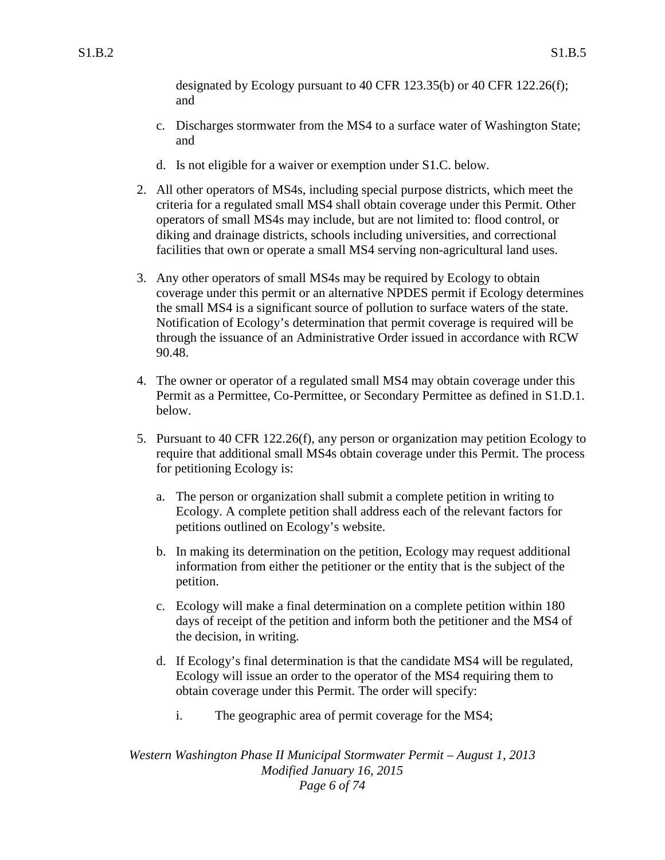designated by Ecology pursuant to 40 CFR 123.35(b) or 40 CFR 122.26(f); and

- c. Discharges stormwater from the MS4 to a surface water of Washington State; and
- d. Is not eligible for a waiver or exemption under S1.C. below.
- 2. All other operators of MS4s, including special purpose districts, which meet the criteria for a regulated small MS4 shall obtain coverage under this Permit. Other operators of small MS4s may include, but are not limited to: flood control, or diking and drainage districts, schools including universities, and correctional facilities that own or operate a small MS4 serving non-agricultural land uses.
- 3. Any other operators of small MS4s may be required by Ecology to obtain coverage under this permit or an alternative NPDES permit if Ecology determines the small MS4 is a significant source of pollution to surface waters of the state. Notification of Ecology's determination that permit coverage is required will be through the issuance of an Administrative Order issued in accordance with RCW 90.48.
- 4. The owner or operator of a regulated small MS4 may obtain coverage under this Permit as a Permittee, Co-Permittee, or Secondary Permittee as defined in S1.D.1. below.
- 5. Pursuant to 40 CFR 122.26(f), any person or organization may petition Ecology to require that additional small MS4s obtain coverage under this Permit. The process for petitioning Ecology is:
	- a. The person or organization shall submit a complete petition in writing to Ecology. A complete petition shall address each of the relevant factors for petitions outlined on Ecology's website.
	- b. In making its determination on the petition, Ecology may request additional information from either the petitioner or the entity that is the subject of the petition.
	- c. Ecology will make a final determination on a complete petition within 180 days of receipt of the petition and inform both the petitioner and the MS4 of the decision, in writing.
	- d. If Ecology's final determination is that the candidate MS4 will be regulated, Ecology will issue an order to the operator of the MS4 requiring them to obtain coverage under this Permit. The order will specify:
		- i. The geographic area of permit coverage for the MS4;

*Western Washington Phase II Municipal Stormwater Permit – August 1, 2013 Modified January 16, 2015 Page 6 of 74*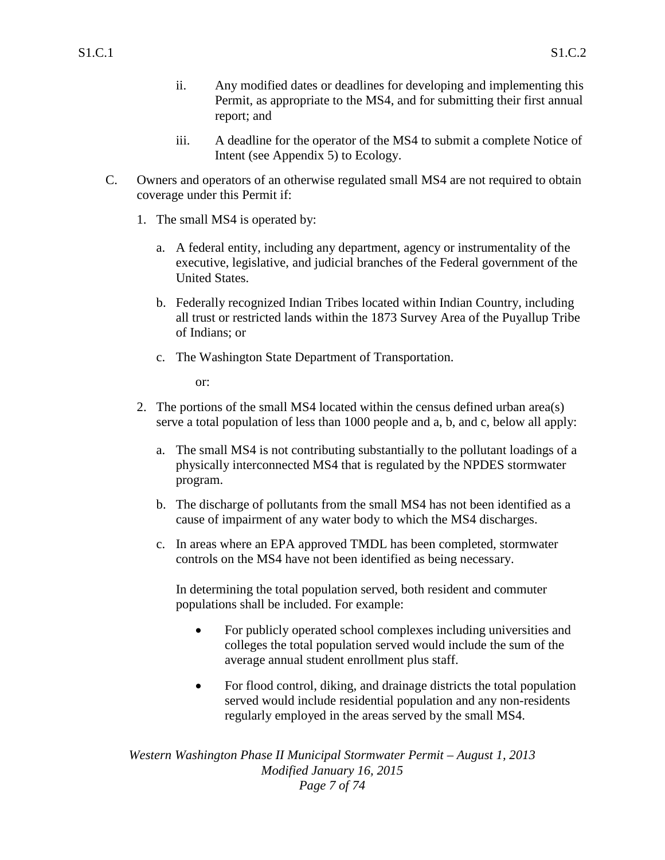- ii. Any modified dates or deadlines for developing and implementing this Permit, as appropriate to the MS4, and for submitting their first annual report; and
- iii. A deadline for the operator of the MS4 to submit a complete Notice of Intent (see Appendix 5) to Ecology.
- C. Owners and operators of an otherwise regulated small MS4 are not required to obtain coverage under this Permit if:
	- 1. The small MS4 is operated by:
		- a. A federal entity, including any department, agency or instrumentality of the executive, legislative, and judicial branches of the Federal government of the United States.
		- b. Federally recognized Indian Tribes located within Indian Country, including all trust or restricted lands within the 1873 Survey Area of the Puyallup Tribe of Indians; or
		- c. The Washington State Department of Transportation.

or:

- 2. The portions of the small MS4 located within the census defined urban area(s) serve a total population of less than 1000 people and a, b, and c, below all apply:
	- a. The small MS4 is not contributing substantially to the pollutant loadings of a physically interconnected MS4 that is regulated by the NPDES stormwater program.
	- b. The discharge of pollutants from the small MS4 has not been identified as a cause of impairment of any water body to which the MS4 discharges.
	- c. In areas where an EPA approved TMDL has been completed, stormwater controls on the MS4 have not been identified as being necessary.

In determining the total population served, both resident and commuter populations shall be included. For example:

- For publicly operated school complexes including universities and colleges the total population served would include the sum of the average annual student enrollment plus staff.
- For flood control, diking, and drainage districts the total population served would include residential population and any non-residents regularly employed in the areas served by the small MS4.

*Western Washington Phase II Municipal Stormwater Permit – August 1, 2013 Modified January 16, 2015 Page 7 of 74*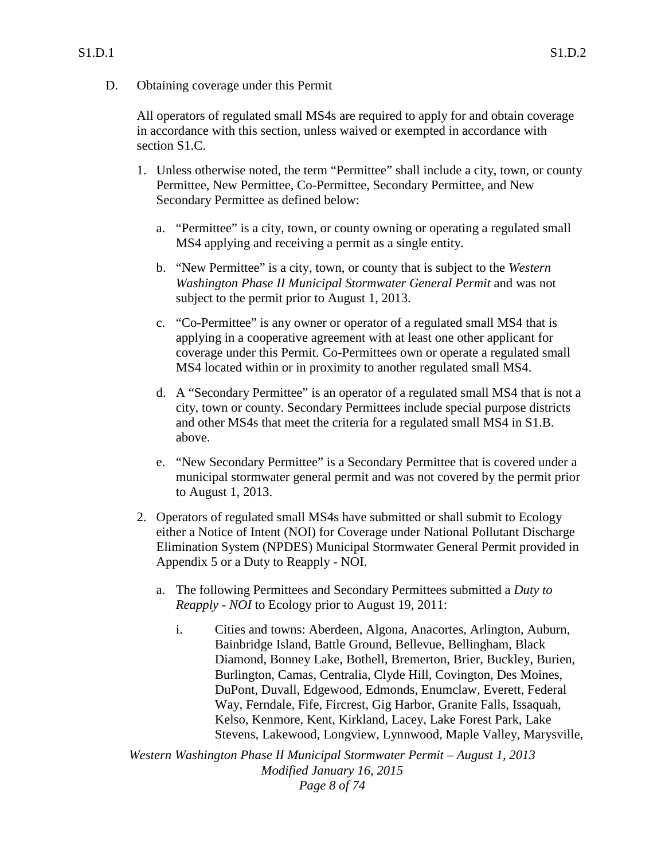D. Obtaining coverage under this Permit

All operators of regulated small MS4s are required to apply for and obtain coverage in accordance with this section, unless waived or exempted in accordance with section S1.C.

- 1. Unless otherwise noted, the term "Permittee" shall include a city, town, or county Permittee, New Permittee, Co-Permittee, Secondary Permittee, and New Secondary Permittee as defined below:
	- a. "Permittee" is a city, town, or county owning or operating a regulated small MS4 applying and receiving a permit as a single entity.
	- b. "New Permittee" is a city, town, or county that is subject to the *Western Washington Phase II Municipal Stormwater General Permit* and was not subject to the permit prior to August 1, 2013.
	- c. "Co-Permittee" is any owner or operator of a regulated small MS4 that is applying in a cooperative agreement with at least one other applicant for coverage under this Permit. Co-Permittees own or operate a regulated small MS4 located within or in proximity to another regulated small MS4.
	- d. A "Secondary Permittee" is an operator of a regulated small MS4 that is not a city, town or county. Secondary Permittees include special purpose districts and other MS4s that meet the criteria for a regulated small MS4 in S1.B. above.
	- e. "New Secondary Permittee" is a Secondary Permittee that is covered under a municipal stormwater general permit and was not covered by the permit prior to August 1, 2013.
- 2. Operators of regulated small MS4s have submitted or shall submit to Ecology either a Notice of Intent (NOI) for Coverage under National Pollutant Discharge Elimination System (NPDES) Municipal Stormwater General Permit provided in Appendix 5 or a Duty to Reapply - NOI.
	- a. The following Permittees and Secondary Permittees submitted a *Duty to Reapply - NOI* to Ecology prior to August 19, 2011:
		- i. Cities and towns: Aberdeen, Algona, Anacortes, Arlington, Auburn, Bainbridge Island, Battle Ground, Bellevue, Bellingham, Black Diamond, Bonney Lake, Bothell, Bremerton, Brier, Buckley, Burien, Burlington, Camas, Centralia, Clyde Hill, Covington, Des Moines, DuPont, Duvall, Edgewood, Edmonds, Enumclaw, Everett, Federal Way, Ferndale, Fife, Fircrest, Gig Harbor, Granite Falls, Issaquah, Kelso, Kenmore, Kent, Kirkland, Lacey, Lake Forest Park, Lake Stevens, Lakewood, Longview, Lynnwood, Maple Valley, Marysville,

*Western Washington Phase II Municipal Stormwater Permit – August 1, 2013 Modified January 16, 2015 Page 8 of 74*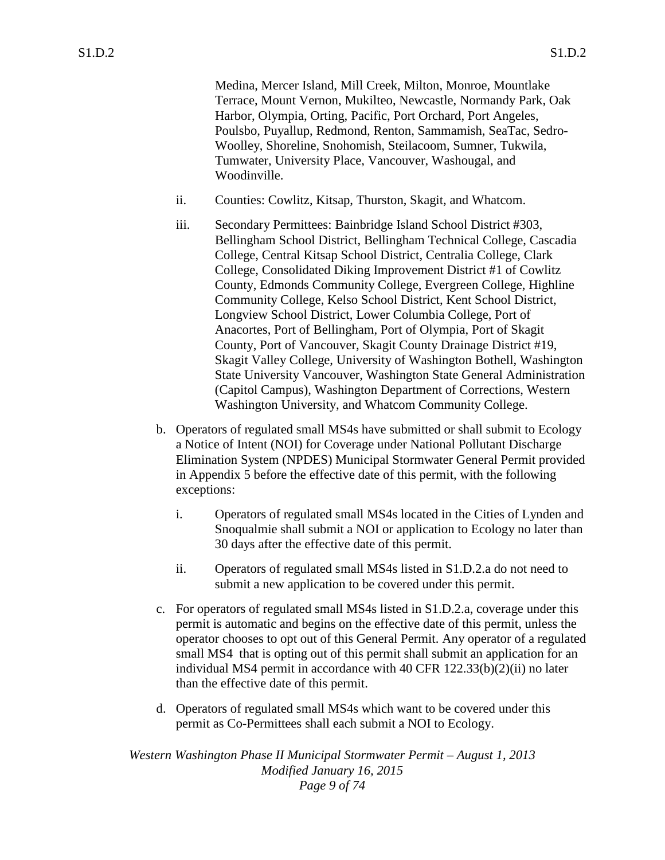Medina, Mercer Island, Mill Creek, Milton, Monroe, Mountlake Terrace, Mount Vernon, Mukilteo, Newcastle, Normandy Park, Oak Harbor, Olympia, Orting, Pacific, Port Orchard, Port Angeles, Poulsbo, Puyallup, Redmond, Renton, Sammamish, SeaTac, Sedro-Woolley, Shoreline, Snohomish, Steilacoom, Sumner, Tukwila, Tumwater, University Place, Vancouver, Washougal, and Woodinville.

- ii. Counties: Cowlitz, Kitsap, Thurston, Skagit, and Whatcom.
- iii. Secondary Permittees: Bainbridge Island School District #303, Bellingham School District, Bellingham Technical College, Cascadia College, Central Kitsap School District, Centralia College, Clark College, Consolidated Diking Improvement District #1 of Cowlitz County, Edmonds Community College, Evergreen College, Highline Community College, Kelso School District, Kent School District, Longview School District, Lower Columbia College, Port of Anacortes, Port of Bellingham, Port of Olympia, Port of Skagit County, Port of Vancouver, Skagit County Drainage District #19, Skagit Valley College, University of Washington Bothell, Washington State University Vancouver, Washington State General Administration (Capitol Campus), Washington Department of Corrections, Western Washington University, and Whatcom Community College.
- b. Operators of regulated small MS4s have submitted or shall submit to Ecology a Notice of Intent (NOI) for Coverage under National Pollutant Discharge Elimination System (NPDES) Municipal Stormwater General Permit provided in Appendix 5 before the effective date of this permit, with the following exceptions:
	- i. Operators of regulated small MS4s located in the Cities of Lynden and Snoqualmie shall submit a NOI or application to Ecology no later than 30 days after the effective date of this permit.
	- ii. Operators of regulated small MS4s listed in S1.D.2.a do not need to submit a new application to be covered under this permit.
- c. For operators of regulated small MS4s listed in S1.D.2.a, coverage under this permit is automatic and begins on the effective date of this permit, unless the operator chooses to opt out of this General Permit. Any operator of a regulated small MS4 that is opting out of this permit shall submit an application for an individual MS4 permit in accordance with 40 CFR 122.33(b)(2)(ii) no later than the effective date of this permit.
- d. Operators of regulated small MS4s which want to be covered under this permit as Co-Permittees shall each submit a NOI to Ecology.

*Western Washington Phase II Municipal Stormwater Permit – August 1, 2013 Modified January 16, 2015 Page 9 of 74*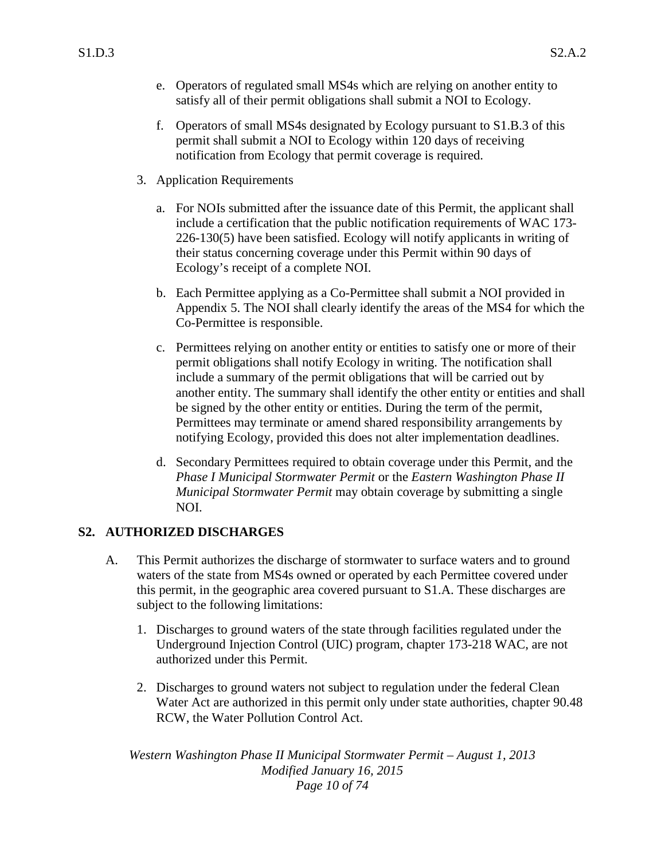- e. Operators of regulated small MS4s which are relying on another entity to satisfy all of their permit obligations shall submit a NOI to Ecology.
- f. Operators of small MS4s designated by Ecology pursuant to S1.B.3 of this permit shall submit a NOI to Ecology within 120 days of receiving notification from Ecology that permit coverage is required.
- 3. Application Requirements
	- a. For NOIs submitted after the issuance date of this Permit, the applicant shall include a certification that the public notification requirements of WAC 173- 226-130(5) have been satisfied. Ecology will notify applicants in writing of their status concerning coverage under this Permit within 90 days of Ecology's receipt of a complete NOI.
	- b. Each Permittee applying as a Co-Permittee shall submit a NOI provided in Appendix 5. The NOI shall clearly identify the areas of the MS4 for which the Co-Permittee is responsible.
	- c. Permittees relying on another entity or entities to satisfy one or more of their permit obligations shall notify Ecology in writing. The notification shall include a summary of the permit obligations that will be carried out by another entity. The summary shall identify the other entity or entities and shall be signed by the other entity or entities. During the term of the permit, Permittees may terminate or amend shared responsibility arrangements by notifying Ecology, provided this does not alter implementation deadlines.
	- d. Secondary Permittees required to obtain coverage under this Permit, and the *Phase I Municipal Stormwater Permit* or the *Eastern Washington Phase II Municipal Stormwater Permit* may obtain coverage by submitting a single NOI.

## <span id="page-9-0"></span>**S2. AUTHORIZED DISCHARGES**

- A. This Permit authorizes the discharge of stormwater to surface waters and to ground waters of the state from MS4s owned or operated by each Permittee covered under this permit, in the geographic area covered pursuant to S1.A. These discharges are subject to the following limitations:
	- 1. Discharges to ground waters of the state through facilities regulated under the Underground Injection Control (UIC) program, chapter 173-218 WAC, are not authorized under this Permit.
	- 2. Discharges to ground waters not subject to regulation under the federal Clean Water Act are authorized in this permit only under state authorities, chapter 90.48 RCW, the Water Pollution Control Act.

*Western Washington Phase II Municipal Stormwater Permit – August 1, 2013 Modified January 16, 2015 Page 10 of 74*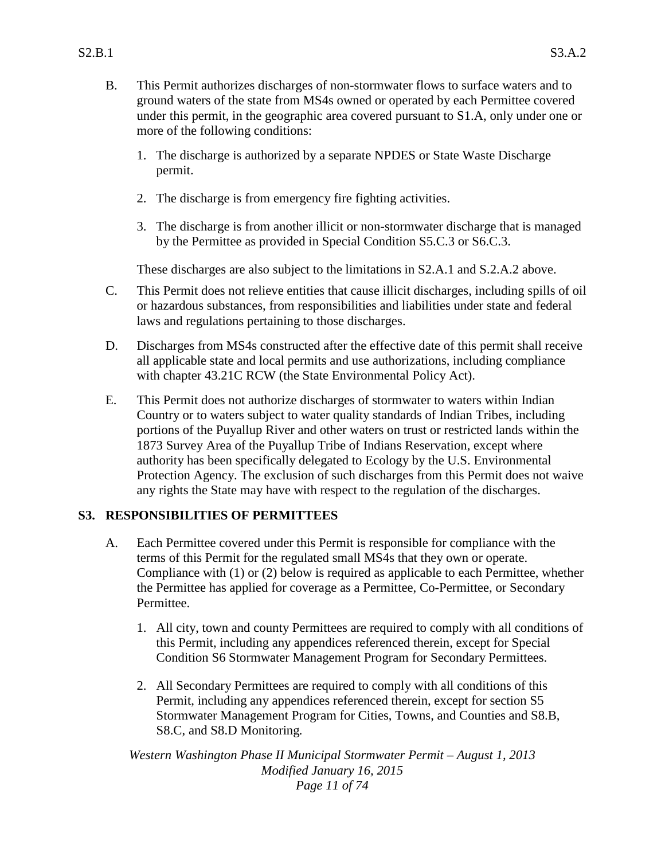- B. This Permit authorizes discharges of non-stormwater flows to surface waters and to ground waters of the state from MS4s owned or operated by each Permittee covered under this permit, in the geographic area covered pursuant to S1.A, only under one or more of the following conditions:
	- 1. The discharge is authorized by a separate NPDES or State Waste Discharge permit.
	- 2. The discharge is from emergency fire fighting activities.
	- 3. The discharge is from another illicit or non-stormwater discharge that is managed by the Permittee as provided in Special Condition S5.C.3 or S6.C.3.

These discharges are also subject to the limitations in S2.A.1 and S.2.A.2 above.

- C. This Permit does not relieve entities that cause illicit discharges, including spills of oil or hazardous substances, from responsibilities and liabilities under state and federal laws and regulations pertaining to those discharges.
- D. Discharges from MS4s constructed after the effective date of this permit shall receive all applicable state and local permits and use authorizations, including compliance with chapter 43.21C RCW (the State Environmental Policy Act).
- E. This Permit does not authorize discharges of stormwater to waters within Indian Country or to waters subject to water quality standards of Indian Tribes, including portions of the Puyallup River and other waters on trust or restricted lands within the 1873 Survey Area of the Puyallup Tribe of Indians Reservation, except where authority has been specifically delegated to Ecology by the U.S. Environmental Protection Agency. The exclusion of such discharges from this Permit does not waive any rights the State may have with respect to the regulation of the discharges.

#### <span id="page-10-0"></span>**S3. RESPONSIBILITIES OF PERMITTEES**

- A. Each Permittee covered under this Permit is responsible for compliance with the terms of this Permit for the regulated small MS4s that they own or operate. Compliance with (1) or (2) below is required as applicable to each Permittee, whether the Permittee has applied for coverage as a Permittee, Co-Permittee, or Secondary Permittee.
	- 1. All city, town and county Permittees are required to comply with all conditions of this Permit, including any appendices referenced therein, except for Special Condition S6 Stormwater Management Program for Secondary Permittees.
	- 2. All Secondary Permittees are required to comply with all conditions of this Permit, including any appendices referenced therein, except for section S5 Stormwater Management Program for Cities, Towns, and Counties and S8.B, S8.C, and S8.D Monitoring*.*

*Western Washington Phase II Municipal Stormwater Permit – August 1, 2013 Modified January 16, 2015 Page 11 of 74*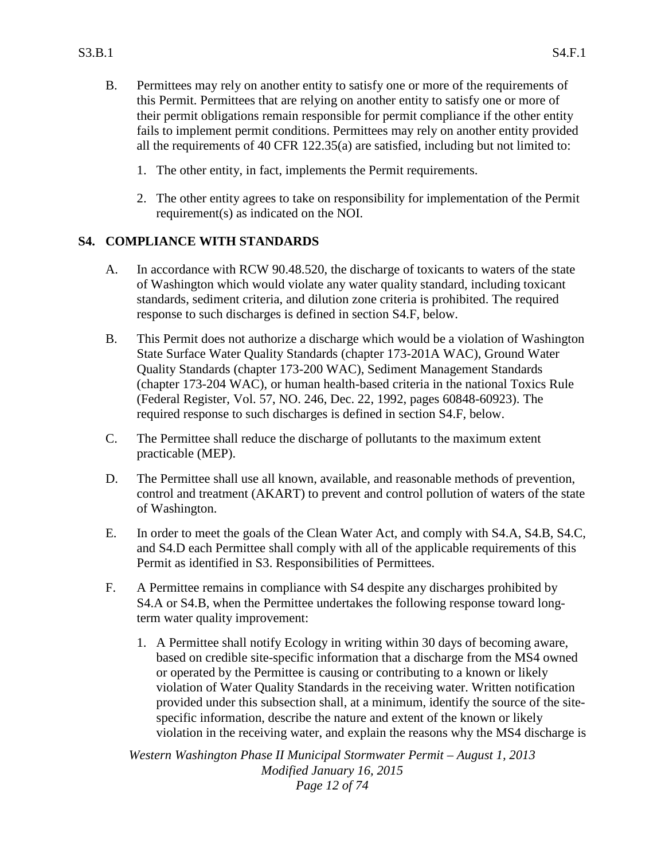- B. Permittees may rely on another entity to satisfy one or more of the requirements of this Permit. Permittees that are relying on another entity to satisfy one or more of their permit obligations remain responsible for permit compliance if the other entity fails to implement permit conditions. Permittees may rely on another entity provided all the requirements of 40 CFR 122.35(a) are satisfied, including but not limited to:
	- 1. The other entity, in fact, implements the Permit requirements.
	- 2. The other entity agrees to take on responsibility for implementation of the Permit requirement(s) as indicated on the NOI.

## <span id="page-11-0"></span>**S4. COMPLIANCE WITH STANDARDS**

- A. In accordance with RCW 90.48.520, the discharge of toxicants to waters of the state of Washington which would violate any water quality standard, including toxicant standards, sediment criteria, and dilution zone criteria is prohibited. The required response to such discharges is defined in section S4.F, below.
- B. This Permit does not authorize a discharge which would be a violation of Washington State Surface Water Quality Standards (chapter 173-201A WAC), Ground Water Quality Standards (chapter 173-200 WAC), Sediment Management Standards (chapter 173-204 WAC), or human health-based criteria in the national Toxics Rule (Federal Register, Vol. 57, NO. 246, Dec. 22, 1992, pages 60848-60923). The required response to such discharges is defined in section S4.F, below.
- C. The Permittee shall reduce the discharge of pollutants to the maximum extent practicable (MEP).
- D. The Permittee shall use all known, available, and reasonable methods of prevention, control and treatment (AKART) to prevent and control pollution of waters of the state of Washington.
- E. In order to meet the goals of the Clean Water Act, and comply with S4.A, S4.B, S4.C, and S4.D each Permittee shall comply with all of the applicable requirements of this Permit as identified in S3. Responsibilities of Permittees.
- F. A Permittee remains in compliance with S4 despite any discharges prohibited by S4.A or S4.B, when the Permittee undertakes the following response toward longterm water quality improvement:
	- 1. A Permittee shall notify Ecology in writing within 30 days of becoming aware, based on credible site-specific information that a discharge from the MS4 owned or operated by the Permittee is causing or contributing to a known or likely violation of Water Quality Standards in the receiving water. Written notification provided under this subsection shall, at a minimum, identify the source of the sitespecific information, describe the nature and extent of the known or likely violation in the receiving water, and explain the reasons why the MS4 discharge is

*Western Washington Phase II Municipal Stormwater Permit – August 1, 2013 Modified January 16, 2015 Page 12 of 74*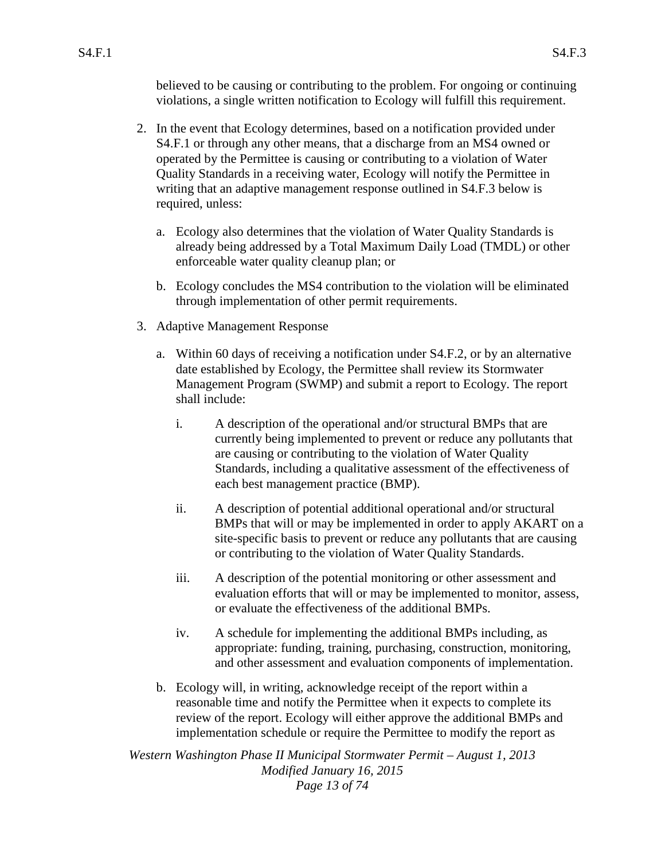believed to be causing or contributing to the problem. For ongoing or continuing violations, a single written notification to Ecology will fulfill this requirement.

- 2. In the event that Ecology determines, based on a notification provided under S4.F.1 or through any other means, that a discharge from an MS4 owned or operated by the Permittee is causing or contributing to a violation of Water Quality Standards in a receiving water, Ecology will notify the Permittee in writing that an adaptive management response outlined in S4.F.3 below is required, unless:
	- a. Ecology also determines that the violation of Water Quality Standards is already being addressed by a Total Maximum Daily Load (TMDL) or other enforceable water quality cleanup plan; or
	- b. Ecology concludes the MS4 contribution to the violation will be eliminated through implementation of other permit requirements.
- 3. Adaptive Management Response
	- a. Within 60 days of receiving a notification under S4.F.2, or by an alternative date established by Ecology, the Permittee shall review its Stormwater Management Program (SWMP) and submit a report to Ecology. The report shall include:
		- i. A description of the operational and/or structural BMPs that are currently being implemented to prevent or reduce any pollutants that are causing or contributing to the violation of Water Quality Standards, including a qualitative assessment of the effectiveness of each best management practice (BMP).
		- ii. A description of potential additional operational and/or structural BMPs that will or may be implemented in order to apply AKART on a site-specific basis to prevent or reduce any pollutants that are causing or contributing to the violation of Water Quality Standards.
		- iii. A description of the potential monitoring or other assessment and evaluation efforts that will or may be implemented to monitor, assess, or evaluate the effectiveness of the additional BMPs.
		- iv. A schedule for implementing the additional BMPs including, as appropriate: funding, training, purchasing, construction, monitoring, and other assessment and evaluation components of implementation.
	- b. Ecology will, in writing, acknowledge receipt of the report within a reasonable time and notify the Permittee when it expects to complete its review of the report. Ecology will either approve the additional BMPs and implementation schedule or require the Permittee to modify the report as

*Western Washington Phase II Municipal Stormwater Permit – August 1, 2013 Modified January 16, 2015 Page 13 of 74*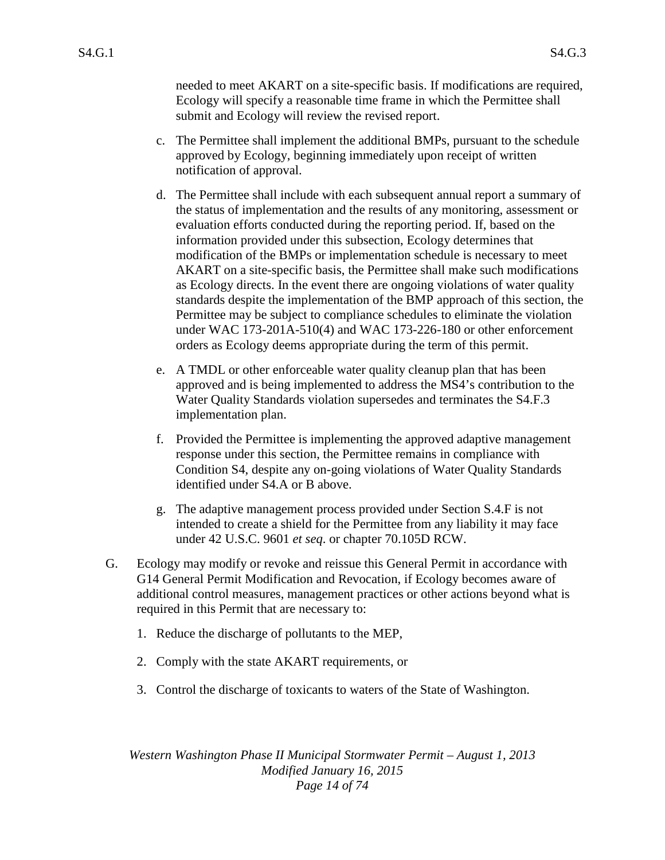needed to meet AKART on a site-specific basis. If modifications are required, Ecology will specify a reasonable time frame in which the Permittee shall submit and Ecology will review the revised report.

- c. The Permittee shall implement the additional BMPs, pursuant to the schedule approved by Ecology, beginning immediately upon receipt of written notification of approval.
- d. The Permittee shall include with each subsequent annual report a summary of the status of implementation and the results of any monitoring, assessment or evaluation efforts conducted during the reporting period. If, based on the information provided under this subsection, Ecology determines that modification of the BMPs or implementation schedule is necessary to meet AKART on a site-specific basis, the Permittee shall make such modifications as Ecology directs. In the event there are ongoing violations of water quality standards despite the implementation of the BMP approach of this section, the Permittee may be subject to compliance schedules to eliminate the violation under WAC 173-201A-510(4) and WAC 173-226-180 or other enforcement orders as Ecology deems appropriate during the term of this permit.
- e. A TMDL or other enforceable water quality cleanup plan that has been approved and is being implemented to address the MS4's contribution to the Water Quality Standards violation supersedes and terminates the S4.F.3 implementation plan.
- f. Provided the Permittee is implementing the approved adaptive management response under this section, the Permittee remains in compliance with Condition S4, despite any on-going violations of Water Quality Standards identified under S4.A or B above.
- g. The adaptive management process provided under Section S.4.F is not intended to create a shield for the Permittee from any liability it may face under 42 U.S.C. 9601 *et seq*. or chapter 70.105D RCW.
- G. Ecology may modify or revoke and reissue this General Permit in accordance with G14 General Permit Modification and Revocation, if Ecology becomes aware of additional control measures, management practices or other actions beyond what is required in this Permit that are necessary to:
	- 1. Reduce the discharge of pollutants to the MEP,
	- 2. Comply with the state AKART requirements, or
	- 3. Control the discharge of toxicants to waters of the State of Washington.

*Western Washington Phase II Municipal Stormwater Permit – August 1, 2013 Modified January 16, 2015 Page 14 of 74*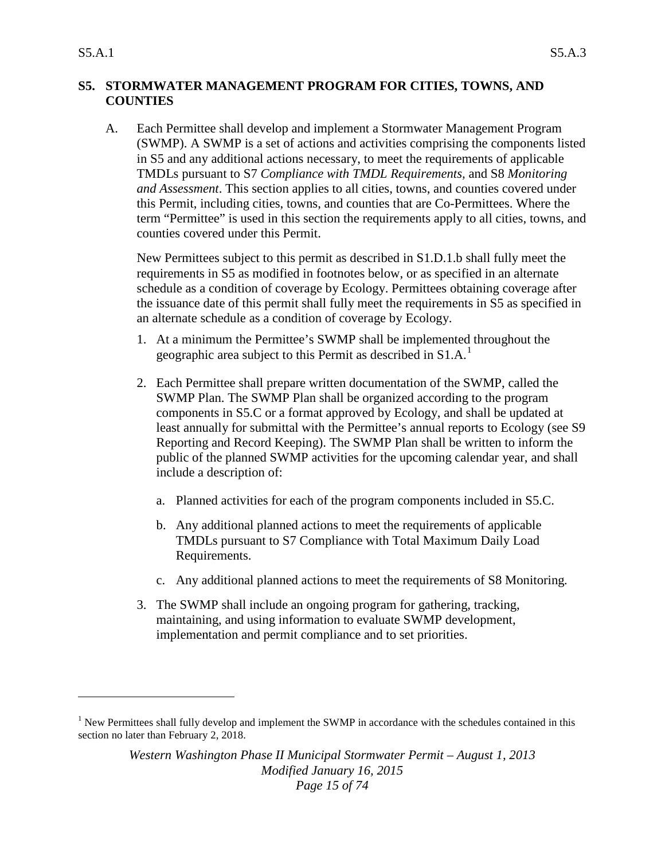## <span id="page-14-0"></span>**S5. STORMWATER MANAGEMENT PROGRAM FOR CITIES, TOWNS, AND COUNTIES**

A. Each Permittee shall develop and implement a Stormwater Management Program (SWMP). A SWMP is a set of actions and activities comprising the components listed in S5 and any additional actions necessary, to meet the requirements of applicable TMDLs pursuant to S7 *Compliance with TMDL Requirements,* and S8 *Monitoring and Assessment*. This section applies to all cities, towns, and counties covered under this Permit, including cities, towns, and counties that are Co-Permittees. Where the term "Permittee" is used in this section the requirements apply to all cities, towns, and counties covered under this Permit.

New Permittees subject to this permit as described in S1.D.1.b shall fully meet the requirements in S5 as modified in footnotes below, or as specified in an alternate schedule as a condition of coverage by Ecology. Permittees obtaining coverage after the issuance date of this permit shall fully meet the requirements in S5 as specified in an alternate schedule as a condition of coverage by Ecology.

- 1. At a minimum the Permittee's SWMP shall be implemented throughout the geographic area subject to this Permit as described in  $S1.A.<sup>1</sup>$  $S1.A.<sup>1</sup>$  $S1.A.<sup>1</sup>$
- 2. Each Permittee shall prepare written documentation of the SWMP, called the SWMP Plan. The SWMP Plan shall be organized according to the program components in S5.C or a format approved by Ecology, and shall be updated at least annually for submittal with the Permittee's annual reports to Ecology (see S9 Reporting and Record Keeping). The SWMP Plan shall be written to inform the public of the planned SWMP activities for the upcoming calendar year, and shall include a description of:
	- a. Planned activities for each of the program components included in S5.C.
	- b. Any additional planned actions to meet the requirements of applicable TMDLs pursuant to S7 Compliance with Total Maximum Daily Load Requirements.
	- c. Any additional planned actions to meet the requirements of S8 Monitoring*.*
- 3. The SWMP shall include an ongoing program for gathering, tracking, maintaining, and using information to evaluate SWMP development, implementation and permit compliance and to set priorities.

<span id="page-14-1"></span><sup>&</sup>lt;sup>1</sup> New Permittees shall fully develop and implement the SWMP in accordance with the schedules contained in this section no later than February 2, 2018.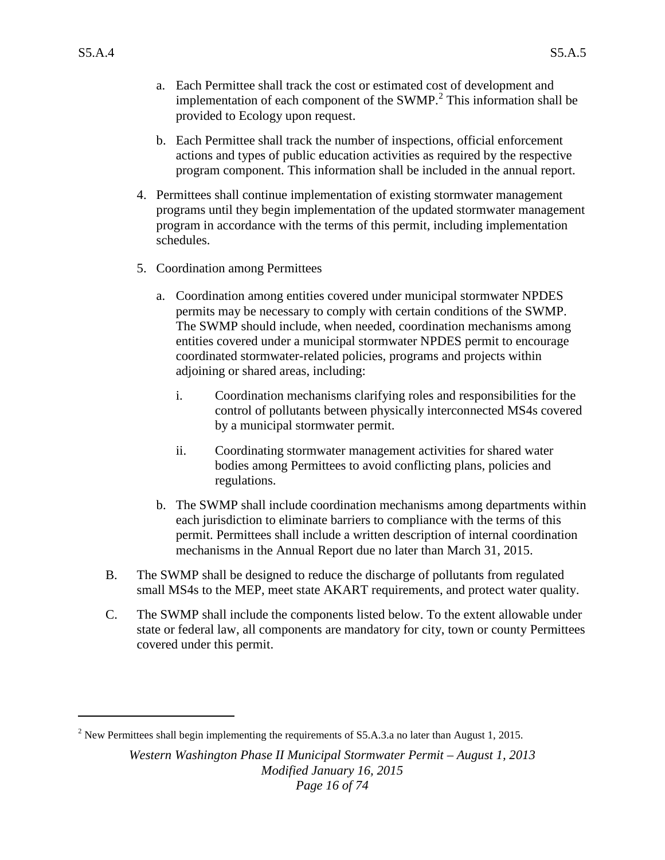- a. Each Permittee shall track the cost or estimated cost of development and implementation of each component of the SWMP.<sup>[2](#page-15-0)</sup> This information shall be provided to Ecology upon request.
- b. Each Permittee shall track the number of inspections, official enforcement actions and types of public education activities as required by the respective program component. This information shall be included in the annual report.
- 4. Permittees shall continue implementation of existing stormwater management programs until they begin implementation of the updated stormwater management program in accordance with the terms of this permit, including implementation schedules.
- 5. Coordination among Permittees
	- a. Coordination among entities covered under municipal stormwater NPDES permits may be necessary to comply with certain conditions of the SWMP. The SWMP should include, when needed, coordination mechanisms among entities covered under a municipal stormwater NPDES permit to encourage coordinated stormwater-related policies, programs and projects within adjoining or shared areas, including:
		- i. Coordination mechanisms clarifying roles and responsibilities for the control of pollutants between physically interconnected MS4s covered by a municipal stormwater permit.
		- ii. Coordinating stormwater management activities for shared water bodies among Permittees to avoid conflicting plans, policies and regulations.
	- b. The SWMP shall include coordination mechanisms among departments within each jurisdiction to eliminate barriers to compliance with the terms of this permit. Permittees shall include a written description of internal coordination mechanisms in the Annual Report due no later than March 31, 2015.
- B. The SWMP shall be designed to reduce the discharge of pollutants from regulated small MS4s to the MEP, meet state AKART requirements, and protect water quality.
- C. The SWMP shall include the components listed below. To the extent allowable under state or federal law, all components are mandatory for city, town or county Permittees covered under this permit.

<span id="page-15-0"></span><sup>&</sup>lt;sup>2</sup> New Permittees shall begin implementing the requirements of S5.A.3.a no later than August 1, 2015.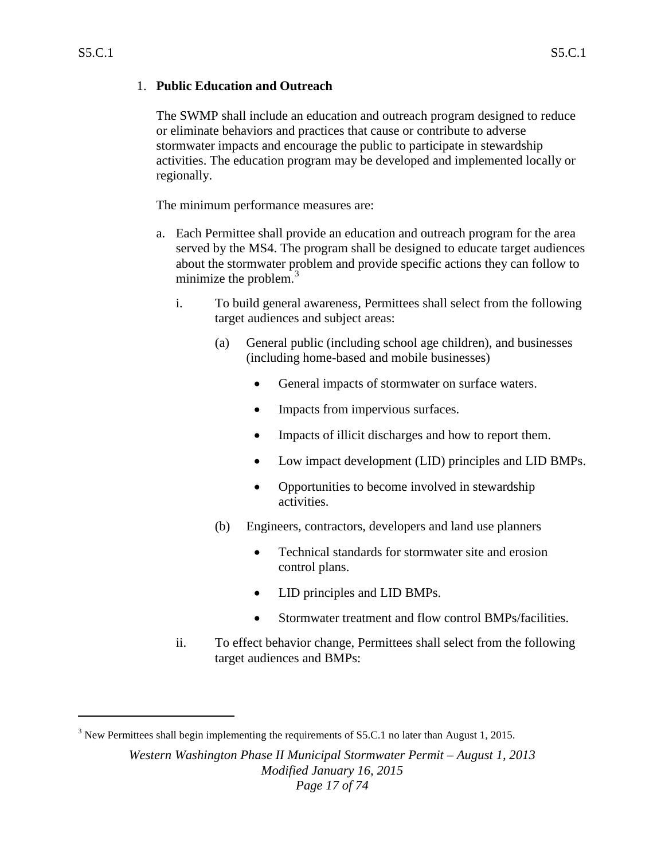## 1. **Public Education and Outreach**

<span id="page-16-0"></span>The SWMP shall include an education and outreach program designed to reduce or eliminate behaviors and practices that cause or contribute to adverse stormwater impacts and encourage the public to participate in stewardship activities. The education program may be developed and implemented locally or regionally.

The minimum performance measures are:

- a. Each Permittee shall provide an education and outreach program for the area served by the MS4. The program shall be designed to educate target audiences about the stormwater problem and provide specific actions they can follow to minimize the problem.<sup>[3](#page-16-1)</sup>
	- i. To build general awareness, Permittees shall select from the following target audiences and subject areas:
		- (a) General public (including school age children), and businesses (including home-based and mobile businesses)
			- General impacts of stormwater on surface waters.
			- Impacts from impervious surfaces.
			- Impacts of illicit discharges and how to report them.
			- Low impact development (LID) principles and LID BMPs.
			- Opportunities to become involved in stewardship activities.
		- (b) Engineers, contractors, developers and land use planners
			- Technical standards for stormwater site and erosion control plans.
			- LID principles and LID BMPs.
			- Stormwater treatment and flow control BMPs/facilities.
	- ii. To effect behavior change, Permittees shall select from the following target audiences and BMPs:

<span id="page-16-1"></span><sup>&</sup>lt;sup>3</sup> New Permittees shall begin implementing the requirements of S5.C.1 no later than August 1, 2015.

*Western Washington Phase II Municipal Stormwater Permit – August 1, 2013 Modified January 16, 2015 Page 17 of 74*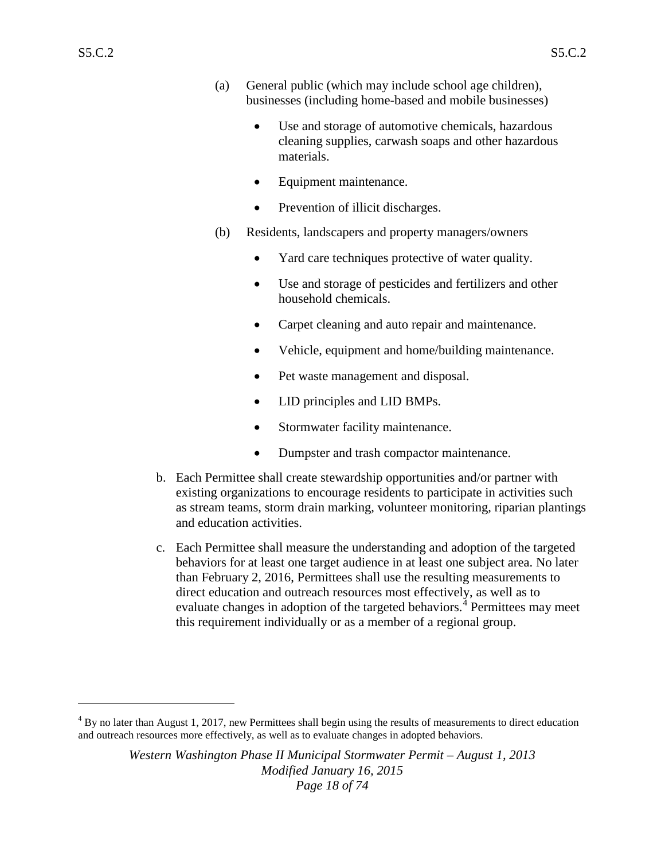- (a) General public (which may include school age children), businesses (including home-based and mobile businesses)
	- Use and storage of automotive chemicals, hazardous cleaning supplies, carwash soaps and other hazardous materials.
	- Equipment maintenance.
	- Prevention of illicit discharges.
- (b) Residents, landscapers and property managers/owners
	- Yard care techniques protective of water quality.
	- Use and storage of pesticides and fertilizers and other household chemicals.
	- Carpet cleaning and auto repair and maintenance.
	- Vehicle, equipment and home/building maintenance.
	- Pet waste management and disposal.
	- LID principles and LID BMPs.
	- Stormwater facility maintenance.
	- Dumpster and trash compactor maintenance.
- b. Each Permittee shall create stewardship opportunities and/or partner with existing organizations to encourage residents to participate in activities such as stream teams, storm drain marking, volunteer monitoring, riparian plantings and education activities.
- c. Each Permittee shall measure the understanding and adoption of the targeted behaviors for at least one target audience in at least one subject area. No later than February 2, 2016, Permittees shall use the resulting measurements to direct education and outreach resources most effectively, as well as to evaluate changes in adoption of the targeted behaviors.<sup>[4](#page-17-0)</sup> Permittees may meet this requirement individually or as a member of a regional group.

<span id="page-17-0"></span><sup>&</sup>lt;sup>4</sup> By no later than August 1, 2017, new Permittees shall begin using the results of measurements to direct education and outreach resources more effectively, as well as to evaluate changes in adopted behaviors.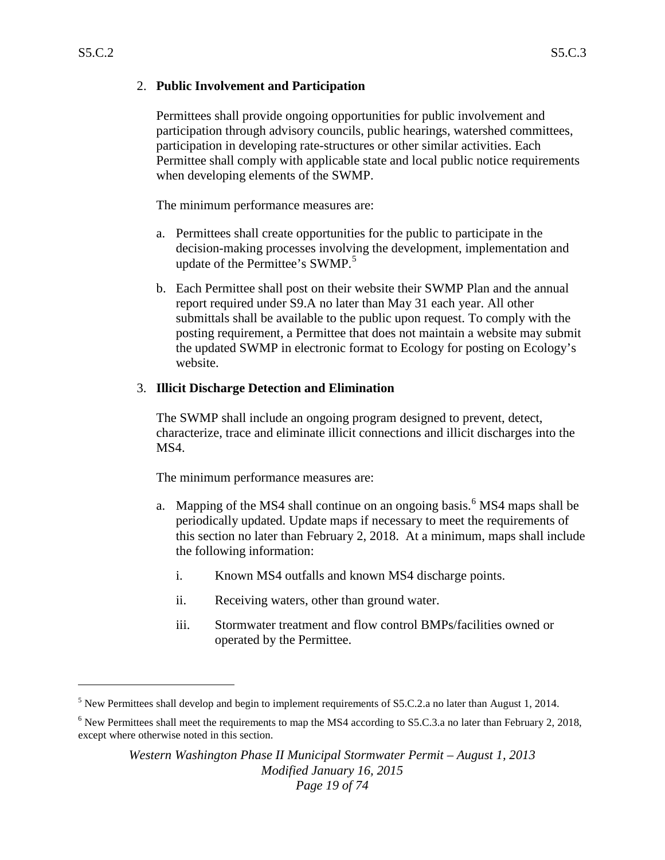## 2. **Public Involvement and Participation**

<span id="page-18-0"></span>Permittees shall provide ongoing opportunities for public involvement and participation through advisory councils, public hearings, watershed committees, participation in developing rate-structures or other similar activities. Each Permittee shall comply with applicable state and local public notice requirements when developing elements of the SWMP.

The minimum performance measures are:

- a. Permittees shall create opportunities for the public to participate in the decision-making processes involving the development, implementation and update of the Permittee's SWMP.<sup>[5](#page-18-2)</sup>
- b. Each Permittee shall post on their website their SWMP Plan and the annual report required under S9.A no later than May 31 each year. All other submittals shall be available to the public upon request. To comply with the posting requirement, a Permittee that does not maintain a website may submit the updated SWMP in electronic format to Ecology for posting on Ecology's website.

## 3. **Illicit Discharge Detection and Elimination**

<span id="page-18-1"></span>The SWMP shall include an ongoing program designed to prevent, detect, characterize, trace and eliminate illicit connections and illicit discharges into the MS4.

The minimum performance measures are:

- a. Mapping of the MS4 shall continue on an ongoing basis.<sup>[6](#page-18-3)</sup> MS4 maps shall be periodically updated. Update maps if necessary to meet the requirements of this section no later than February 2, 2018. At a minimum, maps shall include the following information:
	- i. Known MS4 outfalls and known MS4 discharge points.
	- ii. Receiving waters, other than ground water.
	- iii. Stormwater treatment and flow control BMPs/facilities owned or operated by the Permittee.

*Western Washington Phase II Municipal Stormwater Permit – August 1, 2013 Modified January 16, 2015 Page 19 of 74*

<span id="page-18-2"></span><sup>5</sup> New Permittees shall develop and begin to implement requirements of S5.C.2.a no later than August 1, 2014.

<span id="page-18-3"></span><sup>&</sup>lt;sup>6</sup> New Permittees shall meet the requirements to map the MS4 according to S5.C.3.a no later than February 2, 2018, except where otherwise noted in this section.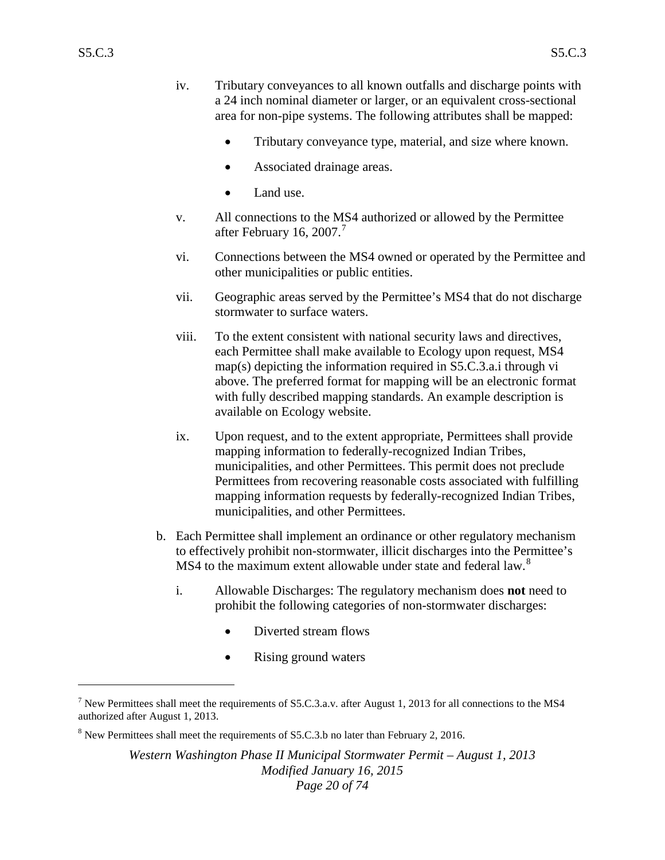- iv. Tributary conveyances to all known outfalls and discharge points with a 24 inch nominal diameter or larger, or an equivalent cross-sectional area for non-pipe systems. The following attributes shall be mapped:
	- Tributary conveyance type, material, and size where known.
	- Associated drainage areas.
	- Land use.
- v. All connections to the MS4 authorized or allowed by the Permittee after February 16, 200[7](#page-19-0). $'$
- vi. Connections between the MS4 owned or operated by the Permittee and other municipalities or public entities.
- vii. Geographic areas served by the Permittee's MS4 that do not discharge stormwater to surface waters.
- viii. To the extent consistent with national security laws and directives, each Permittee shall make available to Ecology upon request, MS4 map(s) depicting the information required in S5.C.3.a.i through vi above. The preferred format for mapping will be an electronic format with fully described mapping standards. An example description is available on Ecology website.
- ix. Upon request, and to the extent appropriate, Permittees shall provide mapping information to federally-recognized Indian Tribes, municipalities, and other Permittees. This permit does not preclude Permittees from recovering reasonable costs associated with fulfilling mapping information requests by federally-recognized Indian Tribes, municipalities, and other Permittees.
- b. Each Permittee shall implement an ordinance or other regulatory mechanism to effectively prohibit non-stormwater, illicit discharges into the Permittee's MS4 to the maximum extent allowable under state and federal law.<sup>[8](#page-19-1)</sup>
	- i. Allowable Discharges: The regulatory mechanism does **not** need to prohibit the following categories of non-stormwater discharges:
		- Diverted stream flows
		- Rising ground waters

*Western Washington Phase II Municipal Stormwater Permit – August 1, 2013 Modified January 16, 2015 Page 20 of 74*

 $\overline{a}$ 

<span id="page-19-0"></span><sup>&</sup>lt;sup>7</sup> New Permittees shall meet the requirements of S5.C.3.a.v. after August 1, 2013 for all connections to the MS4 authorized after August 1, 2013.

<span id="page-19-1"></span><sup>&</sup>lt;sup>8</sup> New Permittees shall meet the requirements of S5.C.3.b no later than February 2, 2016.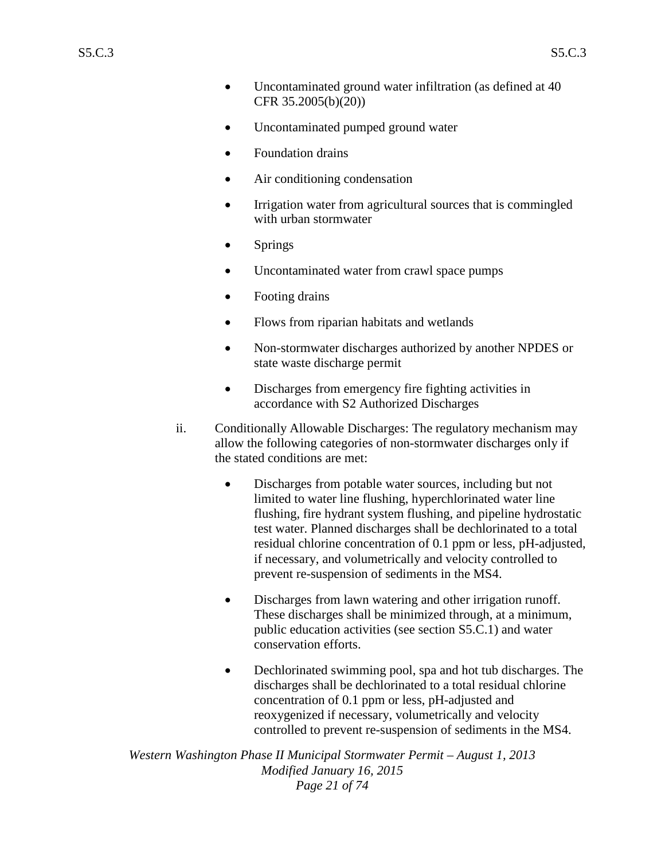- Uncontaminated ground water infiltration (as defined at 40 CFR 35.2005(b)(20))
- Uncontaminated pumped ground water
- Foundation drains
- Air conditioning condensation
- Irrigation water from agricultural sources that is commingled with urban stormwater
- Springs
- Uncontaminated water from crawl space pumps
- Footing drains
- Flows from riparian habitats and wetlands
- Non-stormwater discharges authorized by another NPDES or state waste discharge permit
- Discharges from emergency fire fighting activities in accordance with S2 Authorized Discharges
- ii. Conditionally Allowable Discharges: The regulatory mechanism may allow the following categories of non-stormwater discharges only if the stated conditions are met:
	- Discharges from potable water sources, including but not limited to water line flushing, hyperchlorinated water line flushing, fire hydrant system flushing, and pipeline hydrostatic test water. Planned discharges shall be dechlorinated to a total residual chlorine concentration of 0.1 ppm or less, pH-adjusted, if necessary, and volumetrically and velocity controlled to prevent re-suspension of sediments in the MS4.
	- Discharges from lawn watering and other irrigation runoff. These discharges shall be minimized through, at a minimum, public education activities (see section S5.C.1) and water conservation efforts.
	- Dechlorinated swimming pool, spa and hot tub discharges. The discharges shall be dechlorinated to a total residual chlorine concentration of 0.1 ppm or less, pH-adjusted and reoxygenized if necessary, volumetrically and velocity controlled to prevent re-suspension of sediments in the MS4.

*Western Washington Phase II Municipal Stormwater Permit – August 1, 2013 Modified January 16, 2015 Page 21 of 74*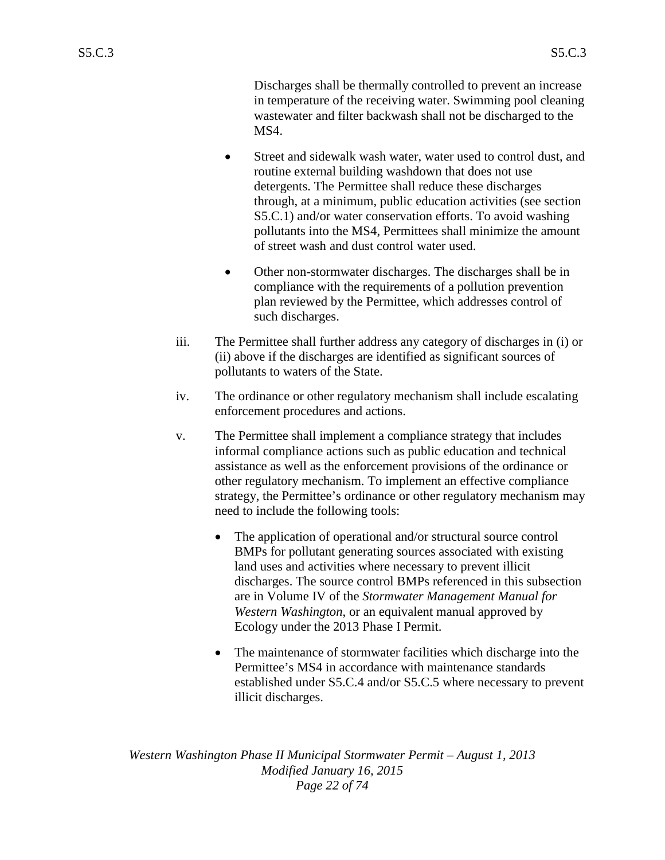Discharges shall be thermally controlled to prevent an increase in temperature of the receiving water. Swimming pool cleaning wastewater and filter backwash shall not be discharged to the MS4.

- Street and sidewalk wash water, water used to control dust, and routine external building washdown that does not use detergents. The Permittee shall reduce these discharges through, at a minimum, public education activities (see section S5.C.1) and/or water conservation efforts. To avoid washing pollutants into the MS4, Permittees shall minimize the amount of street wash and dust control water used.
- Other non-stormwater discharges. The discharges shall be in compliance with the requirements of a pollution prevention plan reviewed by the Permittee, which addresses control of such discharges.
- iii. The Permittee shall further address any category of discharges in (i) or (ii) above if the discharges are identified as significant sources of pollutants to waters of the State.
- iv. The ordinance or other regulatory mechanism shall include escalating enforcement procedures and actions.
- v. The Permittee shall implement a compliance strategy that includes informal compliance actions such as public education and technical assistance as well as the enforcement provisions of the ordinance or other regulatory mechanism. To implement an effective compliance strategy, the Permittee's ordinance or other regulatory mechanism may need to include the following tools:
	- The application of operational and/or structural source control BMPs for pollutant generating sources associated with existing land uses and activities where necessary to prevent illicit discharges. The source control BMPs referenced in this subsection are in Volume IV of the *Stormwater Management Manual for Western Washington*, or an equivalent manual approved by Ecology under the 2013 Phase I Permit.
	- The maintenance of stormwater facilities which discharge into the Permittee's MS4 in accordance with maintenance standards established under S5.C.4 and/or S5.C.5 where necessary to prevent illicit discharges.

*Western Washington Phase II Municipal Stormwater Permit – August 1, 2013 Modified January 16, 2015 Page 22 of 74*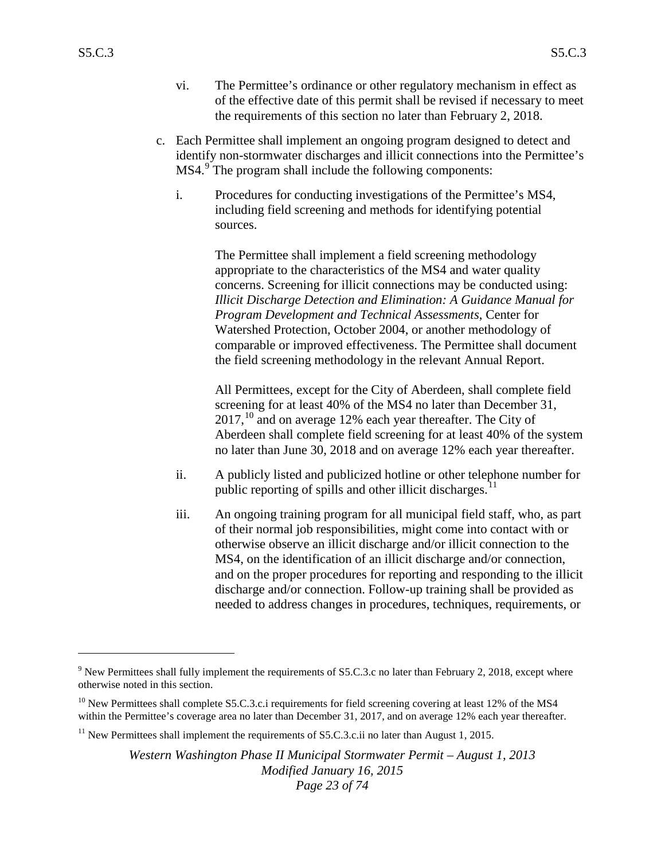- vi. The Permittee's ordinance or other regulatory mechanism in effect as of the effective date of this permit shall be revised if necessary to meet the requirements of this section no later than February 2, 2018.
- c. Each Permittee shall implement an ongoing program designed to detect and identify non-stormwater discharges and illicit connections into the Permittee's MS4.<sup>[9](#page-22-0)</sup> The program shall include the following components:
	- i. Procedures for conducting investigations of the Permittee's MS4, including field screening and methods for identifying potential sources.

The Permittee shall implement a field screening methodology appropriate to the characteristics of the MS4 and water quality concerns. Screening for illicit connections may be conducted using: *Illicit Discharge Detection and Elimination: A Guidance Manual for Program Development and Technical Assessments*, Center for Watershed Protection, October 2004, or another methodology of comparable or improved effectiveness. The Permittee shall document the field screening methodology in the relevant Annual Report.

All Permittees, except for the City of Aberdeen, shall complete field screening for at least 40% of the MS4 no later than December 31,  $2017$ ,<sup>[10](#page-22-1)</sup> and on average 12% each year thereafter. The City of Aberdeen shall complete field screening for at least 40% of the system no later than June 30, 2018 and on average 12% each year thereafter.

- ii. A publicly listed and publicized hotline or other telephone number for public reporting of spills and other illicit discharges.<sup>[11](#page-22-2)</sup>
- iii. An ongoing training program for all municipal field staff, who, as part of their normal job responsibilities, might come into contact with or otherwise observe an illicit discharge and/or illicit connection to the MS4, on the identification of an illicit discharge and/or connection, and on the proper procedures for reporting and responding to the illicit discharge and/or connection. Follow-up training shall be provided as needed to address changes in procedures, techniques, requirements, or

<span id="page-22-0"></span> $9$  New Permittees shall fully implement the requirements of S5.C.3.c no later than February 2, 2018, except where otherwise noted in this section.

<span id="page-22-1"></span><sup>&</sup>lt;sup>10</sup> New Permittees shall complete S5.C.3.c.i requirements for field screening covering at least 12% of the MS4 within the Permittee's coverage area no later than December 31, 2017, and on average 12% each year thereafter.

<span id="page-22-2"></span><sup>&</sup>lt;sup>11</sup> New Permittees shall implement the requirements of S5.C.3.c.ii no later than August 1, 2015.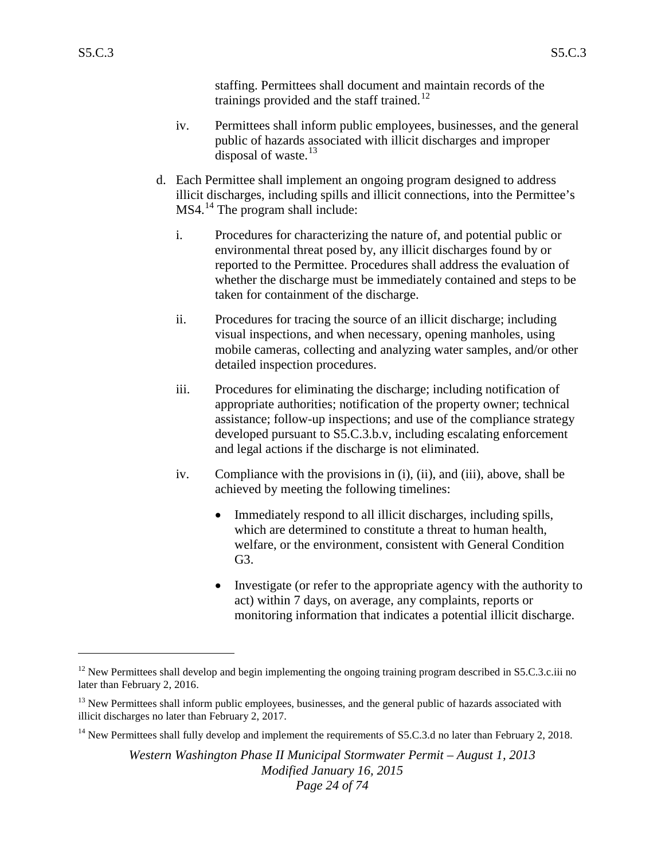staffing. Permittees shall document and maintain records of the trainings provided and the staff trained.<sup>[12](#page-23-0)</sup>

- iv. Permittees shall inform public employees, businesses, and the general public of hazards associated with illicit discharges and improper disposal of waste.<sup>[13](#page-23-1)</sup>
- d. Each Permittee shall implement an ongoing program designed to address illicit discharges, including spills and illicit connections, into the Permittee's MS4.<sup>[14](#page-23-2)</sup> The program shall include:
	- i. Procedures for characterizing the nature of, and potential public or environmental threat posed by, any illicit discharges found by or reported to the Permittee. Procedures shall address the evaluation of whether the discharge must be immediately contained and steps to be taken for containment of the discharge.
	- ii. Procedures for tracing the source of an illicit discharge; including visual inspections, and when necessary, opening manholes, using mobile cameras, collecting and analyzing water samples, and/or other detailed inspection procedures.
	- iii. Procedures for eliminating the discharge; including notification of appropriate authorities; notification of the property owner; technical assistance; follow-up inspections; and use of the compliance strategy developed pursuant to S5.C.3.b.v, including escalating enforcement and legal actions if the discharge is not eliminated.
	- iv. Compliance with the provisions in (i), (ii), and (iii), above, shall be achieved by meeting the following timelines:
		- Immediately respond to all illicit discharges, including spills, which are determined to constitute a threat to human health, welfare, or the environment, consistent with General Condition G3.
		- Investigate (or refer to the appropriate agency with the authority to act) within 7 days, on average, any complaints, reports or monitoring information that indicates a potential illicit discharge.

*Western Washington Phase II Municipal Stormwater Permit – August 1, 2013 Modified January 16, 2015 Page 24 of 74*

<span id="page-23-0"></span> $12$  New Permittees shall develop and begin implementing the ongoing training program described in S5.C.3.c.iii no later than February 2, 2016.

<span id="page-23-1"></span><sup>&</sup>lt;sup>13</sup> New Permittees shall inform public employees, businesses, and the general public of hazards associated with illicit discharges no later than February 2, 2017.

<span id="page-23-2"></span><sup>&</sup>lt;sup>14</sup> New Permittees shall fully develop and implement the requirements of S5.C.3.d no later than February 2, 2018.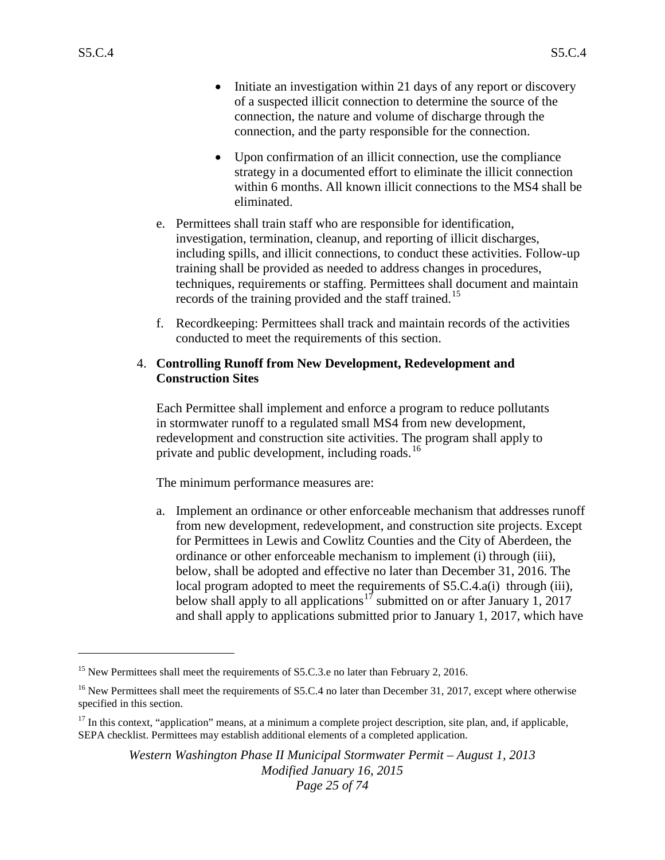- Initiate an investigation within 21 days of any report or discovery of a suspected illicit connection to determine the source of the connection, the nature and volume of discharge through the connection, and the party responsible for the connection.
- Upon confirmation of an illicit connection, use the compliance strategy in a documented effort to eliminate the illicit connection within 6 months. All known illicit connections to the MS4 shall be eliminated.
- e. Permittees shall train staff who are responsible for identification, investigation, termination, cleanup, and reporting of illicit discharges, including spills, and illicit connections, to conduct these activities. Follow-up training shall be provided as needed to address changes in procedures, techniques, requirements or staffing. Permittees shall document and maintain records of the training provided and the staff trained.<sup>[15](#page-24-1)</sup>
- f. Recordkeeping: Permittees shall track and maintain records of the activities conducted to meet the requirements of this section.

### 4. **Controlling Runoff from New Development, Redevelopment and Construction Sites**

<span id="page-24-0"></span>Each Permittee shall implement and enforce a program to reduce pollutants in stormwater runoff to a regulated small MS4 from new development, redevelopment and construction site activities. The program shall apply to private and public development, including roads.<sup>[16](#page-24-2)</sup>

The minimum performance measures are:

a. Implement an ordinance or other enforceable mechanism that addresses runoff from new development, redevelopment, and construction site projects. Except for Permittees in Lewis and Cowlitz Counties and the City of Aberdeen, the ordinance or other enforceable mechanism to implement (i) through (iii), below, shall be adopted and effective no later than December 31, 2016. The local program adopted to meet the requirements of S5.C.4.a(i) through (iii), below shall apply to all applications<sup>[17](#page-24-3)</sup> submitted on or after January 1, 2017 and shall apply to applications submitted prior to January 1, 2017, which have

<span id="page-24-1"></span><sup>&</sup>lt;sup>15</sup> New Permittees shall meet the requirements of S5.C.3.e no later than February 2, 2016.

<span id="page-24-2"></span><sup>&</sup>lt;sup>16</sup> New Permittees shall meet the requirements of S5.C.4 no later than December 31, 2017, except where otherwise specified in this section.

<span id="page-24-3"></span> $17$  In this context, "application" means, at a minimum a complete project description, site plan, and, if applicable, SEPA checklist. Permittees may establish additional elements of a completed application.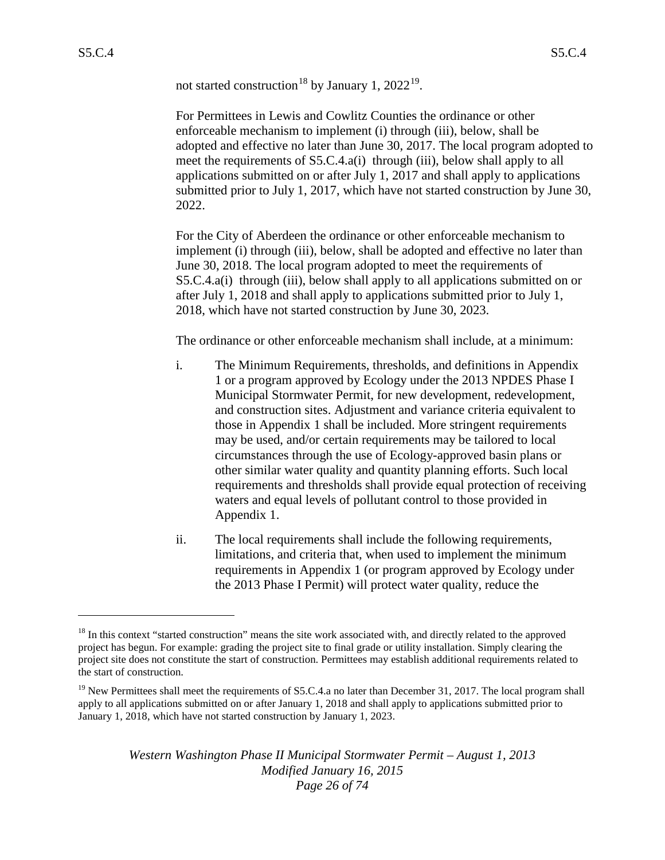not started construction<sup>[18](#page-25-0)</sup> by January 1, 2022<sup>[19](#page-25-1)</sup>.

For Permittees in Lewis and Cowlitz Counties the ordinance or other enforceable mechanism to implement (i) through (iii), below, shall be adopted and effective no later than June 30, 2017. The local program adopted to meet the requirements of S5.C.4.a(i) through (iii), below shall apply to all applications submitted on or after July 1, 2017 and shall apply to applications submitted prior to July 1, 2017, which have not started construction by June 30, 2022.

For the City of Aberdeen the ordinance or other enforceable mechanism to implement (i) through (iii), below, shall be adopted and effective no later than June 30, 2018. The local program adopted to meet the requirements of S5.C.4.a(i) through (iii), below shall apply to all applications submitted on or after July 1, 2018 and shall apply to applications submitted prior to July 1, 2018, which have not started construction by June 30, 2023.

The ordinance or other enforceable mechanism shall include, at a minimum:

- i. The Minimum Requirements, thresholds, and definitions in Appendix 1 or a program approved by Ecology under the 2013 NPDES Phase I Municipal Stormwater Permit, for new development, redevelopment, and construction sites. Adjustment and variance criteria equivalent to those in Appendix 1 shall be included. More stringent requirements may be used, and/or certain requirements may be tailored to local circumstances through the use of Ecology-approved basin plans or other similar water quality and quantity planning efforts. Such local requirements and thresholds shall provide equal protection of receiving waters and equal levels of pollutant control to those provided in Appendix 1.
- ii. The local requirements shall include the following requirements, limitations, and criteria that, when used to implement the minimum requirements in Appendix 1 (or program approved by Ecology under the 2013 Phase I Permit) will protect water quality, reduce the

*Western Washington Phase II Municipal Stormwater Permit – August 1, 2013 Modified January 16, 2015 Page 26 of 74*

<span id="page-25-0"></span><sup>&</sup>lt;sup>18</sup> In this context "started construction" means the site work associated with, and directly related to the approved project has begun. For example: grading the project site to final grade or utility installation. Simply clearing the project site does not constitute the start of construction. Permittees may establish additional requirements related to the start of construction.

<span id="page-25-1"></span><sup>&</sup>lt;sup>19</sup> New Permittees shall meet the requirements of S5.C.4.a no later than December 31, 2017. The local program shall apply to all applications submitted on or after January 1, 2018 and shall apply to applications submitted prior to January 1, 2018, which have not started construction by January 1, 2023.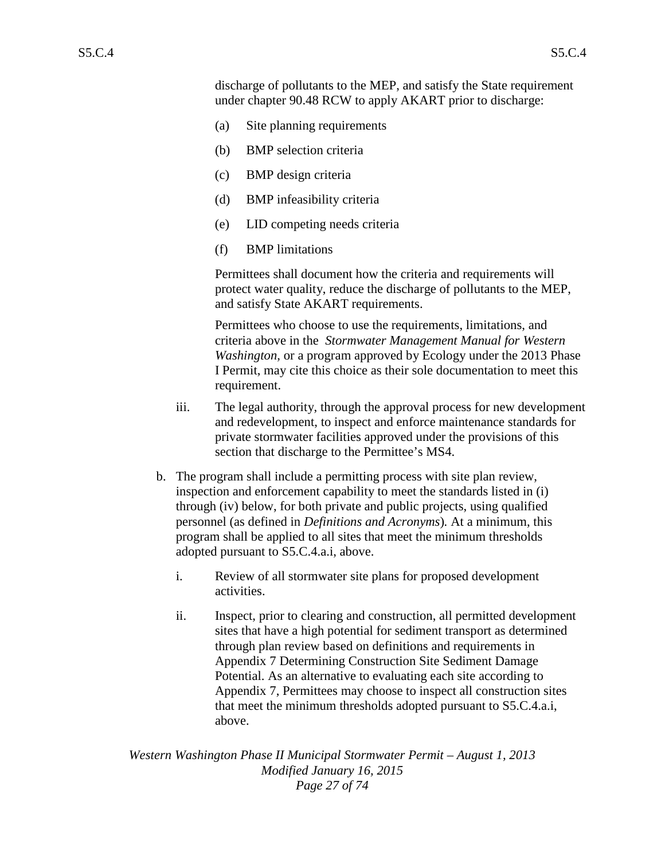discharge of pollutants to the MEP, and satisfy the State requirement under chapter 90.48 RCW to apply AKART prior to discharge:

- (a) Site planning requirements
- (b) BMP selection criteria
- (c) BMP design criteria
- (d) BMP infeasibility criteria
- (e) LID competing needs criteria
- (f) BMP limitations

Permittees shall document how the criteria and requirements will protect water quality, reduce the discharge of pollutants to the MEP, and satisfy State AKART requirements.

Permittees who choose to use the requirements, limitations, and criteria above in the *Stormwater Management Manual for Western Washington,* or a program approved by Ecology under the 2013 Phase I Permit, may cite this choice as their sole documentation to meet this requirement.

- iii. The legal authority, through the approval process for new development and redevelopment, to inspect and enforce maintenance standards for private stormwater facilities approved under the provisions of this section that discharge to the Permittee's MS4.
- b. The program shall include a permitting process with site plan review, inspection and enforcement capability to meet the standards listed in (i) through (iv) below, for both private and public projects, using qualified personnel (as defined in *Definitions and Acronyms*)*.* At a minimum, this program shall be applied to all sites that meet the minimum thresholds adopted pursuant to S5.C.4.a.i, above.
	- i. Review of all stormwater site plans for proposed development activities.
	- ii. Inspect, prior to clearing and construction, all permitted development sites that have a high potential for sediment transport as determined through plan review based on definitions and requirements in Appendix 7 Determining Construction Site Sediment Damage Potential. As an alternative to evaluating each site according to Appendix 7, Permittees may choose to inspect all construction sites that meet the minimum thresholds adopted pursuant to S5.C.4.a.i, above.

*Western Washington Phase II Municipal Stormwater Permit – August 1, 2013 Modified January 16, 2015 Page 27 of 74*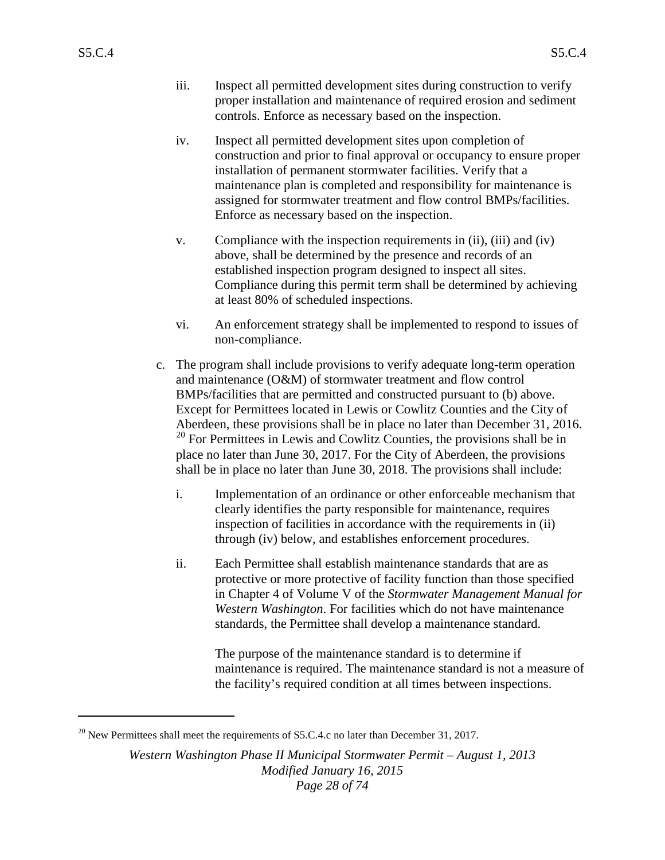- iii. Inspect all permitted development sites during construction to verify proper installation and maintenance of required erosion and sediment controls. Enforce as necessary based on the inspection.
- iv. Inspect all permitted development sites upon completion of construction and prior to final approval or occupancy to ensure proper installation of permanent stormwater facilities. Verify that a maintenance plan is completed and responsibility for maintenance is assigned for stormwater treatment and flow control BMPs/facilities. Enforce as necessary based on the inspection.
- v. Compliance with the inspection requirements in (ii), (iii) and (iv) above, shall be determined by the presence and records of an established inspection program designed to inspect all sites. Compliance during this permit term shall be determined by achieving at least 80% of scheduled inspections.
- vi. An enforcement strategy shall be implemented to respond to issues of non-compliance.
- c. The program shall include provisions to verify adequate long-term operation and maintenance (O&M) of stormwater treatment and flow control BMPs/facilities that are permitted and constructed pursuant to (b) above. Except for Permittees located in Lewis or Cowlitz Counties and the City of Aberdeen, these provisions shall be in place no later than December 31, [20](#page-27-0)16. <sup>20</sup> For Permittees in Lewis and Cowlitz Counties, the provisions shall be in place no later than June 30, 2017. For the City of Aberdeen, the provisions shall be in place no later than June 30, 2018. The provisions shall include:
	- i. Implementation of an ordinance or other enforceable mechanism that clearly identifies the party responsible for maintenance, requires inspection of facilities in accordance with the requirements in (ii) through (iv) below, and establishes enforcement procedures.
	- ii. Each Permittee shall establish maintenance standards that are as protective or more protective of facility function than those specified in Chapter 4 of Volume V of the *Stormwater Management Manual for Western Washington*. For facilities which do not have maintenance standards, the Permittee shall develop a maintenance standard.

The purpose of the maintenance standard is to determine if maintenance is required. The maintenance standard is not a measure of the facility's required condition at all times between inspections.

<span id="page-27-0"></span> $^{20}$  New Permittees shall meet the requirements of S5.C.4.c no later than December 31, 2017.

*Western Washington Phase II Municipal Stormwater Permit – August 1, 2013 Modified January 16, 2015 Page 28 of 74*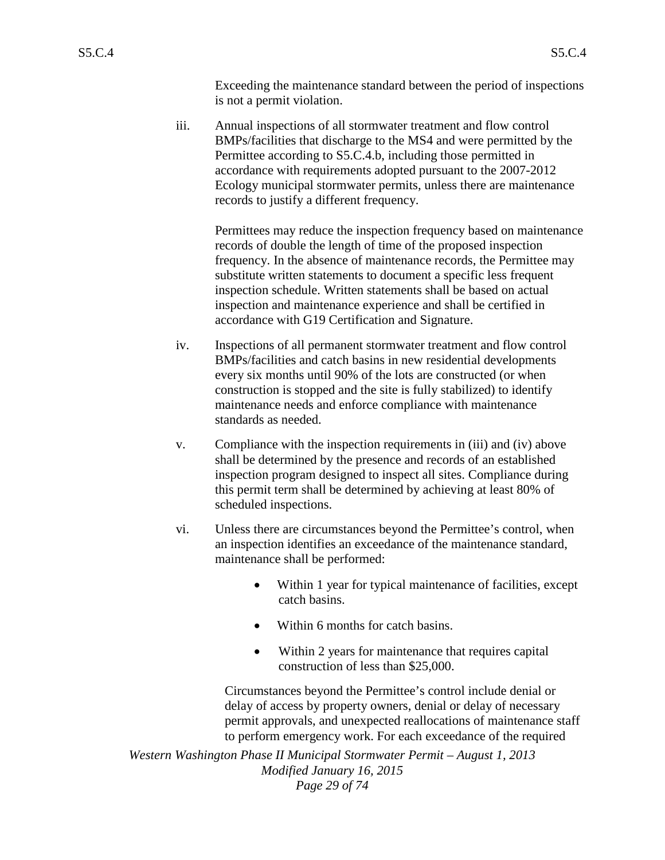Exceeding the maintenance standard between the period of inspections is not a permit violation.

iii. Annual inspections of all stormwater treatment and flow control BMPs/facilities that discharge to the MS4 and were permitted by the Permittee according to S5.C.4.b, including those permitted in accordance with requirements adopted pursuant to the 2007-2012 Ecology municipal stormwater permits, unless there are maintenance records to justify a different frequency.

Permittees may reduce the inspection frequency based on maintenance records of double the length of time of the proposed inspection frequency. In the absence of maintenance records, the Permittee may substitute written statements to document a specific less frequent inspection schedule. Written statements shall be based on actual inspection and maintenance experience and shall be certified in accordance with G19 Certification and Signature.

- iv. Inspections of all permanent stormwater treatment and flow control BMPs/facilities and catch basins in new residential developments every six months until 90% of the lots are constructed (or when construction is stopped and the site is fully stabilized) to identify maintenance needs and enforce compliance with maintenance standards as needed.
- v. Compliance with the inspection requirements in (iii) and (iv) above shall be determined by the presence and records of an established inspection program designed to inspect all sites. Compliance during this permit term shall be determined by achieving at least 80% of scheduled inspections.
- vi. Unless there are circumstances beyond the Permittee's control, when an inspection identifies an exceedance of the maintenance standard, maintenance shall be performed:
	- Within 1 year for typical maintenance of facilities, except catch basins.
	- Within 6 months for catch basins.
	- Within 2 years for maintenance that requires capital construction of less than \$25,000.

Circumstances beyond the Permittee's control include denial or delay of access by property owners, denial or delay of necessary permit approvals, and unexpected reallocations of maintenance staff to perform emergency work. For each exceedance of the required

*Western Washington Phase II Municipal Stormwater Permit – August 1, 2013 Modified January 16, 2015 Page 29 of 74*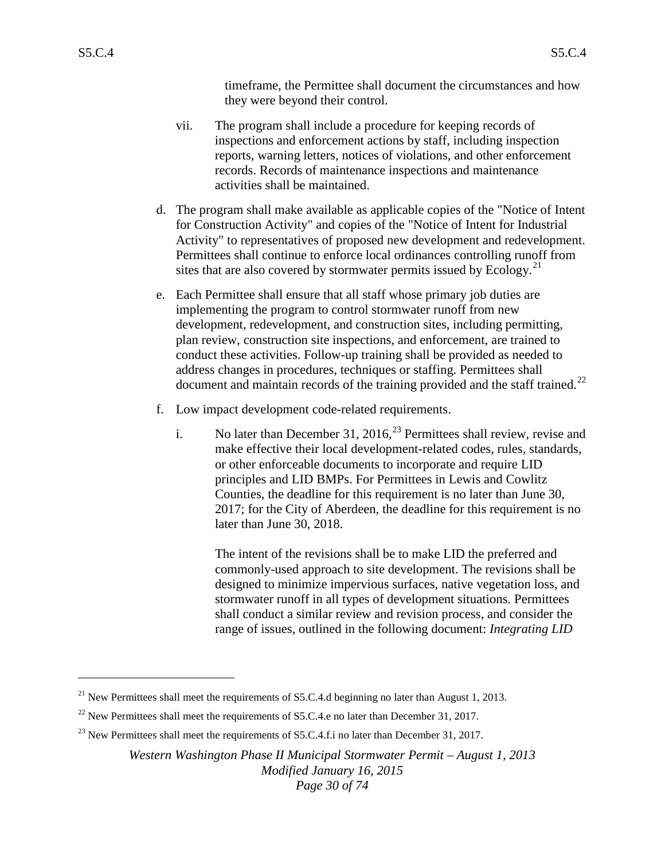timeframe, the Permittee shall document the circumstances and how they were beyond their control.

- vii. The program shall include a procedure for keeping records of inspections and enforcement actions by staff, including inspection reports, warning letters, notices of violations, and other enforcement records. Records of maintenance inspections and maintenance activities shall be maintained.
- d. The program shall make available as applicable copies of the "Notice of Intent for Construction Activity" and copies of the "Notice of Intent for Industrial Activity" to representatives of proposed new development and redevelopment. Permittees shall continue to enforce local ordinances controlling runoff from sites that are also covered by stormwater permits issued by Ecology. $^{21}$  $^{21}$  $^{21}$
- e. Each Permittee shall ensure that all staff whose primary job duties are implementing the program to control stormwater runoff from new development, redevelopment, and construction sites, including permitting, plan review, construction site inspections, and enforcement, are trained to conduct these activities. Follow-up training shall be provided as needed to address changes in procedures, techniques or staffing. Permittees shall document and maintain records of the training provided and the staff trained.<sup>[22](#page-29-1)</sup>
- f. Low impact development code-related requirements.
	- i. No later than December 31,  $2016<sup>23</sup>$  $2016<sup>23</sup>$  $2016<sup>23</sup>$  Permittees shall review, revise and make effective their local development-related codes, rules, standards, or other enforceable documents to incorporate and require LID principles and LID BMPs. For Permittees in Lewis and Cowlitz Counties, the deadline for this requirement is no later than June 30, 2017; for the City of Aberdeen, the deadline for this requirement is no later than June 30, 2018.

The intent of the revisions shall be to make LID the preferred and commonly-used approach to site development. The revisions shall be designed to minimize impervious surfaces, native vegetation loss, and stormwater runoff in all types of development situations. Permittees shall conduct a similar review and revision process, and consider the range of issues, outlined in the following document: *Integrating LID* 

<span id="page-29-2"></span><sup>23</sup> New Permittees shall meet the requirements of S5.C.4.f.i no later than December 31, 2017.

*Western Washington Phase II Municipal Stormwater Permit – August 1, 2013 Modified January 16, 2015 Page 30 of 74*

<span id="page-29-0"></span><sup>&</sup>lt;sup>21</sup> New Permittees shall meet the requirements of S5.C.4.d beginning no later than August 1, 2013.

<span id="page-29-1"></span> $22$  New Permittees shall meet the requirements of S5.C.4.e no later than December 31, 2017.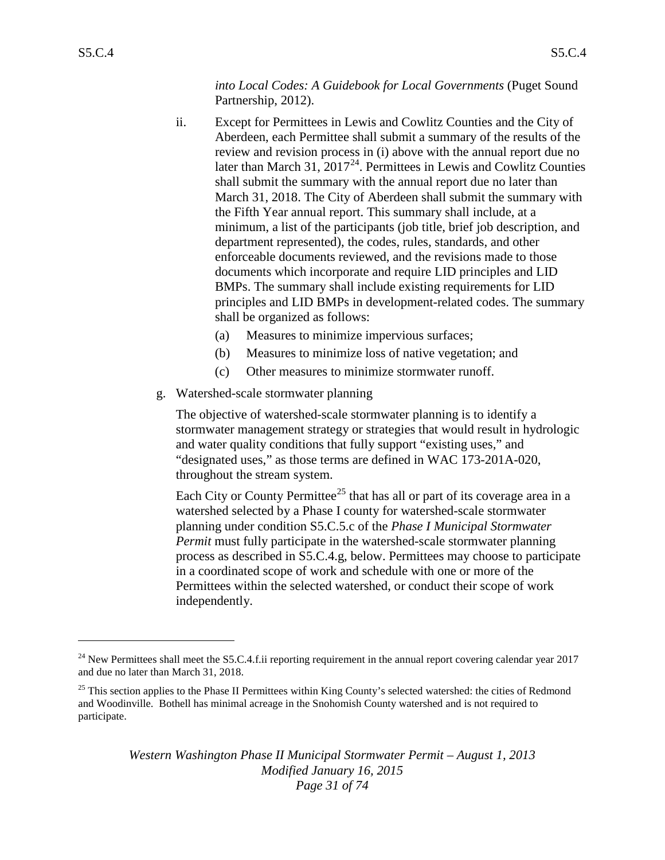*into Local Codes: A Guidebook for Local Governments* (Puget Sound Partnership, 2012).

- ii. Except for Permittees in Lewis and Cowlitz Counties and the City of Aberdeen, each Permittee shall submit a summary of the results of the review and revision process in (i) above with the annual report due no later than March 31,  $2017<sup>24</sup>$ . Permittees in Lewis and Cowlitz Counties shall submit the summary with the annual report due no later than March 31, 2018. The City of Aberdeen shall submit the summary with the Fifth Year annual report. This summary shall include, at a minimum, a list of the participants (job title, brief job description, and department represented), the codes, rules, standards, and other enforceable documents reviewed, and the revisions made to those documents which incorporate and require LID principles and LID BMPs. The summary shall include existing requirements for LID principles and LID BMPs in development-related codes. The summary shall be organized as follows:
	- (a) Measures to minimize impervious surfaces;
	- (b) Measures to minimize loss of native vegetation; and
	- (c) Other measures to minimize stormwater runoff.
- g. Watershed-scale stormwater planning

The objective of watershed-scale stormwater planning is to identify a stormwater management strategy or strategies that would result in hydrologic and water quality conditions that fully support "existing uses," and "designated uses," as those terms are defined in WAC 173-201A-020, throughout the stream system.

Each City or County Permittee<sup>[25](#page-30-1)</sup> that has all or part of its coverage area in a watershed selected by a Phase I county for watershed-scale stormwater planning under condition S5.C.5.c of the *Phase I Municipal Stormwater Permit* must fully participate in the watershed-scale stormwater planning process as described in S5.C.4.g, below. Permittees may choose to participate in a coordinated scope of work and schedule with one or more of the Permittees within the selected watershed, or conduct their scope of work independently.

*Western Washington Phase II Municipal Stormwater Permit – August 1, 2013 Modified January 16, 2015 Page 31 of 74*

<span id="page-30-0"></span><sup>&</sup>lt;sup>24</sup> New Permittees shall meet the S5.C.4.f.ii reporting requirement in the annual report covering calendar year 2017 and due no later than March 31, 2018.

<span id="page-30-1"></span> $25$  This section applies to the Phase II Permittees within King County's selected watershed: the cities of Redmond and Woodinville. Bothell has minimal acreage in the Snohomish County watershed and is not required to participate.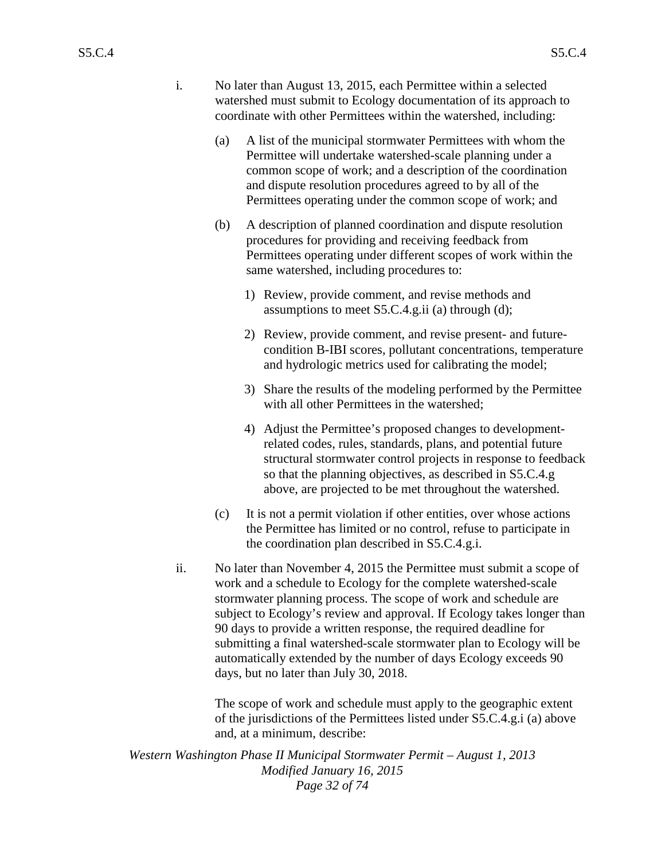| 1. | No later than August 13, 2015, each Permittee within a selected   |
|----|-------------------------------------------------------------------|
|    | watershed must submit to Ecology documentation of its approach to |
|    | coordinate with other Permittees within the watershed, including: |

- (a) A list of the municipal stormwater Permittees with whom the Permittee will undertake watershed-scale planning under a common scope of work; and a description of the coordination and dispute resolution procedures agreed to by all of the Permittees operating under the common scope of work; and
- (b) A description of planned coordination and dispute resolution procedures for providing and receiving feedback from Permittees operating under different scopes of work within the same watershed, including procedures to:
	- 1) Review, provide comment, and revise methods and assumptions to meet S5.C.4.g.ii (a) through (d);
	- 2) Review, provide comment, and revise present- and futurecondition B-IBI scores, pollutant concentrations, temperature and hydrologic metrics used for calibrating the model;
	- 3) Share the results of the modeling performed by the Permittee with all other Permittees in the watershed;
	- 4) Adjust the Permittee's proposed changes to developmentrelated codes, rules, standards, plans, and potential future structural stormwater control projects in response to feedback so that the planning objectives, as described in S5.C.4.g above, are projected to be met throughout the watershed.
- (c) It is not a permit violation if other entities, over whose actions the Permittee has limited or no control, refuse to participate in the coordination plan described in S5.C.4.g.i.
- ii. No later than November 4, 2015 the Permittee must submit a scope of work and a schedule to Ecology for the complete watershed-scale stormwater planning process. The scope of work and schedule are subject to Ecology's review and approval. If Ecology takes longer than 90 days to provide a written response, the required deadline for submitting a final watershed-scale stormwater plan to Ecology will be automatically extended by the number of days Ecology exceeds 90 days, but no later than July 30, 2018.

The scope of work and schedule must apply to the geographic extent of the jurisdictions of the Permittees listed under S5.C.4.g.i (a) above and, at a minimum, describe:

*Western Washington Phase II Municipal Stormwater Permit – August 1, 2013 Modified January 16, 2015 Page 32 of 74*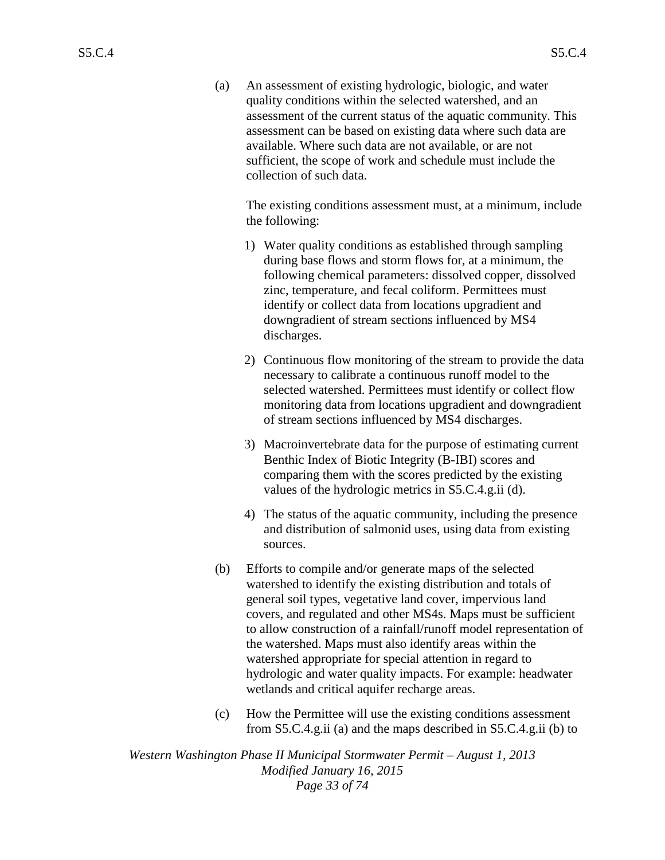(a) An assessment of existing hydrologic, biologic, and water quality conditions within the selected watershed, and an assessment of the current status of the aquatic community. This assessment can be based on existing data where such data are available. Where such data are not available, or are not sufficient, the scope of work and schedule must include the collection of such data.

The existing conditions assessment must, at a minimum, include the following:

- 1) Water quality conditions as established through sampling during base flows and storm flows for, at a minimum, the following chemical parameters: dissolved copper, dissolved zinc, temperature, and fecal coliform. Permittees must identify or collect data from locations upgradient and downgradient of stream sections influenced by MS4 discharges.
- 2) Continuous flow monitoring of the stream to provide the data necessary to calibrate a continuous runoff model to the selected watershed. Permittees must identify or collect flow monitoring data from locations upgradient and downgradient of stream sections influenced by MS4 discharges.
- 3) Macroinvertebrate data for the purpose of estimating current Benthic Index of Biotic Integrity (B-IBI) scores and comparing them with the scores predicted by the existing values of the hydrologic metrics in S5.C.4.g.ii (d).
- 4) The status of the aquatic community, including the presence and distribution of salmonid uses, using data from existing sources.
- (b) Efforts to compile and/or generate maps of the selected watershed to identify the existing distribution and totals of general soil types, vegetative land cover, impervious land covers, and regulated and other MS4s. Maps must be sufficient to allow construction of a rainfall/runoff model representation of the watershed. Maps must also identify areas within the watershed appropriate for special attention in regard to hydrologic and water quality impacts. For example: headwater wetlands and critical aquifer recharge areas.
- (c) How the Permittee will use the existing conditions assessment from S5.C.4.g.ii (a) and the maps described in S5.C.4.g.ii (b) to

*Western Washington Phase II Municipal Stormwater Permit – August 1, 2013 Modified January 16, 2015 Page 33 of 74*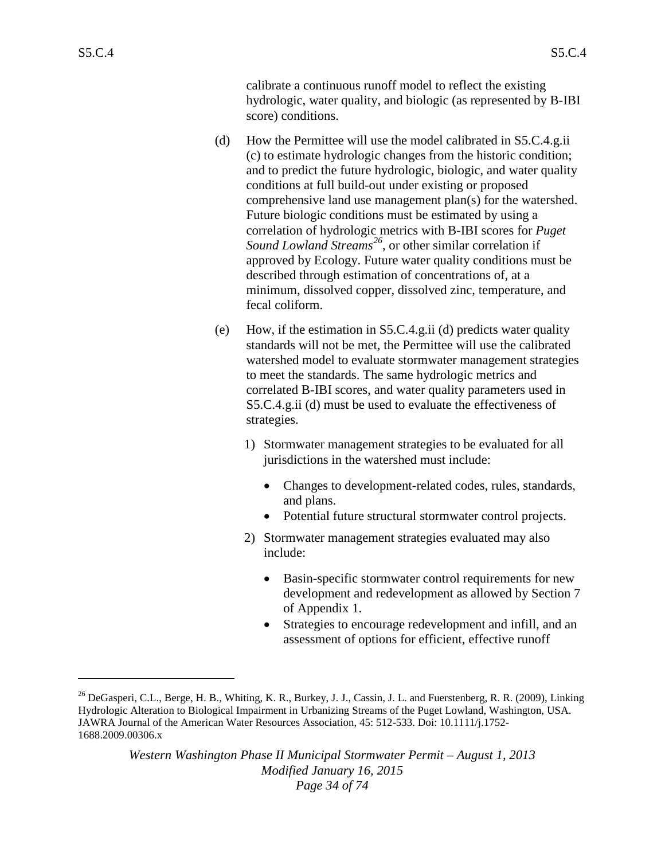calibrate a continuous runoff model to reflect the existing hydrologic, water quality, and biologic (as represented by B-IBI score) conditions.

- (d) How the Permittee will use the model calibrated in S5.C.4.g.ii (c) to estimate hydrologic changes from the historic condition; and to predict the future hydrologic, biologic, and water quality conditions at full build-out under existing or proposed comprehensive land use management plan(s) for the watershed. Future biologic conditions must be estimated by using a correlation of hydrologic metrics with B-IBI scores for *Puget Sound Lowland Streams[26](#page-33-0)*, or other similar correlation if approved by Ecology. Future water quality conditions must be described through estimation of concentrations of, at a minimum, dissolved copper, dissolved zinc, temperature, and fecal coliform.
- (e) How, if the estimation in S5.C.4.g.ii (d) predicts water quality standards will not be met, the Permittee will use the calibrated watershed model to evaluate stormwater management strategies to meet the standards. The same hydrologic metrics and correlated B-IBI scores, and water quality parameters used in S5.C.4.g.ii (d) must be used to evaluate the effectiveness of strategies.
	- 1) Stormwater management strategies to be evaluated for all jurisdictions in the watershed must include:
		- Changes to development-related codes, rules, standards, and plans.
		- Potential future structural stormwater control projects.
	- 2) Stormwater management strategies evaluated may also include:
		- Basin-specific stormwater control requirements for new development and redevelopment as allowed by Section 7 of Appendix 1.
		- Strategies to encourage redevelopment and infill, and an assessment of options for efficient, effective runoff

*Western Washington Phase II Municipal Stormwater Permit – August 1, 2013 Modified January 16, 2015 Page 34 of 74*

<span id="page-33-0"></span><sup>&</sup>lt;sup>26</sup> DeGasperi, C.L., Berge, H. B., Whiting, K. R., Burkey, J. J., Cassin, J. L. and Fuerstenberg, R. R. (2009), Linking Hydrologic Alteration to Biological Impairment in Urbanizing Streams of the Puget Lowland, Washington, USA. JAWRA Journal of the American Water Resources Association, 45: 512-533. Doi: 10.1111/j.1752- 1688.2009.00306.x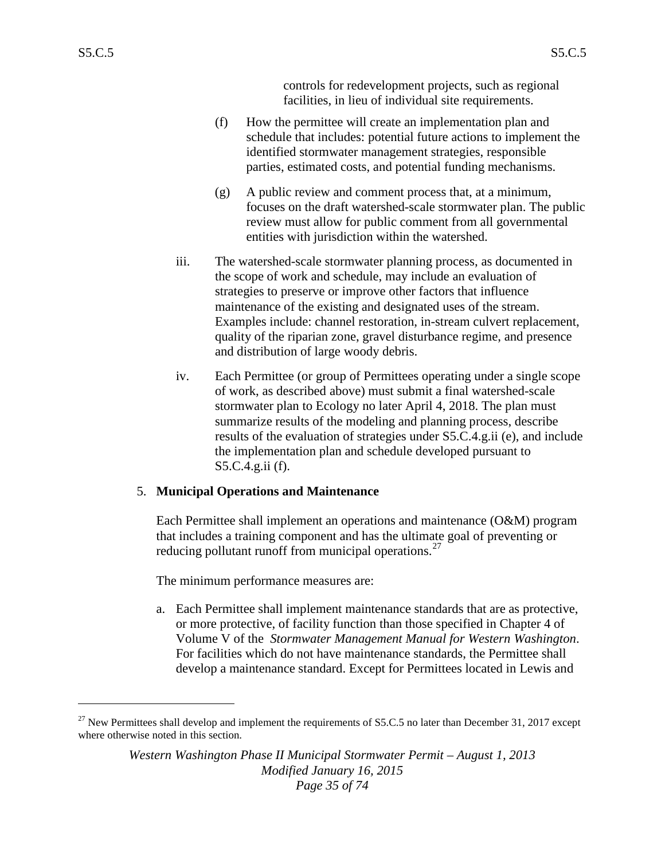controls for redevelopment projects, such as regional facilities, in lieu of individual site requirements.

- (f) How the permittee will create an implementation plan and schedule that includes: potential future actions to implement the identified stormwater management strategies, responsible parties, estimated costs, and potential funding mechanisms.
- (g) A public review and comment process that, at a minimum, focuses on the draft watershed-scale stormwater plan. The public review must allow for public comment from all governmental entities with jurisdiction within the watershed.
- iii. The watershed-scale stormwater planning process, as documented in the scope of work and schedule, may include an evaluation of strategies to preserve or improve other factors that influence maintenance of the existing and designated uses of the stream. Examples include: channel restoration, in-stream culvert replacement, quality of the riparian zone, gravel disturbance regime, and presence and distribution of large woody debris.
- iv. Each Permittee (or group of Permittees operating under a single scope of work, as described above) must submit a final watershed-scale stormwater plan to Ecology no later April 4, 2018. The plan must summarize results of the modeling and planning process, describe results of the evaluation of strategies under S5.C.4.g.ii (e), and include the implementation plan and schedule developed pursuant to S5.C.4.g.ii (f).

#### 5. **Municipal Operations and Maintenance**

<span id="page-34-0"></span>Each Permittee shall implement an operations and maintenance (O&M) program that includes a training component and has the ultimate goal of preventing or reducing pollutant runoff from municipal operations.<sup>[27](#page-34-1)</sup>

The minimum performance measures are:

a. Each Permittee shall implement maintenance standards that are as protective, or more protective, of facility function than those specified in Chapter 4 of Volume V of the *Stormwater Management Manual for Western Washington*. For facilities which do not have maintenance standards, the Permittee shall develop a maintenance standard. Except for Permittees located in Lewis and

<span id="page-34-1"></span> $27$  New Permittees shall develop and implement the requirements of S5.C.5 no later than December 31, 2017 except where otherwise noted in this section.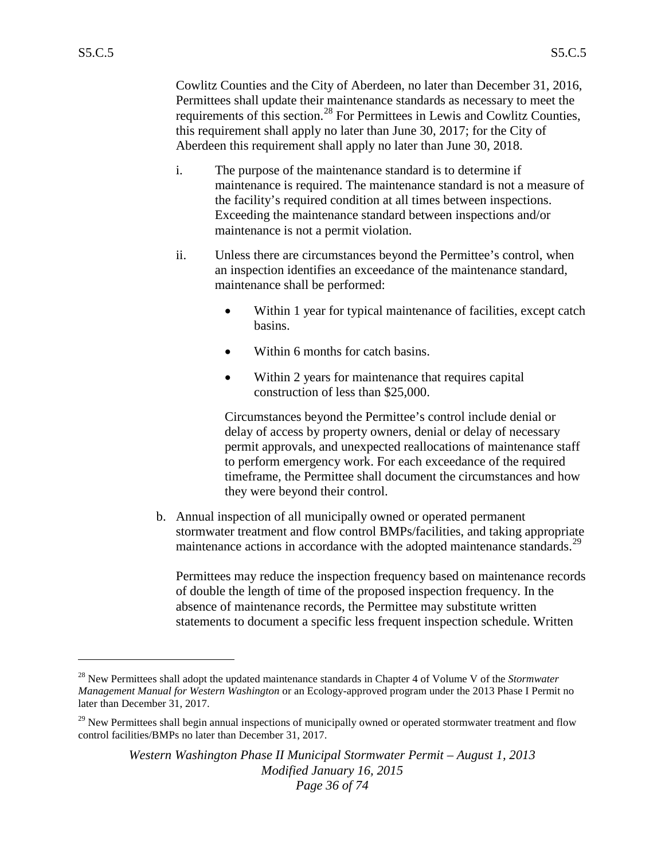Cowlitz Counties and the City of Aberdeen, no later than December 31, 2016, Permittees shall update their maintenance standards as necessary to meet the requirements of this section.[28](#page-35-0) For Permittees in Lewis and Cowlitz Counties, this requirement shall apply no later than June 30, 2017; for the City of Aberdeen this requirement shall apply no later than June 30, 2018.

- i. The purpose of the maintenance standard is to determine if maintenance is required. The maintenance standard is not a measure of the facility's required condition at all times between inspections. Exceeding the maintenance standard between inspections and/or maintenance is not a permit violation.
- ii. Unless there are circumstances beyond the Permittee's control, when an inspection identifies an exceedance of the maintenance standard, maintenance shall be performed:
	- Within 1 year for typical maintenance of facilities, except catch basins.
	- Within 6 months for catch basins.
	- Within 2 years for maintenance that requires capital construction of less than \$25,000.

Circumstances beyond the Permittee's control include denial or delay of access by property owners, denial or delay of necessary permit approvals, and unexpected reallocations of maintenance staff to perform emergency work. For each exceedance of the required timeframe, the Permittee shall document the circumstances and how they were beyond their control.

b. Annual inspection of all municipally owned or operated permanent stormwater treatment and flow control BMPs/facilities, and taking appropriate maintenance actions in accordance with the adopted maintenance standards.<sup>[29](#page-35-1)</sup>

Permittees may reduce the inspection frequency based on maintenance records of double the length of time of the proposed inspection frequency. In the absence of maintenance records, the Permittee may substitute written statements to document a specific less frequent inspection schedule. Written

<span id="page-35-0"></span><sup>28</sup> New Permittees shall adopt the updated maintenance standards in Chapter 4 of Volume V of the *Stormwater Management Manual for Western Washington* or an Ecology-approved program under the 2013 Phase I Permit no later than December 31, 2017.

<span id="page-35-1"></span><sup>&</sup>lt;sup>29</sup> New Permittees shall begin annual inspections of municipally owned or operated stormwater treatment and flow control facilities/BMPs no later than December 31, 2017.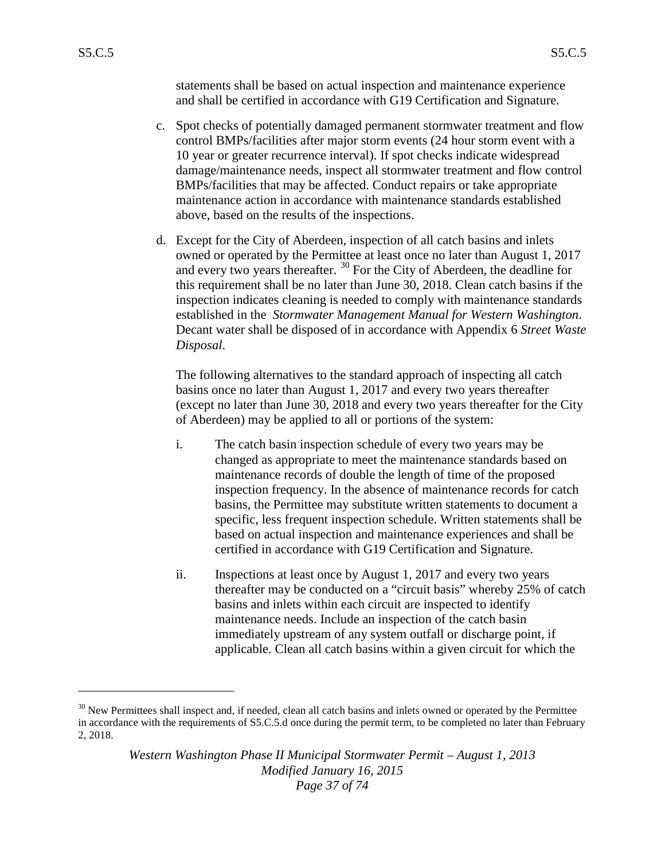$\overline{a}$ 

statements shall be based on actual inspection and maintenance experience and shall be certified in accordance with G19 Certification and Signature*.*

- c. Spot checks of potentially damaged permanent stormwater treatment and flow control BMPs/facilities after major storm events (24 hour storm event with a 10 year or greater recurrence interval). If spot checks indicate widespread damage/maintenance needs, inspect all stormwater treatment and flow control BMPs/facilities that may be affected. Conduct repairs or take appropriate maintenance action in accordance with maintenance standards established above, based on the results of the inspections.
- d. Except for the City of Aberdeen, inspection of all catch basins and inlets owned or operated by the Permittee at least once no later than August 1, 2017 and every two years thereafter. [30](#page-36-0) For the City of Aberdeen, the deadline for this requirement shall be no later than June 30, 2018. Clean catch basins if the inspection indicates cleaning is needed to comply with maintenance standards established in the *Stormwater Management Manual for Western Washington*. Decant water shall be disposed of in accordance with Appendix 6 *Street Waste Disposal*.

The following alternatives to the standard approach of inspecting all catch basins once no later than August 1, 2017 and every two years thereafter (except no later than June 30, 2018 and every two years thereafter for the City of Aberdeen) may be applied to all or portions of the system:

- i. The catch basin inspection schedule of every two years may be changed as appropriate to meet the maintenance standards based on maintenance records of double the length of time of the proposed inspection frequency. In the absence of maintenance records for catch basins, the Permittee may substitute written statements to document a specific, less frequent inspection schedule. Written statements shall be based on actual inspection and maintenance experiences and shall be certified in accordance with G19 Certification and Signature.
- ii. Inspections at least once by August 1, 2017 and every two years thereafter may be conducted on a "circuit basis" whereby 25% of catch basins and inlets within each circuit are inspected to identify maintenance needs. Include an inspection of the catch basin immediately upstream of any system outfall or discharge point, if applicable. Clean all catch basins within a given circuit for which the

<span id="page-36-0"></span> $30$  New Permittees shall inspect and, if needed, clean all catch basins and inlets owned or operated by the Permittee in accordance with the requirements of S5.C.5.d once during the permit term, to be completed no later than February 2, 2018.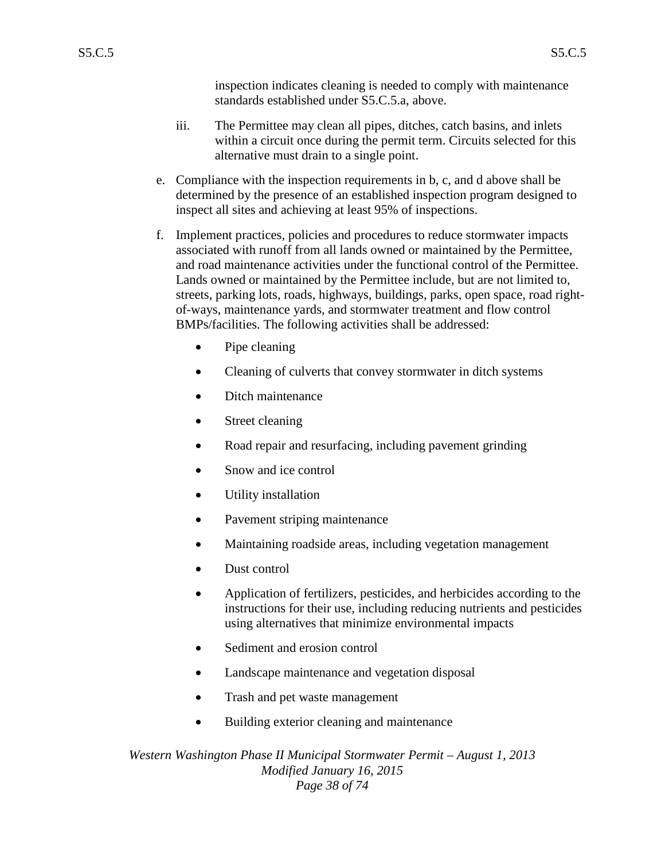inspection indicates cleaning is needed to comply with maintenance standards established under S5.C.5.a, above.

- iii. The Permittee may clean all pipes, ditches, catch basins, and inlets within a circuit once during the permit term. Circuits selected for this alternative must drain to a single point.
- e. Compliance with the inspection requirements in b, c, and d above shall be determined by the presence of an established inspection program designed to inspect all sites and achieving at least 95% of inspections.
- f. Implement practices, policies and procedures to reduce stormwater impacts associated with runoff from all lands owned or maintained by the Permittee, and road maintenance activities under the functional control of the Permittee. Lands owned or maintained by the Permittee include, but are not limited to, streets, parking lots, roads, highways, buildings, parks, open space, road rightof-ways, maintenance yards, and stormwater treatment and flow control BMPs/facilities. The following activities shall be addressed:
	- Pipe cleaning
	- Cleaning of culverts that convey stormwater in ditch systems
	- Ditch maintenance
	- Street cleaning
	- Road repair and resurfacing, including pavement grinding
	- Snow and ice control
	- Utility installation
	- Pavement striping maintenance
	- Maintaining roadside areas, including vegetation management
	- Dust control
	- Application of fertilizers, pesticides, and herbicides according to the instructions for their use, including reducing nutrients and pesticides using alternatives that minimize environmental impacts
	- Sediment and erosion control
	- Landscape maintenance and vegetation disposal
	- Trash and pet waste management
	- Building exterior cleaning and maintenance

*Western Washington Phase II Municipal Stormwater Permit – August 1, 2013 Modified January 16, 2015 Page 38 of 74*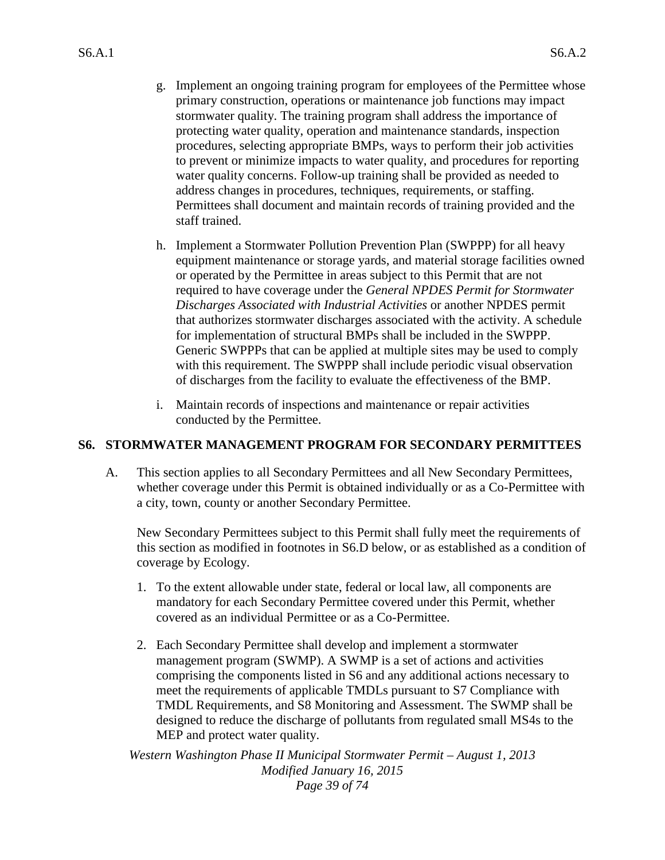- g. Implement an ongoing training program for employees of the Permittee whose primary construction, operations or maintenance job functions may impact stormwater quality. The training program shall address the importance of protecting water quality, operation and maintenance standards, inspection procedures, selecting appropriate BMPs, ways to perform their job activities to prevent or minimize impacts to water quality, and procedures for reporting water quality concerns. Follow-up training shall be provided as needed to address changes in procedures, techniques, requirements, or staffing. Permittees shall document and maintain records of training provided and the staff trained.
- h. Implement a Stormwater Pollution Prevention Plan (SWPPP) for all heavy equipment maintenance or storage yards, and material storage facilities owned or operated by the Permittee in areas subject to this Permit that are not required to have coverage under the *General NPDES Permit for Stormwater Discharges Associated with Industrial Activities* or another NPDES permit that authorizes stormwater discharges associated with the activity. A schedule for implementation of structural BMPs shall be included in the SWPPP. Generic SWPPPs that can be applied at multiple sites may be used to comply with this requirement. The SWPPP shall include periodic visual observation of discharges from the facility to evaluate the effectiveness of the BMP.
- i. Maintain records of inspections and maintenance or repair activities conducted by the Permittee.

# **S6. STORMWATER MANAGEMENT PROGRAM FOR SECONDARY PERMITTEES**

A. This section applies to all Secondary Permittees and all New Secondary Permittees, whether coverage under this Permit is obtained individually or as a Co-Permittee with a city, town, county or another Secondary Permittee.

New Secondary Permittees subject to this Permit shall fully meet the requirements of this section as modified in footnotes in S6.D below, or as established as a condition of coverage by Ecology.

- 1. To the extent allowable under state, federal or local law, all components are mandatory for each Secondary Permittee covered under this Permit, whether covered as an individual Permittee or as a Co-Permittee.
- 2. Each Secondary Permittee shall develop and implement a stormwater management program (SWMP). A SWMP is a set of actions and activities comprising the components listed in S6 and any additional actions necessary to meet the requirements of applicable TMDLs pursuant to S7 Compliance with TMDL Requirements, and S8 Monitoring and Assessment. The SWMP shall be designed to reduce the discharge of pollutants from regulated small MS4s to the MEP and protect water quality.

*Western Washington Phase II Municipal Stormwater Permit – August 1, 2013 Modified January 16, 2015 Page 39 of 74*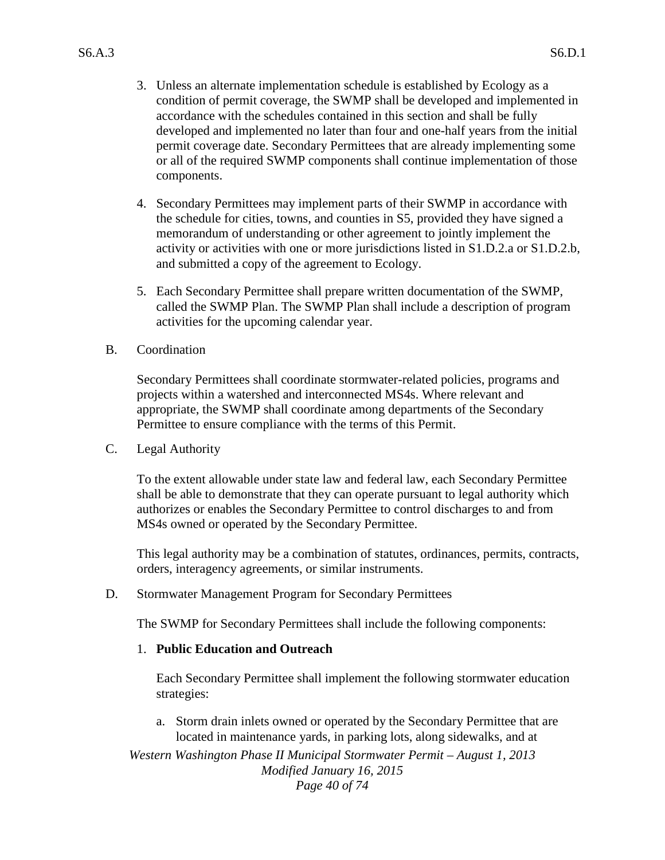- 3. Unless an alternate implementation schedule is established by Ecology as a condition of permit coverage, the SWMP shall be developed and implemented in accordance with the schedules contained in this section and shall be fully developed and implemented no later than four and one-half years from the initial permit coverage date. Secondary Permittees that are already implementing some or all of the required SWMP components shall continue implementation of those components.
- 4. Secondary Permittees may implement parts of their SWMP in accordance with the schedule for cities, towns, and counties in S5, provided they have signed a memorandum of understanding or other agreement to jointly implement the activity or activities with one or more jurisdictions listed in S1.D.2.a or S1.D.2.b, and submitted a copy of the agreement to Ecology.
- 5. Each Secondary Permittee shall prepare written documentation of the SWMP, called the SWMP Plan. The SWMP Plan shall include a description of program activities for the upcoming calendar year.
- B. Coordination

Secondary Permittees shall coordinate stormwater-related policies, programs and projects within a watershed and interconnected MS4s. Where relevant and appropriate, the SWMP shall coordinate among departments of the Secondary Permittee to ensure compliance with the terms of this Permit.

C. Legal Authority

To the extent allowable under state law and federal law, each Secondary Permittee shall be able to demonstrate that they can operate pursuant to legal authority which authorizes or enables the Secondary Permittee to control discharges to and from MS4s owned or operated by the Secondary Permittee.

This legal authority may be a combination of statutes, ordinances, permits, contracts, orders, interagency agreements, or similar instruments.

D. Stormwater Management Program for Secondary Permittees

The SWMP for Secondary Permittees shall include the following components:

#### 1. **Public Education and Outreach**

Each Secondary Permittee shall implement the following stormwater education strategies:

a. Storm drain inlets owned or operated by the Secondary Permittee that are located in maintenance yards, in parking lots, along sidewalks, and at

*Western Washington Phase II Municipal Stormwater Permit – August 1, 2013 Modified January 16, 2015 Page 40 of 74*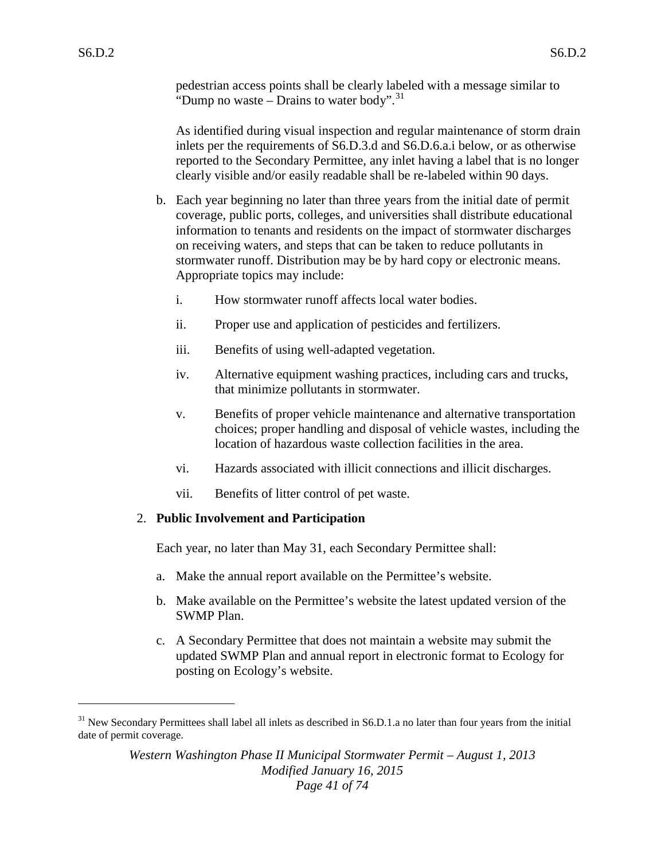$\overline{a}$ 

pedestrian access points shall be clearly labeled with a message similar to "Dump no waste – Drains to water body". $31$ 

As identified during visual inspection and regular maintenance of storm drain inlets per the requirements of S6.D.3.d and S6.D.6.a.i below, or as otherwise reported to the Secondary Permittee, any inlet having a label that is no longer clearly visible and/or easily readable shall be re-labeled within 90 days.

- b. Each year beginning no later than three years from the initial date of permit coverage, public ports, colleges, and universities shall distribute educational information to tenants and residents on the impact of stormwater discharges on receiving waters, and steps that can be taken to reduce pollutants in stormwater runoff. Distribution may be by hard copy or electronic means. Appropriate topics may include:
	- i. How stormwater runoff affects local water bodies.
	- ii. Proper use and application of pesticides and fertilizers.
	- iii. Benefits of using well-adapted vegetation.
	- iv. Alternative equipment washing practices, including cars and trucks, that minimize pollutants in stormwater.
	- v. Benefits of proper vehicle maintenance and alternative transportation choices; proper handling and disposal of vehicle wastes, including the location of hazardous waste collection facilities in the area.
	- vi. Hazards associated with illicit connections and illicit discharges.
	- vii. Benefits of litter control of pet waste.

#### 2. **Public Involvement and Participation**

Each year, no later than May 31, each Secondary Permittee shall:

- a. Make the annual report available on the Permittee's website.
- b. Make available on the Permittee's website the latest updated version of the SWMP Plan.
- c. A Secondary Permittee that does not maintain a website may submit the updated SWMP Plan and annual report in electronic format to Ecology for posting on Ecology's website.

<span id="page-40-0"></span><sup>&</sup>lt;sup>31</sup> New Secondary Permittees shall label all inlets as described in S6.D.1.a no later than four years from the initial date of permit coverage.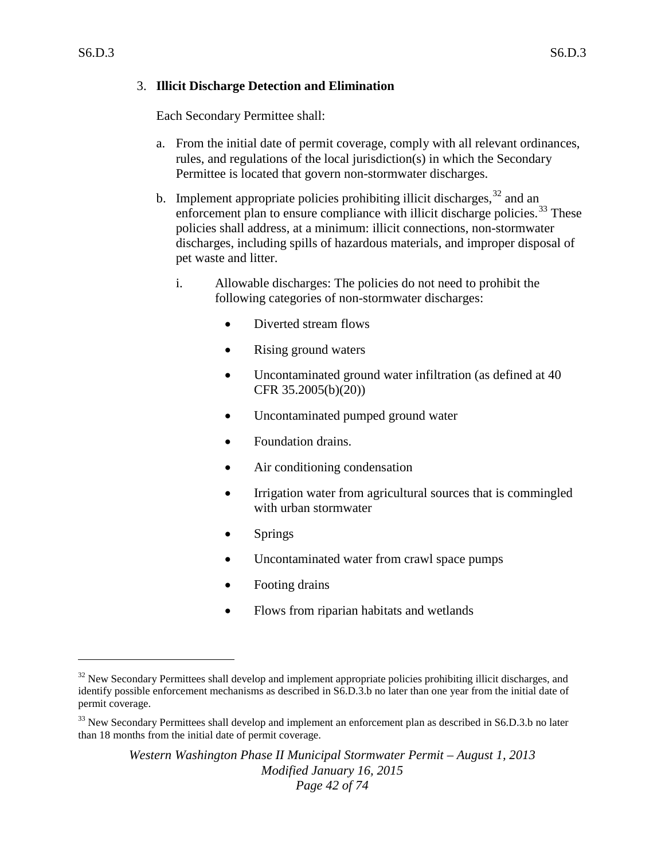$\overline{a}$ 

### 3. **Illicit Discharge Detection and Elimination**

Each Secondary Permittee shall:

- a. From the initial date of permit coverage, comply with all relevant ordinances, rules, and regulations of the local jurisdiction(s) in which the Secondary Permittee is located that govern non-stormwater discharges.
- b. Implement appropriate policies prohibiting illicit discharges,  $32$  and an enforcement plan to ensure compliance with illicit discharge policies.<sup>[33](#page-41-1)</sup> These policies shall address, at a minimum: illicit connections, non-stormwater discharges, including spills of hazardous materials, and improper disposal of pet waste and litter.
	- i. Allowable discharges: The policies do not need to prohibit the following categories of non-stormwater discharges:
		- Diverted stream flows
		- Rising ground waters
		- Uncontaminated ground water infiltration (as defined at 40 CFR 35.2005(b)(20))
		- Uncontaminated pumped ground water
		- Foundation drains.
		- Air conditioning condensation
		- Irrigation water from agricultural sources that is commingled with urban stormwater
		- Springs
		- Uncontaminated water from crawl space pumps
		- Footing drains
		- Flows from riparian habitats and wetlands

*Western Washington Phase II Municipal Stormwater Permit – August 1, 2013 Modified January 16, 2015 Page 42 of 74*

<span id="page-41-0"></span> $32$  New Secondary Permittees shall develop and implement appropriate policies prohibiting illicit discharges, and identify possible enforcement mechanisms as described in S6.D.3.b no later than one year from the initial date of permit coverage.

<span id="page-41-1"></span><sup>&</sup>lt;sup>33</sup> New Secondary Permittees shall develop and implement an enforcement plan as described in S6.D.3.b no later than 18 months from the initial date of permit coverage.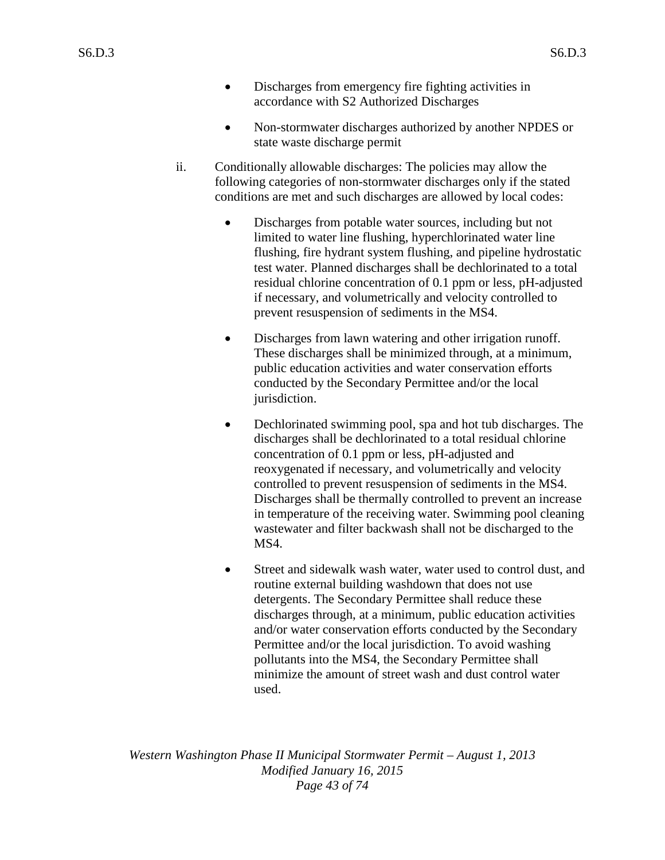- Discharges from emergency fire fighting activities in accordance with S2 Authorized Discharges
- Non-stormwater discharges authorized by another NPDES or state waste discharge permit
- ii. Conditionally allowable discharges: The policies may allow the following categories of non-stormwater discharges only if the stated conditions are met and such discharges are allowed by local codes:
	- Discharges from potable water sources, including but not limited to water line flushing, hyperchlorinated water line flushing, fire hydrant system flushing, and pipeline hydrostatic test water. Planned discharges shall be dechlorinated to a total residual chlorine concentration of 0.1 ppm or less, pH-adjusted if necessary, and volumetrically and velocity controlled to prevent resuspension of sediments in the MS4.
	- Discharges from lawn watering and other irrigation runoff. These discharges shall be minimized through, at a minimum, public education activities and water conservation efforts conducted by the Secondary Permittee and/or the local jurisdiction.
	- Dechlorinated swimming pool, spa and hot tub discharges. The discharges shall be dechlorinated to a total residual chlorine concentration of 0.1 ppm or less, pH-adjusted and reoxygenated if necessary, and volumetrically and velocity controlled to prevent resuspension of sediments in the MS4. Discharges shall be thermally controlled to prevent an increase in temperature of the receiving water. Swimming pool cleaning wastewater and filter backwash shall not be discharged to the MS4.
	- Street and sidewalk wash water, water used to control dust, and routine external building washdown that does not use detergents. The Secondary Permittee shall reduce these discharges through, at a minimum, public education activities and/or water conservation efforts conducted by the Secondary Permittee and/or the local jurisdiction. To avoid washing pollutants into the MS4, the Secondary Permittee shall minimize the amount of street wash and dust control water used.

*Western Washington Phase II Municipal Stormwater Permit – August 1, 2013 Modified January 16, 2015 Page 43 of 74*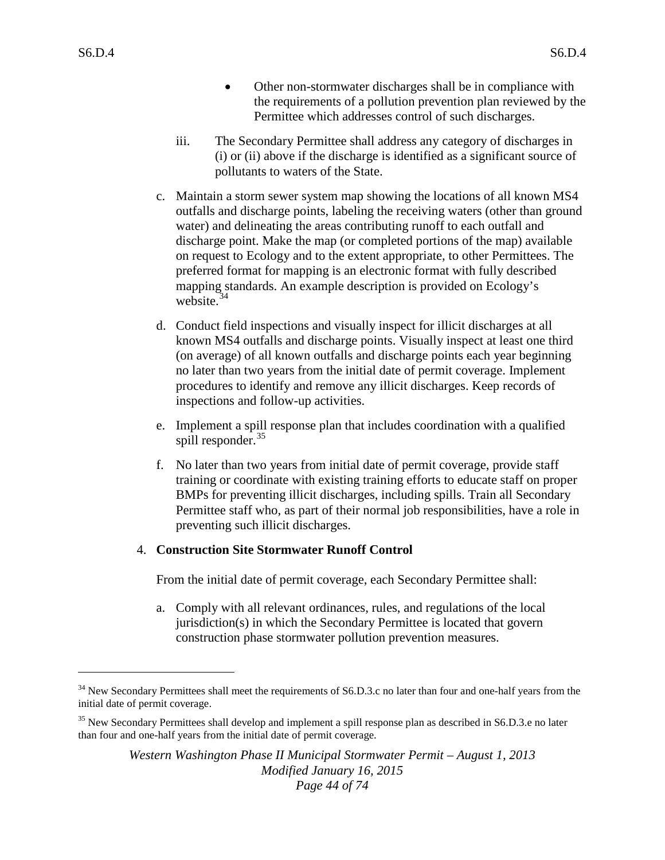$\overline{a}$ 

- Other non-stormwater discharges shall be in compliance with the requirements of a pollution prevention plan reviewed by the Permittee which addresses control of such discharges.
- iii. The Secondary Permittee shall address any category of discharges in (i) or (ii) above if the discharge is identified as a significant source of pollutants to waters of the State.
- c. Maintain a storm sewer system map showing the locations of all known MS4 outfalls and discharge points, labeling the receiving waters (other than ground water) and delineating the areas contributing runoff to each outfall and discharge point. Make the map (or completed portions of the map) available on request to Ecology and to the extent appropriate, to other Permittees. The preferred format for mapping is an electronic format with fully described mapping standards. An example description is provided [on](http://www.ecy.wa.gov/services/gis/data/standards.htm) Ecology's website. [34](#page-43-0)
- d. Conduct field inspections and visually inspect for illicit discharges at all known MS4 outfalls and discharge points. Visually inspect at least one third (on average) of all known outfalls and discharge points each year beginning no later than two years from the initial date of permit coverage. Implement procedures to identify and remove any illicit discharges. Keep records of inspections and follow-up activities.
- e. Implement a spill response plan that includes coordination with a qualified spill responder.<sup>[35](#page-43-1)</sup>
- f. No later than two years from initial date of permit coverage, provide staff training or coordinate with existing training efforts to educate staff on proper BMPs for preventing illicit discharges, including spills. Train all Secondary Permittee staff who, as part of their normal job responsibilities, have a role in preventing such illicit discharges.

#### 4. **Construction Site Stormwater Runoff Control**

From the initial date of permit coverage, each Secondary Permittee shall:

a. Comply with all relevant ordinances, rules, and regulations of the local jurisdiction(s) in which the Secondary Permittee is located that govern construction phase stormwater pollution prevention measures.

<span id="page-43-0"></span><sup>&</sup>lt;sup>34</sup> New Secondary Permittees shall meet the requirements of S6.D.3.c no later than four and one-half years from the initial date of permit coverage.

<span id="page-43-1"></span><sup>&</sup>lt;sup>35</sup> New Secondary Permittees shall develop and implement a spill response plan as described in S6.D.3.e no later than four and one-half years from the initial date of permit coverage.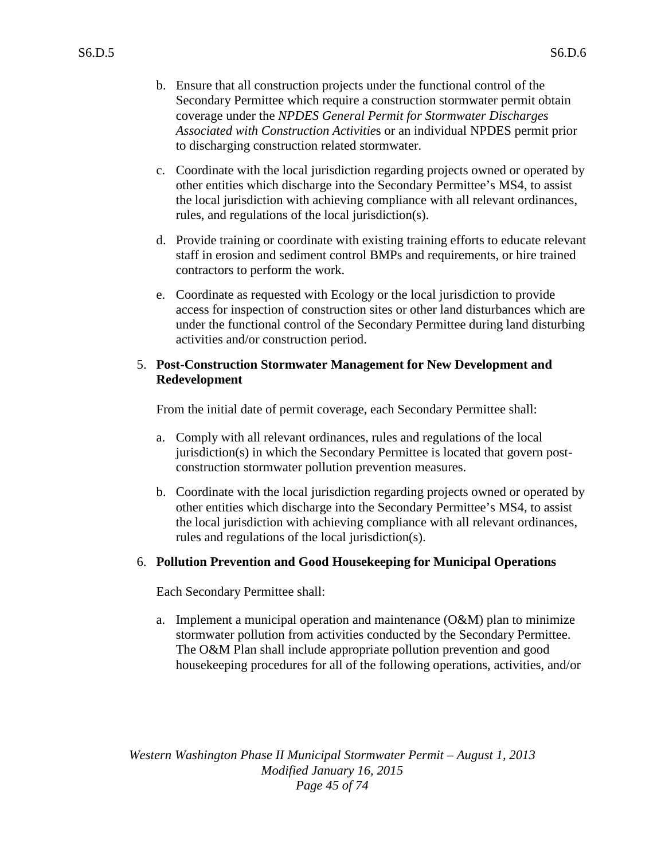- b. Ensure that all construction projects under the functional control of the Secondary Permittee which require a construction stormwater permit obtain coverage under the *NPDES General Permit for Stormwater Discharges Associated with Construction Activitie*s or an individual NPDES permit prior to discharging construction related stormwater.
- c. Coordinate with the local jurisdiction regarding projects owned or operated by other entities which discharge into the Secondary Permittee's MS4, to assist the local jurisdiction with achieving compliance with all relevant ordinances, rules, and regulations of the local jurisdiction(s).
- d. Provide training or coordinate with existing training efforts to educate relevant staff in erosion and sediment control BMPs and requirements, or hire trained contractors to perform the work.
- e. Coordinate as requested with Ecology or the local jurisdiction to provide access for inspection of construction sites or other land disturbances which are under the functional control of the Secondary Permittee during land disturbing activities and/or construction period.

## 5. **Post-Construction Stormwater Management for New Development and Redevelopment**

From the initial date of permit coverage, each Secondary Permittee shall:

- a. Comply with all relevant ordinances, rules and regulations of the local jurisdiction(s) in which the Secondary Permittee is located that govern postconstruction stormwater pollution prevention measures.
- b. Coordinate with the local jurisdiction regarding projects owned or operated by other entities which discharge into the Secondary Permittee's MS4, to assist the local jurisdiction with achieving compliance with all relevant ordinances, rules and regulations of the local jurisdiction(s).

#### 6. **Pollution Prevention and Good Housekeeping for Municipal Operations**

Each Secondary Permittee shall:

a. Implement a municipal operation and maintenance  $(O\&M)$  plan to minimize stormwater pollution from activities conducted by the Secondary Permittee. The O&M Plan shall include appropriate pollution prevention and good housekeeping procedures for all of the following operations, activities, and/or

*Western Washington Phase II Municipal Stormwater Permit – August 1, 2013 Modified January 16, 2015 Page 45 of 74*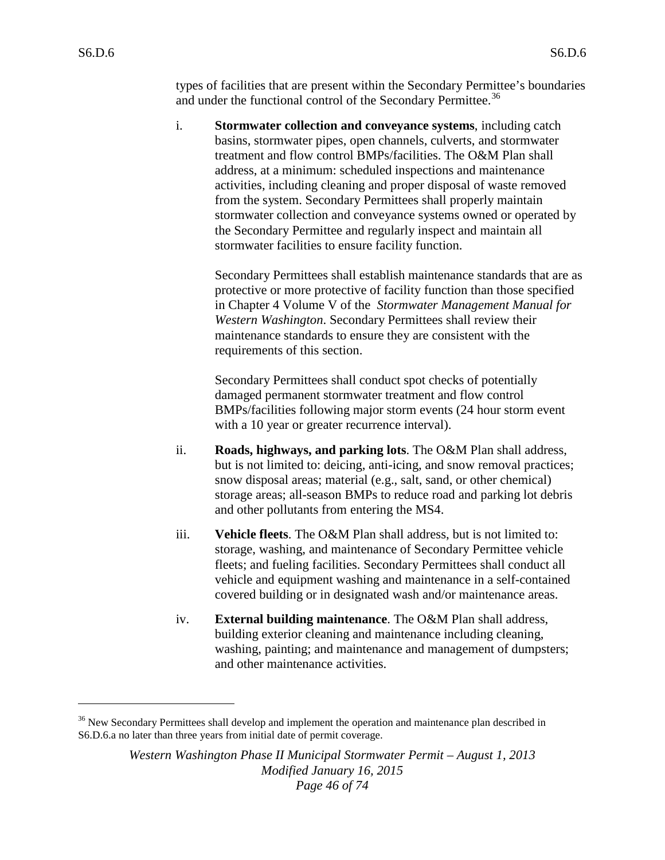types of facilities that are present within the Secondary Permittee's boundaries and under the functional control of the Secondary Permittee.<sup>36</sup>

i. **Stormwater collection and conveyance systems**, including catch basins, stormwater pipes, open channels, culverts, and stormwater treatment and flow control BMPs/facilities. The O&M Plan shall address, at a minimum: scheduled inspections and maintenance activities, including cleaning and proper disposal of waste removed from the system. Secondary Permittees shall properly maintain stormwater collection and conveyance systems owned or operated by the Secondary Permittee and regularly inspect and maintain all stormwater facilities to ensure facility function.

Secondary Permittees shall establish maintenance standards that are as protective or more protective of facility function than those specified in Chapter 4 Volume V of the *Stormwater Management Manual for Western Washington*. Secondary Permittees shall review their maintenance standards to ensure they are consistent with the requirements of this section.

Secondary Permittees shall conduct spot checks of potentially damaged permanent stormwater treatment and flow control BMPs/facilities following major storm events (24 hour storm event with a 10 year or greater recurrence interval).

- ii. **Roads, highways, and parking lots**. The O&M Plan shall address, but is not limited to: deicing, anti-icing, and snow removal practices; snow disposal areas; material (e.g., salt, sand, or other chemical) storage areas; all-season BMPs to reduce road and parking lot debris and other pollutants from entering the MS4.
- iii. **Vehicle fleets**. The O&M Plan shall address, but is not limited to: storage, washing, and maintenance of Secondary Permittee vehicle fleets; and fueling facilities. Secondary Permittees shall conduct all vehicle and equipment washing and maintenance in a self-contained covered building or in designated wash and/or maintenance areas.
- iv. **External building maintenance**. The O&M Plan shall address, building exterior cleaning and maintenance including cleaning, washing, painting; and maintenance and management of dumpsters; and other maintenance activities.

 $\overline{a}$ 

<span id="page-45-0"></span><sup>&</sup>lt;sup>36</sup> New Secondary Permittees shall develop and implement the operation and maintenance plan described in S6.D.6.a no later than three years from initial date of permit coverage.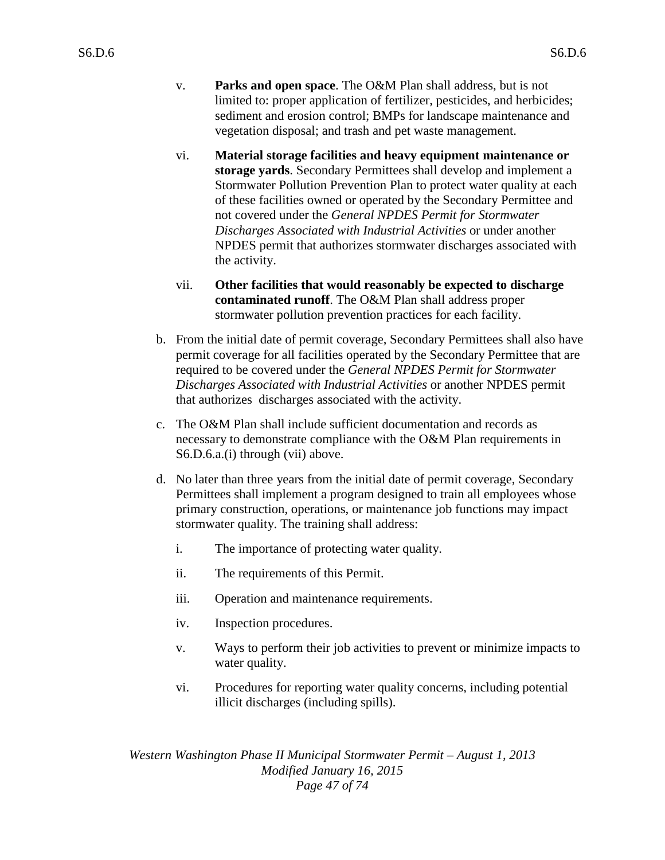- v. **Parks and open space**. The O&M Plan shall address, but is not limited to: proper application of fertilizer, pesticides, and herbicides; sediment and erosion control; BMPs for landscape maintenance and vegetation disposal; and trash and pet waste management.
- vi. **Material storage facilities and heavy equipment maintenance or storage yards**. Secondary Permittees shall develop and implement a Stormwater Pollution Prevention Plan to protect water quality at each of these facilities owned or operated by the Secondary Permittee and not covered under the *General NPDES Permit for Stormwater Discharges Associated with Industrial Activities* or under another NPDES permit that authorizes stormwater discharges associated with the activity.
- vii. **Other facilities that would reasonably be expected to discharge contaminated runoff**. The O&M Plan shall address proper stormwater pollution prevention practices for each facility.
- b. From the initial date of permit coverage, Secondary Permittees shall also have permit coverage for all facilities operated by the Secondary Permittee that are required to be covered under the *General NPDES Permit for Stormwater Discharges Associated with Industrial Activities* or another NPDES permit that authorizes discharges associated with the activity.
- c. The O&M Plan shall include sufficient documentation and records as necessary to demonstrate compliance with the O&M Plan requirements in S6.D.6.a.(i) through (vii) above.
- d. No later than three years from the initial date of permit coverage, Secondary Permittees shall implement a program designed to train all employees whose primary construction, operations, or maintenance job functions may impact stormwater quality. The training shall address:
	- i. The importance of protecting water quality.
	- ii. The requirements of this Permit.
	- iii. Operation and maintenance requirements.
	- iv. Inspection procedures.
	- v. Ways to perform their job activities to prevent or minimize impacts to water quality.
	- vi. Procedures for reporting water quality concerns, including potential illicit discharges (including spills).

*Western Washington Phase II Municipal Stormwater Permit – August 1, 2013 Modified January 16, 2015 Page 47 of 74*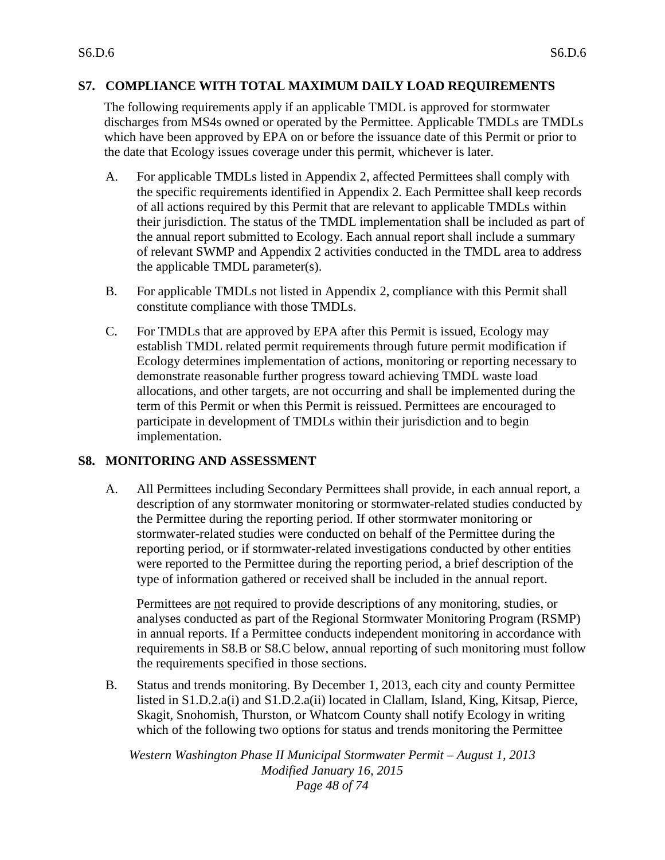## **S7. COMPLIANCE WITH TOTAL MAXIMUM DAILY LOAD REQUIREMENTS**

The following requirements apply if an applicable TMDL is approved for stormwater discharges from MS4s owned or operated by the Permittee. Applicable TMDLs are TMDLs which have been approved by EPA on or before the issuance date of this Permit or prior to the date that Ecology issues coverage under this permit, whichever is later.

- A. For applicable TMDLs listed in Appendix 2, affected Permittees shall comply with the specific requirements identified in Appendix 2. Each Permittee shall keep records of all actions required by this Permit that are relevant to applicable TMDLs within their jurisdiction. The status of the TMDL implementation shall be included as part of the annual report submitted to Ecology. Each annual report shall include a summary of relevant SWMP and Appendix 2 activities conducted in the TMDL area to address the applicable TMDL parameter(s).
- B. For applicable TMDLs not listed in Appendix 2, compliance with this Permit shall constitute compliance with those TMDLs.
- C. For TMDLs that are approved by EPA after this Permit is issued, Ecology may establish TMDL related permit requirements through future permit modification if Ecology determines implementation of actions, monitoring or reporting necessary to demonstrate reasonable further progress toward achieving TMDL waste load allocations, and other targets, are not occurring and shall be implemented during the term of this Permit or when this Permit is reissued. Permittees are encouraged to participate in development of TMDLs within their jurisdiction and to begin implementation.

# **S8. MONITORING AND ASSESSMENT**

A. All Permittees including Secondary Permittees shall provide, in each annual report, a description of any stormwater monitoring or stormwater-related studies conducted by the Permittee during the reporting period. If other stormwater monitoring or stormwater-related studies were conducted on behalf of the Permittee during the reporting period, or if stormwater-related investigations conducted by other entities were reported to the Permittee during the reporting period, a brief description of the type of information gathered or received shall be included in the annual report.

Permittees are not required to provide descriptions of any monitoring, studies, or analyses conducted as part of the Regional Stormwater Monitoring Program (RSMP) in annual reports. If a Permittee conducts independent monitoring in accordance with requirements in S8.B or S8.C below, annual reporting of such monitoring must follow the requirements specified in those sections.

B. Status and trends monitoring. By December 1, 2013, each city and county Permittee listed in S1.D.2.a(i) and S1.D.2.a(ii) located in Clallam, Island, King, Kitsap, Pierce, Skagit, Snohomish, Thurston, or Whatcom County shall notify Ecology in writing which of the following two options for status and trends monitoring the Permittee

*Western Washington Phase II Municipal Stormwater Permit – August 1, 2013 Modified January 16, 2015 Page 48 of 74*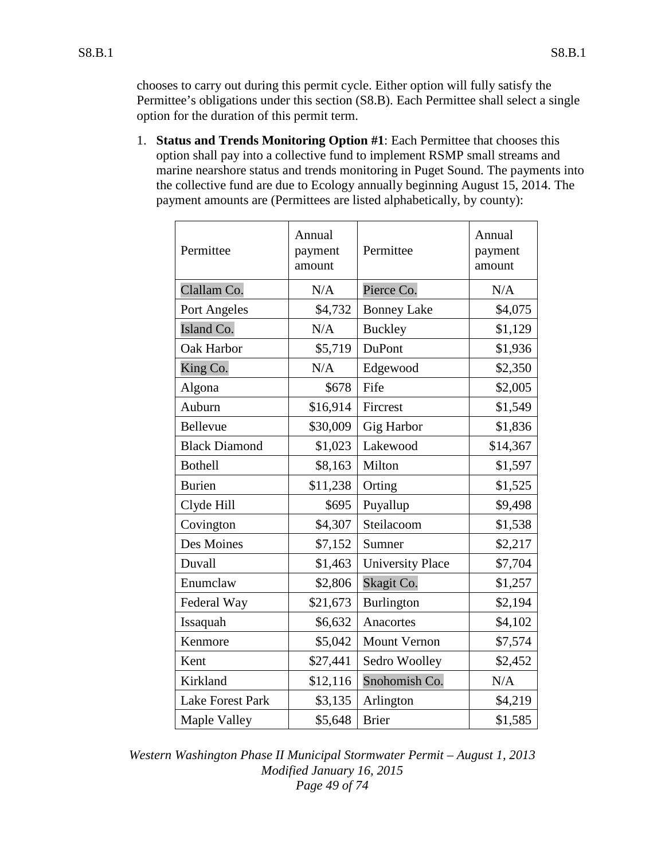1. **Status and Trends Monitoring Option #1**: Each Permittee that chooses this option shall pay into a collective fund to implement RSMP small streams and marine nearshore status and trends monitoring in Puget Sound. The payments into the collective fund are due to Ecology annually beginning August 15, 2014. The payment amounts are (Permittees are listed alphabetically, by county):

| Permittee               | Annual<br>payment<br>amount | Permittee               | Annual<br>payment<br>amount |
|-------------------------|-----------------------------|-------------------------|-----------------------------|
| Clallam Co.             | N/A                         | Pierce Co.              | N/A                         |
| Port Angeles            | \$4,732                     | <b>Bonney Lake</b>      | \$4,075                     |
| Island Co.              | N/A                         | <b>Buckley</b>          | \$1,129                     |
| Oak Harbor              | \$5,719                     | DuPont                  | \$1,936                     |
| King Co.                | N/A                         | Edgewood                | \$2,350                     |
| Algona                  | \$678                       | Fife                    | \$2,005                     |
| Auburn                  | \$16,914                    | Fircrest                | \$1,549                     |
| Bellevue                | \$30,009                    | <b>Gig Harbor</b>       | \$1,836                     |
| <b>Black Diamond</b>    | \$1,023                     | Lakewood                | \$14,367                    |
| <b>Bothell</b>          | \$8,163                     | Milton                  | \$1,597                     |
| <b>Burien</b>           | \$11,238                    | Orting                  | \$1,525                     |
| Clyde Hill              | \$695                       | Puyallup                | \$9,498                     |
| Covington               | \$4,307                     | Steilacoom              | \$1,538                     |
| Des Moines              | \$7,152                     | Sumner                  | \$2,217                     |
| Duvall                  | \$1,463                     | <b>University Place</b> | \$7,704                     |
| Enumclaw                | \$2,806                     | Skagit Co.              | \$1,257                     |
| Federal Way             | \$21,673                    | <b>Burlington</b>       | \$2,194                     |
| Issaquah                | \$6,632                     | Anacortes               | \$4,102                     |
| Kenmore                 | \$5,042                     | Mount Vernon            | \$7,574                     |
| Kent                    | \$27,441                    | Sedro Woolley           | \$2,452                     |
| Kirkland                | \$12,116                    | Snohomish Co.           | N/A                         |
| <b>Lake Forest Park</b> | \$3,135                     | Arlington               | \$4,219                     |
| Maple Valley            | \$5,648                     | <b>Brier</b>            | \$1,585                     |

*Western Washington Phase II Municipal Stormwater Permit – August 1, 2013 Modified January 16, 2015 Page 49 of 74*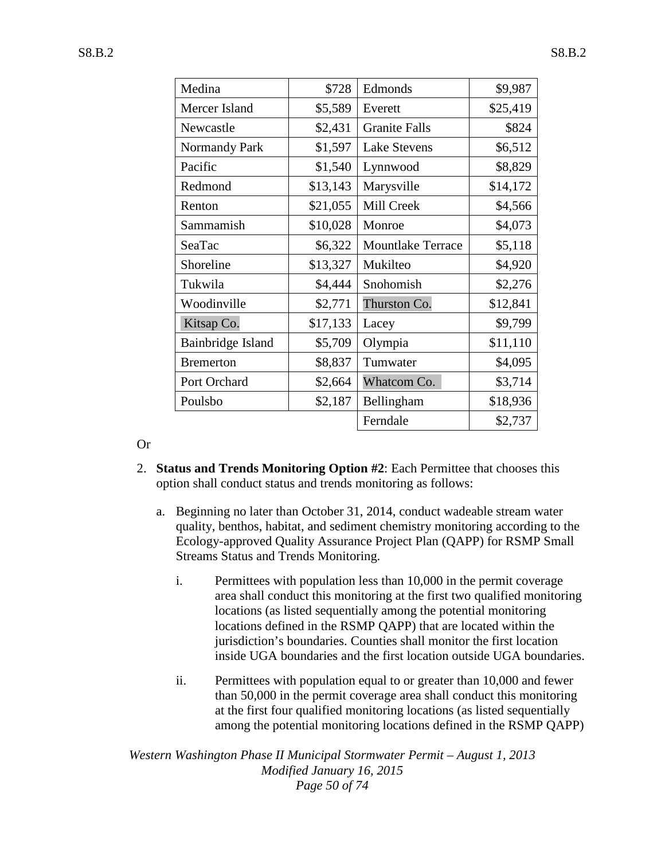| Medina            | \$728    | Edmonds                  | \$9,987  |
|-------------------|----------|--------------------------|----------|
| Mercer Island     | \$5,589  | Everett                  | \$25,419 |
| Newcastle         | \$2,431  | <b>Granite Falls</b>     | \$824    |
| Normandy Park     | \$1,597  | <b>Lake Stevens</b>      | \$6,512  |
| Pacific           | \$1,540  | Lynnwood                 | \$8,829  |
| Redmond           | \$13,143 | Marysville               | \$14,172 |
| Renton            | \$21,055 | Mill Creek               | \$4,566  |
| Sammamish         | \$10,028 | Monroe                   | \$4,073  |
| SeaTac            | \$6,322  | <b>Mountlake Terrace</b> | \$5,118  |
| Shoreline         | \$13,327 | Mukilteo                 | \$4,920  |
| Tukwila           | \$4,444  | Snohomish                | \$2,276  |
| Woodinville       | \$2,771  | Thurston Co.             | \$12,841 |
| Kitsap Co.        | \$17,133 | Lacey                    | \$9,799  |
| Bainbridge Island | \$5,709  | Olympia                  | \$11,110 |
| <b>Bremerton</b>  | \$8,837  | Tumwater                 | \$4,095  |
| Port Orchard      | \$2,664  | Whatcom Co.              | \$3,714  |
| Poulsbo           | \$2,187  | Bellingham               | \$18,936 |
|                   |          | Ferndale                 | \$2,737  |

Or

- 2. **Status and Trends Monitoring Option #2**: Each Permittee that chooses this option shall conduct status and trends monitoring as follows:
	- a. Beginning no later than October 31, 2014, conduct wadeable stream water quality, benthos, habitat, and sediment chemistry monitoring according to the Ecology-approved Quality Assurance Project Plan (QAPP) for RSMP Small Streams Status and Trends Monitoring.
		- i. Permittees with population less than 10,000 in the permit coverage area shall conduct this monitoring at the first two qualified monitoring locations (as listed sequentially among the potential monitoring locations defined in the RSMP QAPP) that are located within the jurisdiction's boundaries. Counties shall monitor the first location inside UGA boundaries and the first location outside UGA boundaries.
		- ii. Permittees with population equal to or greater than 10,000 and fewer than 50,000 in the permit coverage area shall conduct this monitoring at the first four qualified monitoring locations (as listed sequentially among the potential monitoring locations defined in the RSMP QAPP)

*Western Washington Phase II Municipal Stormwater Permit – August 1, 2013 Modified January 16, 2015 Page 50 of 74*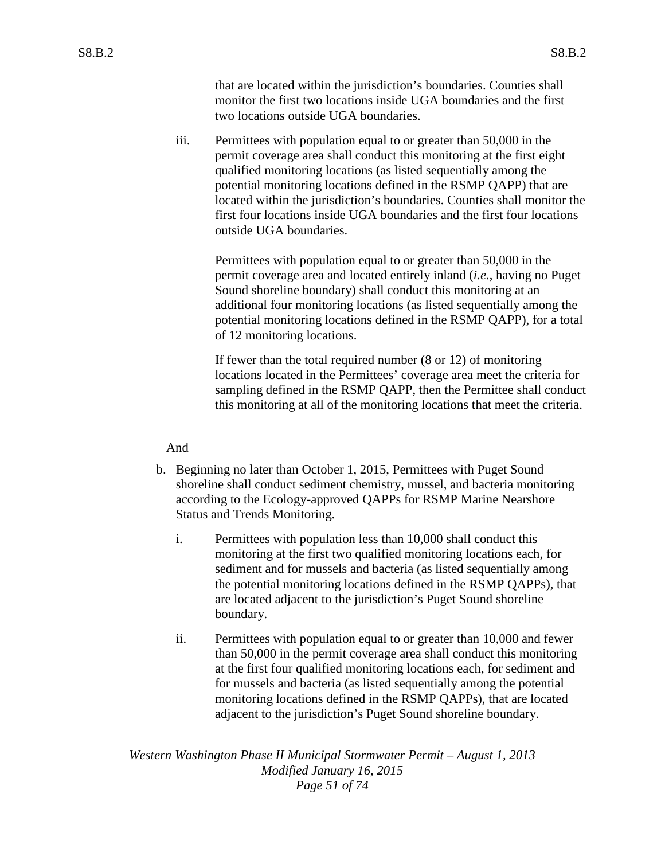that are located within the jurisdiction's boundaries. Counties shall monitor the first two locations inside UGA boundaries and the first two locations outside UGA boundaries.

iii. Permittees with population equal to or greater than 50,000 in the permit coverage area shall conduct this monitoring at the first eight qualified monitoring locations (as listed sequentially among the potential monitoring locations defined in the RSMP QAPP) that are located within the jurisdiction's boundaries. Counties shall monitor the first four locations inside UGA boundaries and the first four locations outside UGA boundaries.

> Permittees with population equal to or greater than 50,000 in the permit coverage area and located entirely inland (*i.e.*, having no Puget Sound shoreline boundary) shall conduct this monitoring at an additional four monitoring locations (as listed sequentially among the potential monitoring locations defined in the RSMP QAPP), for a total of 12 monitoring locations.

If fewer than the total required number (8 or 12) of monitoring locations located in the Permittees' coverage area meet the criteria for sampling defined in the RSMP QAPP, then the Permittee shall conduct this monitoring at all of the monitoring locations that meet the criteria.

#### And

- b. Beginning no later than October 1, 2015, Permittees with Puget Sound shoreline shall conduct sediment chemistry, mussel, and bacteria monitoring according to the Ecology-approved QAPPs for RSMP Marine Nearshore Status and Trends Monitoring.
	- i. Permittees with population less than 10,000 shall conduct this monitoring at the first two qualified monitoring locations each, for sediment and for mussels and bacteria (as listed sequentially among the potential monitoring locations defined in the RSMP QAPPs), that are located adjacent to the jurisdiction's Puget Sound shoreline boundary.
	- ii. Permittees with population equal to or greater than 10,000 and fewer than 50,000 in the permit coverage area shall conduct this monitoring at the first four qualified monitoring locations each, for sediment and for mussels and bacteria (as listed sequentially among the potential monitoring locations defined in the RSMP QAPPs), that are located adjacent to the jurisdiction's Puget Sound shoreline boundary.

*Western Washington Phase II Municipal Stormwater Permit – August 1, 2013 Modified January 16, 2015 Page 51 of 74*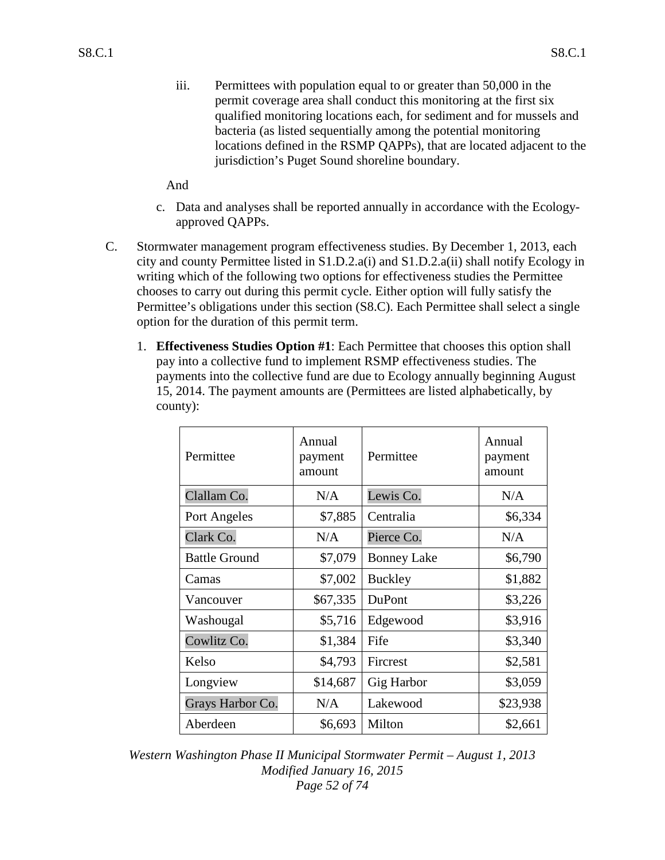iii. Permittees with population equal to or greater than 50,000 in the permit coverage area shall conduct this monitoring at the first six qualified monitoring locations each, for sediment and for mussels and bacteria (as listed sequentially among the potential monitoring locations defined in the RSMP QAPPs), that are located adjacent to the jurisdiction's Puget Sound shoreline boundary.

And

- c. Data and analyses shall be reported annually in accordance with the Ecologyapproved QAPPs.
- C. Stormwater management program effectiveness studies. By December 1, 2013, each city and county Permittee listed in S1.D.2.a(i) and S1.D.2.a(ii) shall notify Ecology in writing which of the following two options for effectiveness studies the Permittee chooses to carry out during this permit cycle. Either option will fully satisfy the Permittee's obligations under this section (S8.C). Each Permittee shall select a single option for the duration of this permit term.
	- 1. **Effectiveness Studies Option #1**: Each Permittee that chooses this option shall pay into a collective fund to implement RSMP effectiveness studies. The payments into the collective fund are due to Ecology annually beginning August 15, 2014. The payment amounts are (Permittees are listed alphabetically, by county):

| Permittee            | Annual<br>payment<br>amount | Permittee          | Annual<br>payment<br>amount |
|----------------------|-----------------------------|--------------------|-----------------------------|
| Clallam Co.          | N/A                         | Lewis Co.          | N/A                         |
| Port Angeles         | \$7,885                     | Centralia          | \$6,334                     |
| Clark Co.            | N/A                         | Pierce Co.         | N/A                         |
| <b>Battle Ground</b> | \$7,079                     | <b>Bonney Lake</b> | \$6,790                     |
| Camas                | \$7,002                     | <b>Buckley</b>     | \$1,882                     |
| Vancouver            | \$67,335                    | DuPont             | \$3,226                     |
| Washougal            | \$5,716                     | Edgewood           | \$3,916                     |
| Cowlitz Co.          | \$1,384                     | Fife               | \$3,340                     |
| Kelso                | \$4,793                     | Fircrest           | \$2,581                     |
| Longview             | \$14,687                    | Gig Harbor         | \$3,059                     |
| Grays Harbor Co.     | N/A                         | Lakewood           | \$23,938                    |
| Aberdeen             | \$6,693                     | Milton             | \$2,661                     |

*Western Washington Phase II Municipal Stormwater Permit – August 1, 2013 Modified January 16, 2015 Page 52 of 74*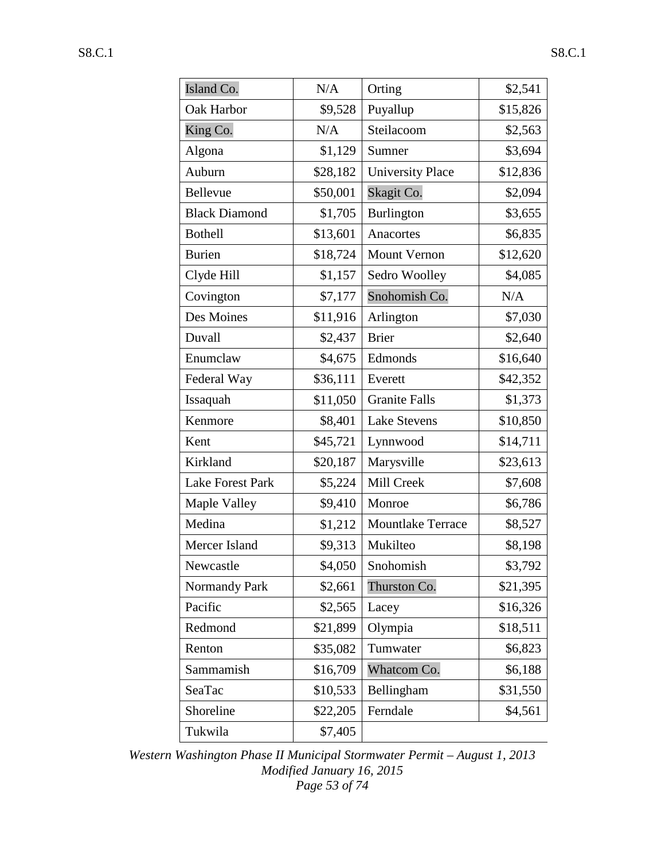| Island Co.           | N/A      | Orting                   | \$2,541  |
|----------------------|----------|--------------------------|----------|
| <b>Oak Harbor</b>    | \$9,528  | Puyallup                 | \$15,826 |
| King Co.             | N/A      | Steilacoom               | \$2,563  |
| Algona               | \$1,129  | Sumner                   | \$3,694  |
| Auburn               | \$28,182 | <b>University Place</b>  | \$12,836 |
| Bellevue             | \$50,001 | Skagit Co.               | \$2,094  |
| <b>Black Diamond</b> | \$1,705  | Burlington               | \$3,655  |
| <b>Bothell</b>       | \$13,601 | Anacortes                | \$6,835  |
| <b>Burien</b>        | \$18,724 | <b>Mount Vernon</b>      | \$12,620 |
| Clyde Hill           | \$1,157  | Sedro Woolley            | \$4,085  |
| Covington            | \$7,177  | Snohomish Co.            | N/A      |
| Des Moines           | \$11,916 | Arlington                | \$7,030  |
| Duvall               | \$2,437  | <b>Brier</b>             | \$2,640  |
| Enumclaw             | \$4,675  | Edmonds                  | \$16,640 |
| Federal Way          | \$36,111 | Everett                  | \$42,352 |
| Issaquah             | \$11,050 | <b>Granite Falls</b>     | \$1,373  |
| Kenmore              | \$8,401  | <b>Lake Stevens</b>      | \$10,850 |
| Kent                 | \$45,721 | Lynnwood                 | \$14,711 |
| Kirkland             | \$20,187 | Marysville               | \$23,613 |
| Lake Forest Park     | \$5,224  | Mill Creek               | \$7,608  |
| Maple Valley         | \$9,410  | Monroe                   | \$6,786  |
| Medina               | \$1,212  | <b>Mountlake Terrace</b> | \$8,527  |
| Mercer Island        | \$9,313  | Mukilteo                 | \$8,198  |
| Newcastle            | \$4,050  | Snohomish                | \$3,792  |
| Normandy Park        | \$2,661  | Thurston Co.             | \$21,395 |
| Pacific              | \$2,565  | Lacey                    | \$16,326 |
| Redmond              | \$21,899 | Olympia                  | \$18,511 |
| Renton               | \$35,082 | Tumwater                 | \$6,823  |
| Sammamish            | \$16,709 | Whatcom Co.              | \$6,188  |
| SeaTac               | \$10,533 | Bellingham               | \$31,550 |
| Shoreline            | \$22,205 | Ferndale                 | \$4,561  |
| Tukwila              | \$7,405  |                          |          |

*Western Washington Phase II Municipal Stormwater Permit – August 1, 2013 Modified January 16, 2015 Page 53 of 74*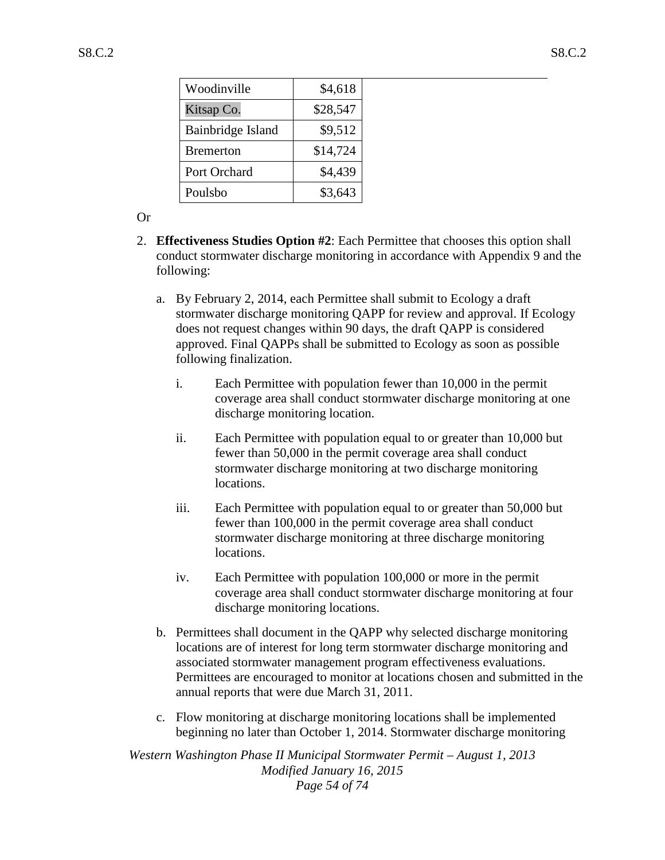| Woodinville       | \$4,618  |
|-------------------|----------|
| Kitsap Co.        | \$28,547 |
| Bainbridge Island | \$9,512  |
| <b>Bremerton</b>  | \$14,724 |
| Port Orchard      | \$4,439  |
| Poulsbo           | \$3,643  |

Or

- 2. **Effectiveness Studies Option #2**: Each Permittee that chooses this option shall conduct stormwater discharge monitoring in accordance with Appendix 9 and the following:
	- a. By February 2, 2014, each Permittee shall submit to Ecology a draft stormwater discharge monitoring QAPP for review and approval. If Ecology does not request changes within 90 days, the draft QAPP is considered approved. Final QAPPs shall be submitted to Ecology as soon as possible following finalization.
		- i. Each Permittee with population fewer than 10,000 in the permit coverage area shall conduct stormwater discharge monitoring at one discharge monitoring location.
		- ii. Each Permittee with population equal to or greater than 10,000 but fewer than 50,000 in the permit coverage area shall conduct stormwater discharge monitoring at two discharge monitoring locations.
		- iii. Each Permittee with population equal to or greater than 50,000 but fewer than 100,000 in the permit coverage area shall conduct stormwater discharge monitoring at three discharge monitoring locations.
		- iv. Each Permittee with population 100,000 or more in the permit coverage area shall conduct stormwater discharge monitoring at four discharge monitoring locations.
	- b. Permittees shall document in the QAPP why selected discharge monitoring locations are of interest for long term stormwater discharge monitoring and associated stormwater management program effectiveness evaluations. Permittees are encouraged to monitor at locations chosen and submitted in the annual reports that were due March 31, 2011.
	- c. Flow monitoring at discharge monitoring locations shall be implemented beginning no later than October 1, 2014. Stormwater discharge monitoring

*Western Washington Phase II Municipal Stormwater Permit – August 1, 2013 Modified January 16, 2015 Page 54 of 74*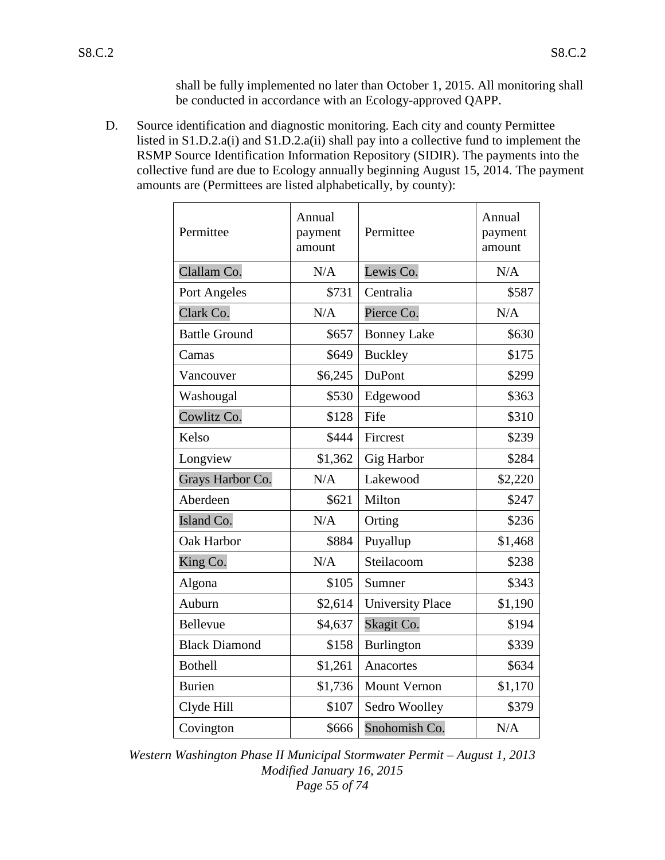shall be fully implemented no later than October 1, 2015. All monitoring shall be conducted in accordance with an Ecology-approved QAPP.

D. Source identification and diagnostic monitoring. Each city and county Permittee listed in S1.D.2.a(i) and S1.D.2.a(ii) shall pay into a collective fund to implement the RSMP Source Identification Information Repository (SIDIR). The payments into the collective fund are due to Ecology annually beginning August 15, 2014. The payment amounts are (Permittees are listed alphabetically, by county):

| Permittee            | Annual<br>payment<br>amount | Permittee               | Annual<br>payment<br>amount |
|----------------------|-----------------------------|-------------------------|-----------------------------|
| Clallam Co.          | N/A                         | Lewis Co.               | N/A                         |
| Port Angeles         | \$731                       | Centralia               | \$587                       |
| Clark Co.            | N/A                         | Pierce Co.              | N/A                         |
| <b>Battle Ground</b> | \$657                       | <b>Bonney Lake</b>      | \$630                       |
| Camas                | \$649                       | <b>Buckley</b>          | \$175                       |
| Vancouver            | \$6,245                     | <b>DuPont</b>           | \$299                       |
| Washougal            | \$530                       | Edgewood                | \$363                       |
| Cowlitz Co.          | \$128                       | Fife                    | \$310                       |
| Kelso                | \$444                       | Fircrest                | \$239                       |
| Longview             | \$1,362                     | Gig Harbor              | \$284                       |
| Grays Harbor Co.     | N/A                         | Lakewood                | \$2,220                     |
| Aberdeen             | \$621                       | Milton                  | \$247                       |
| Island Co.           | N/A                         | Orting                  | \$236                       |
| Oak Harbor           | \$884                       | Puyallup                | \$1,468                     |
| King Co.             | N/A                         | Steilacoom              | \$238                       |
| Algona               | \$105                       | Sumner                  | \$343                       |
| Auburn               | \$2,614                     | <b>University Place</b> | \$1,190                     |
| Bellevue             | \$4,637                     | Skagit Co.              | \$194                       |
| <b>Black Diamond</b> | \$158                       | Burlington              | \$339                       |
| <b>Bothell</b>       | \$1,261                     | Anacortes               | \$634                       |
| <b>Burien</b>        | \$1,736                     | Mount Vernon            | \$1,170                     |
| Clyde Hill           | \$107                       | Sedro Woolley           | \$379                       |
| Covington            | \$666                       | Snohomish Co.           | N/A                         |

*Western Washington Phase II Municipal Stormwater Permit – August 1, 2013 Modified January 16, 2015 Page 55 of 74*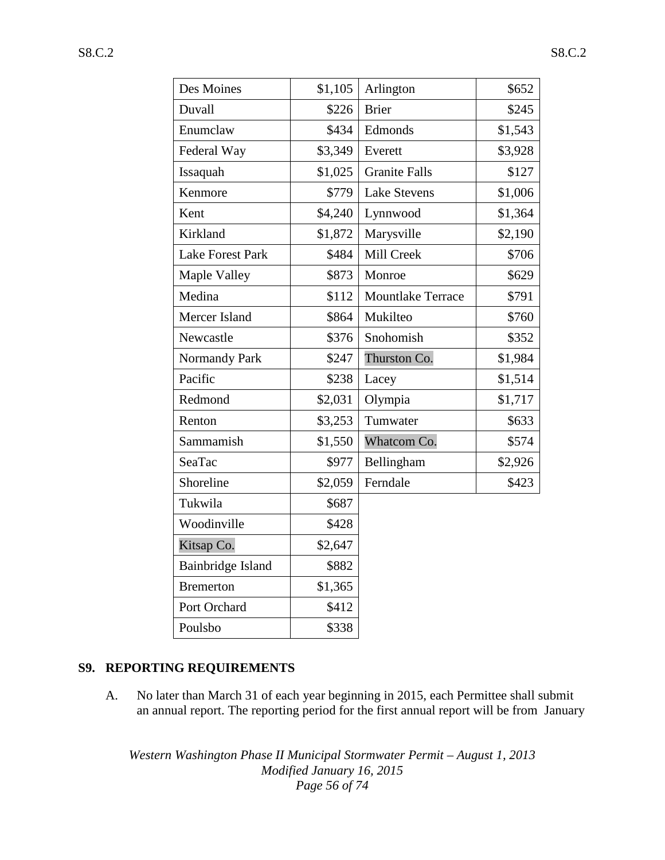| Des Moines              | \$1,105 | Arlington            | \$652   |
|-------------------------|---------|----------------------|---------|
| Duvall                  | \$226   | <b>Brier</b>         | \$245   |
| Enumclaw                | \$434   | Edmonds              | \$1,543 |
| Federal Way             | \$3,349 | Everett              | \$3,928 |
| Issaquah                | \$1,025 | <b>Granite Falls</b> | \$127   |
| Kenmore                 | \$779   | <b>Lake Stevens</b>  | \$1,006 |
| Kent                    | \$4,240 | Lynnwood             | \$1,364 |
| Kirkland                | \$1,872 | Marysville           | \$2,190 |
| <b>Lake Forest Park</b> | \$484   | Mill Creek           | \$706   |
| Maple Valley            | \$873   | Monroe               | \$629   |
| Medina                  | \$112   | Mountlake Terrace    | \$791   |
| Mercer Island           | \$864   | Mukilteo             | \$760   |
| Newcastle               | \$376   | Snohomish            | \$352   |
| Normandy Park           | \$247   | Thurston Co.         | \$1,984 |
| Pacific                 | \$238   | Lacey                | \$1,514 |
| Redmond                 | \$2,031 | Olympia              | \$1,717 |
| Renton                  | \$3,253 | Tumwater             | \$633   |
| Sammamish               | \$1,550 | Whatcom Co.          | \$574   |
| SeaTac                  | \$977   | Bellingham           | \$2,926 |
| Shoreline               | \$2,059 | Ferndale             | \$423   |
| Tukwila                 | \$687   |                      |         |
| Woodinville             | \$428   |                      |         |
| Kitsap Co.              | \$2,647 |                      |         |
| Bainbridge Island       | \$882   |                      |         |
| <b>Bremerton</b>        | \$1,365 |                      |         |
| Port Orchard            | \$412   |                      |         |
| Poulsbo                 | \$338   |                      |         |

## **S9. REPORTING REQUIREMENTS**

A. No later than March 31 of each year beginning in 2015, each Permittee shall submit an annual report. The reporting period for the first annual report will be from January

*Western Washington Phase II Municipal Stormwater Permit – August 1, 2013 Modified January 16, 2015 Page 56 of 74*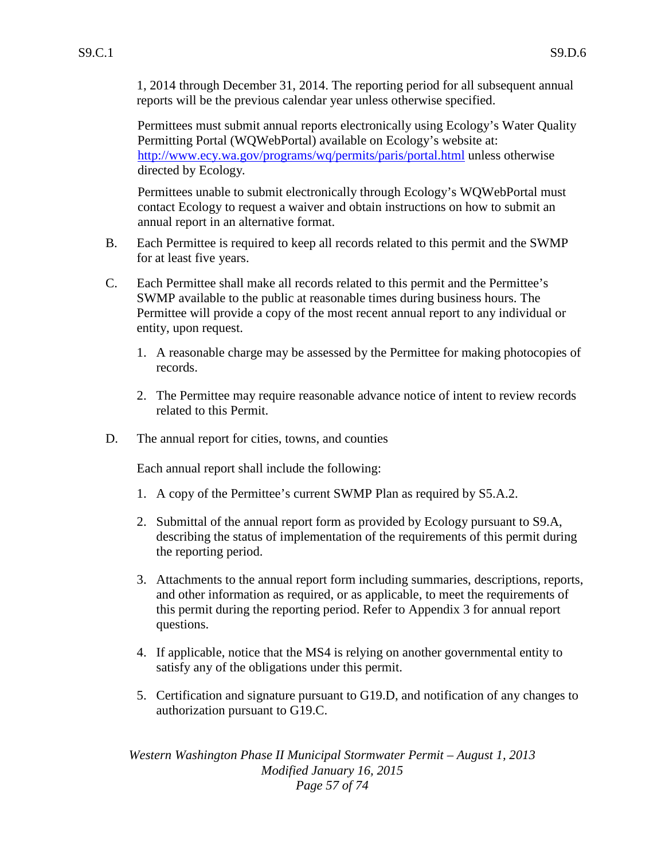1, 2014 through December 31, 2014. The reporting period for all subsequent annual reports will be the previous calendar year unless otherwise specified.

Permittees must submit annual reports electronically using Ecology's Water Quality Permitting Portal (WQWebPortal) available on Ecology's website at: <http://www.ecy.wa.gov/programs/wq/permits/paris/portal.html> unless otherwise directed by Ecology*.*

Permittees unable to submit electronically through Ecology's WQWebPortal must contact Ecology to request a waiver and obtain instructions on how to submit an annual report in an alternative format.

- B. Each Permittee is required to keep all records related to this permit and the SWMP for at least five years.
- C. Each Permittee shall make all records related to this permit and the Permittee's SWMP available to the public at reasonable times during business hours. The Permittee will provide a copy of the most recent annual report to any individual or entity, upon request.
	- 1. A reasonable charge may be assessed by the Permittee for making photocopies of records.
	- 2. The Permittee may require reasonable advance notice of intent to review records related to this Permit.
- D. The annual report for cities, towns, and counties

Each annual report shall include the following:

- 1. A copy of the Permittee's current SWMP Plan as required by S5.A.2.
- 2. Submittal of the annual report form as provided by Ecology pursuant to S9.A, describing the status of implementation of the requirements of this permit during the reporting period.
- 3. Attachments to the annual report form including summaries, descriptions, reports, and other information as required, or as applicable, to meet the requirements of this permit during the reporting period. Refer to Appendix 3 for annual report questions.
- 4. If applicable, notice that the MS4 is relying on another governmental entity to satisfy any of the obligations under this permit.
- 5. Certification and signature pursuant to G19.D, and notification of any changes to authorization pursuant to G19.C.

*Western Washington Phase II Municipal Stormwater Permit – August 1, 2013 Modified January 16, 2015 Page 57 of 74*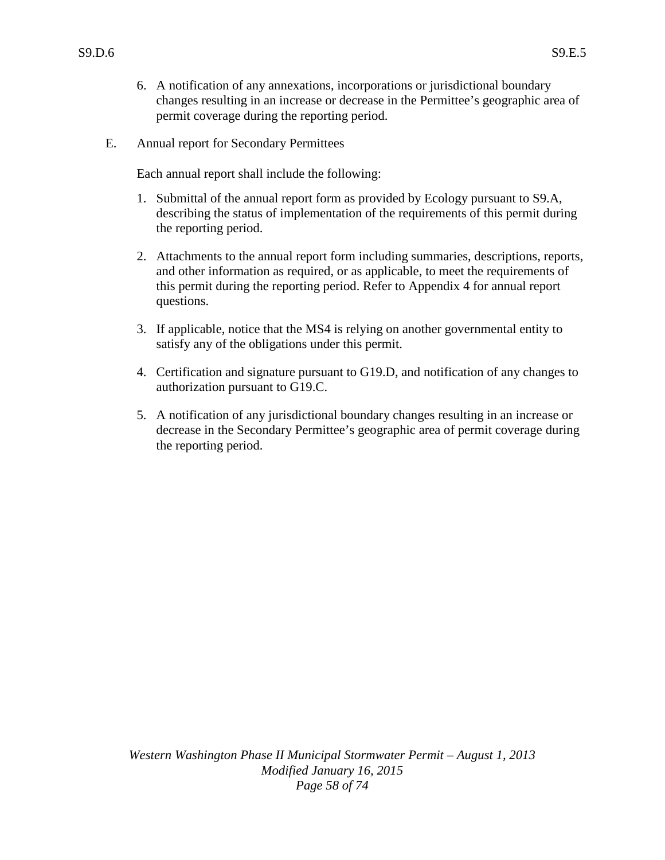- 6. A notification of any annexations, incorporations or jurisdictional boundary changes resulting in an increase or decrease in the Permittee's geographic area of permit coverage during the reporting period.
- E. Annual report for Secondary Permittees

Each annual report shall include the following:

- 1. Submittal of the annual report form as provided by Ecology pursuant to S9.A, describing the status of implementation of the requirements of this permit during the reporting period.
- 2. Attachments to the annual report form including summaries, descriptions, reports, and other information as required, or as applicable, to meet the requirements of this permit during the reporting period. Refer to Appendix 4 for annual report questions.
- 3. If applicable, notice that the MS4 is relying on another governmental entity to satisfy any of the obligations under this permit.
- 4. Certification and signature pursuant to G19.D, and notification of any changes to authorization pursuant to G19.C.
- 5. A notification of any jurisdictional boundary changes resulting in an increase or decrease in the Secondary Permittee's geographic area of permit coverage during the reporting period.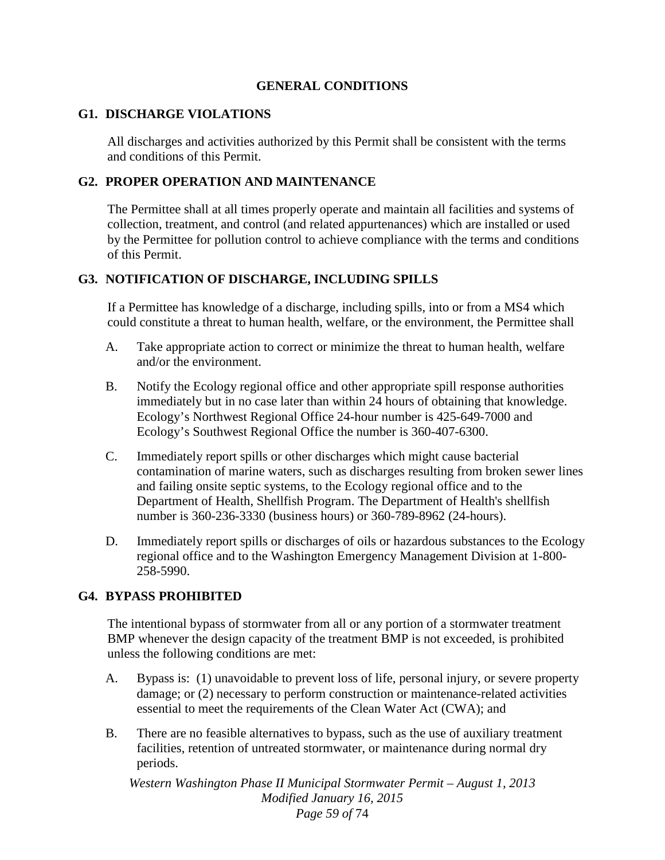## **GENERAL CONDITIONS**

# **G1. DISCHARGE VIOLATIONS**

All discharges and activities authorized by this Permit shall be consistent with the terms and conditions of this Permit.

## **G2. PROPER OPERATION AND MAINTENANCE**

The Permittee shall at all times properly operate and maintain all facilities and systems of collection, treatment, and control (and related appurtenances) which are installed or used by the Permittee for pollution control to achieve compliance with the terms and conditions of this Permit.

## **G3. NOTIFICATION OF DISCHARGE, INCLUDING SPILLS**

If a Permittee has knowledge of a discharge, including spills, into or from a MS4 which could constitute a threat to human health, welfare, or the environment, the Permittee shall

- A. Take appropriate action to correct or minimize the threat to human health, welfare and/or the environment.
- B. Notify the Ecology regional office and other appropriate spill response authorities immediately but in no case later than within 24 hours of obtaining that knowledge. Ecology's Northwest Regional Office 24-hour number is 425-649-7000 and Ecology's Southwest Regional Office the number is 360-407-6300.
- C. Immediately report spills or other discharges which might cause bacterial contamination of marine waters, such as discharges resulting from broken sewer lines and failing onsite septic systems, to the Ecology regional office and to the Department of Health, Shellfish Program. The Department of Health's shellfish number is 360-236-3330 (business hours) or 360-789-8962 (24-hours).
- D. Immediately report spills or discharges of oils or hazardous substances to the Ecology regional office and to the Washington Emergency Management Division at 1-800- 258-5990.

# **G4. BYPASS PROHIBITED**

The intentional bypass of stormwater from all or any portion of a stormwater treatment BMP whenever the design capacity of the treatment BMP is not exceeded, is prohibited unless the following conditions are met:

- A. Bypass is: (1) unavoidable to prevent loss of life, personal injury, or severe property damage; or (2) necessary to perform construction or maintenance-related activities essential to meet the requirements of the Clean Water Act (CWA); and
- B. There are no feasible alternatives to bypass, such as the use of auxiliary treatment facilities, retention of untreated stormwater, or maintenance during normal dry periods.

*Western Washington Phase II Municipal Stormwater Permit – August 1, 2013 Modified January 16, 2015 Page 59 of* 74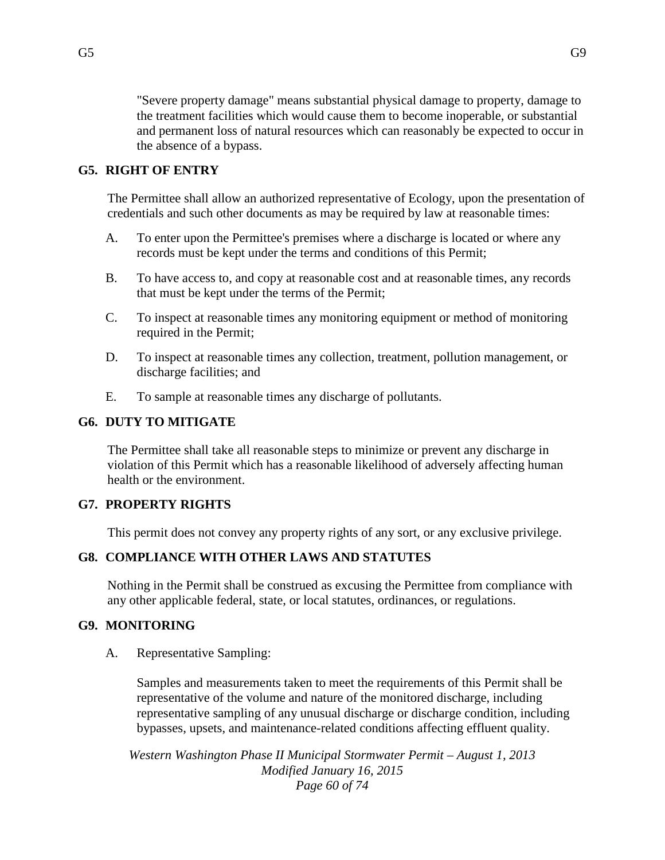"Severe property damage" means substantial physical damage to property, damage to the treatment facilities which would cause them to become inoperable, or substantial and permanent loss of natural resources which can reasonably be expected to occur in the absence of a bypass.

### **G5. RIGHT OF ENTRY**

The Permittee shall allow an authorized representative of Ecology, upon the presentation of credentials and such other documents as may be required by law at reasonable times:

- A. To enter upon the Permittee's premises where a discharge is located or where any records must be kept under the terms and conditions of this Permit;
- B. To have access to, and copy at reasonable cost and at reasonable times, any records that must be kept under the terms of the Permit;
- C. To inspect at reasonable times any monitoring equipment or method of monitoring required in the Permit;
- D. To inspect at reasonable times any collection, treatment, pollution management, or discharge facilities; and
- E. To sample at reasonable times any discharge of pollutants.

#### **G6. DUTY TO MITIGATE**

The Permittee shall take all reasonable steps to minimize or prevent any discharge in violation of this Permit which has a reasonable likelihood of adversely affecting human health or the environment.

#### **G7. PROPERTY RIGHTS**

This permit does not convey any property rights of any sort, or any exclusive privilege.

## **G8. COMPLIANCE WITH OTHER LAWS AND STATUTES**

Nothing in the Permit shall be construed as excusing the Permittee from compliance with any other applicable federal, state, or local statutes, ordinances, or regulations.

#### **G9. MONITORING**

A. Representative Sampling:

Samples and measurements taken to meet the requirements of this Permit shall be representative of the volume and nature of the monitored discharge, including representative sampling of any unusual discharge or discharge condition, including bypasses, upsets, and maintenance-related conditions affecting effluent quality.

*Western Washington Phase II Municipal Stormwater Permit – August 1, 2013 Modified January 16, 2015 Page 60 of 74*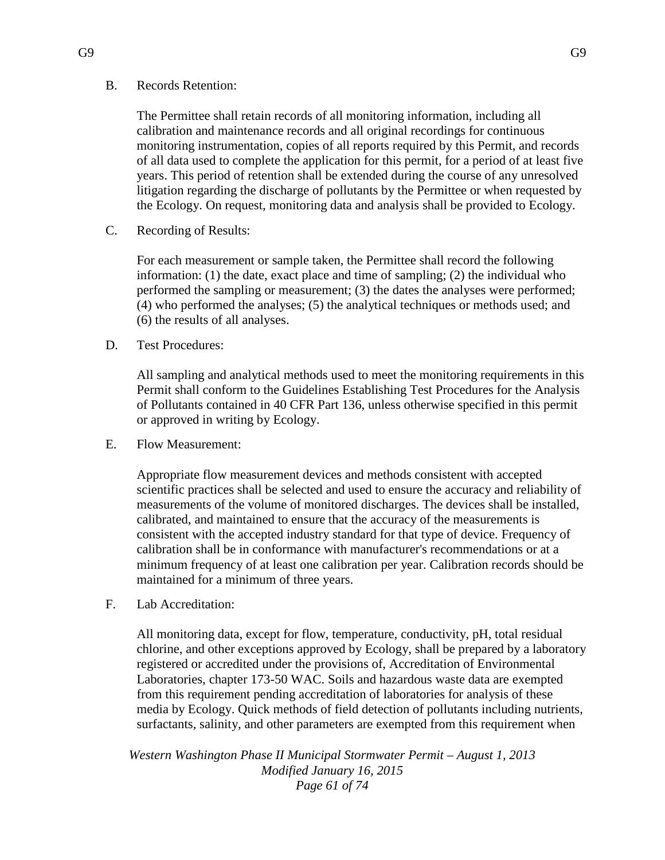#### B. Records Retention:

The Permittee shall retain records of all monitoring information, including all calibration and maintenance records and all original recordings for continuous monitoring instrumentation, copies of all reports required by this Permit, and records of all data used to complete the application for this permit, for a period of at least five years. This period of retention shall be extended during the course of any unresolved litigation regarding the discharge of pollutants by the Permittee or when requested by the Ecology. On request, monitoring data and analysis shall be provided to Ecology.

C. Recording of Results:

For each measurement or sample taken, the Permittee shall record the following information: (1) the date, exact place and time of sampling; (2) the individual who performed the sampling or measurement; (3) the dates the analyses were performed; (4) who performed the analyses; (5) the analytical techniques or methods used; and (6) the results of all analyses.

D. Test Procedures:

All sampling and analytical methods used to meet the monitoring requirements in this Permit shall conform to the Guidelines Establishing Test Procedures for the Analysis of Pollutants contained in 40 CFR Part 136, unless otherwise specified in this permit or approved in writing by Ecology.

E. Flow Measurement:

Appropriate flow measurement devices and methods consistent with accepted scientific practices shall be selected and used to ensure the accuracy and reliability of measurements of the volume of monitored discharges. The devices shall be installed, calibrated, and maintained to ensure that the accuracy of the measurements is consistent with the accepted industry standard for that type of device. Frequency of calibration shall be in conformance with manufacturer's recommendations or at a minimum frequency of at least one calibration per year. Calibration records should be maintained for a minimum of three years.

F. Lab Accreditation:

All monitoring data, except for flow, temperature, conductivity, pH, total residual chlorine, and other exceptions approved by Ecology, shall be prepared by a laboratory registered or accredited under the provisions of, Accreditation of Environmental Laboratories, chapter 173-50 WAC. Soils and hazardous waste data are exempted from this requirement pending accreditation of laboratories for analysis of these media by Ecology. Quick methods of field detection of pollutants including nutrients, surfactants, salinity, and other parameters are exempted from this requirement when

*Western Washington Phase II Municipal Stormwater Permit – August 1, 2013 Modified January 16, 2015 Page 61 of 74*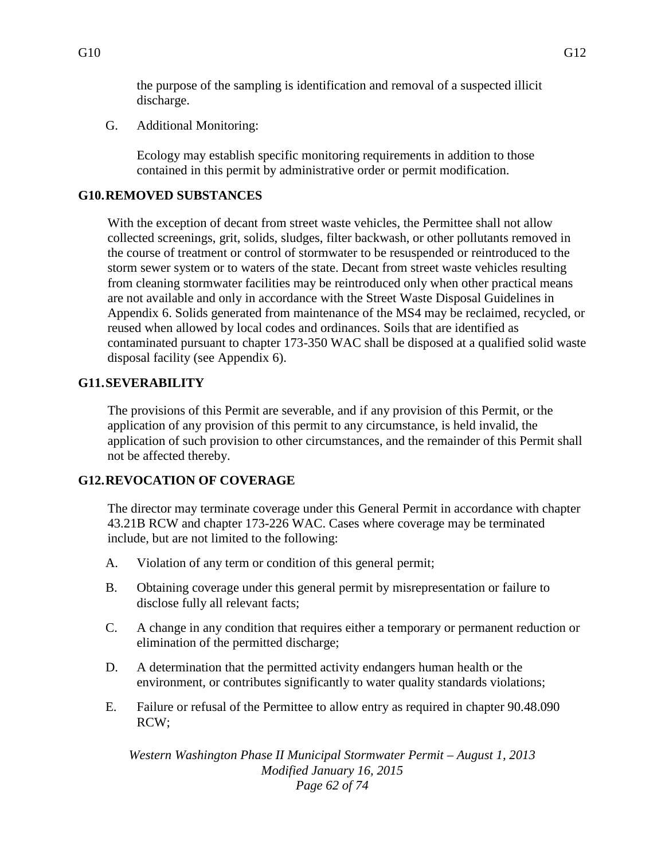the purpose of the sampling is identification and removal of a suspected illicit discharge.

G. Additional Monitoring:

Ecology may establish specific monitoring requirements in addition to those contained in this permit by administrative order or permit modification.

## **G10.REMOVED SUBSTANCES**

With the exception of decant from street waste vehicles, the Permittee shall not allow collected screenings, grit, solids, sludges, filter backwash, or other pollutants removed in the course of treatment or control of stormwater to be resuspended or reintroduced to the storm sewer system or to waters of the state. Decant from street waste vehicles resulting from cleaning stormwater facilities may be reintroduced only when other practical means are not available and only in accordance with the Street Waste Disposal Guidelines in Appendix 6. Solids generated from maintenance of the MS4 may be reclaimed, recycled, or reused when allowed by local codes and ordinances. Soils that are identified as contaminated pursuant to chapter 173-350 WAC shall be disposed at a qualified solid waste disposal facility (see Appendix 6).

# **G11.SEVERABILITY**

The provisions of this Permit are severable, and if any provision of this Permit, or the application of any provision of this permit to any circumstance, is held invalid, the application of such provision to other circumstances, and the remainder of this Permit shall not be affected thereby.

# **G12.REVOCATION OF COVERAGE**

The director may terminate coverage under this General Permit in accordance with chapter 43.21B RCW and chapter 173-226 WAC. Cases where coverage may be terminated include, but are not limited to the following:

- A. Violation of any term or condition of this general permit;
- B. Obtaining coverage under this general permit by misrepresentation or failure to disclose fully all relevant facts;
- C. A change in any condition that requires either a temporary or permanent reduction or elimination of the permitted discharge;
- D. A determination that the permitted activity endangers human health or the environment, or contributes significantly to water quality standards violations;
- E. Failure or refusal of the Permittee to allow entry as required in chapter 90.48.090 RCW;

*Western Washington Phase II Municipal Stormwater Permit – August 1, 2013 Modified January 16, 2015 Page 62 of 74*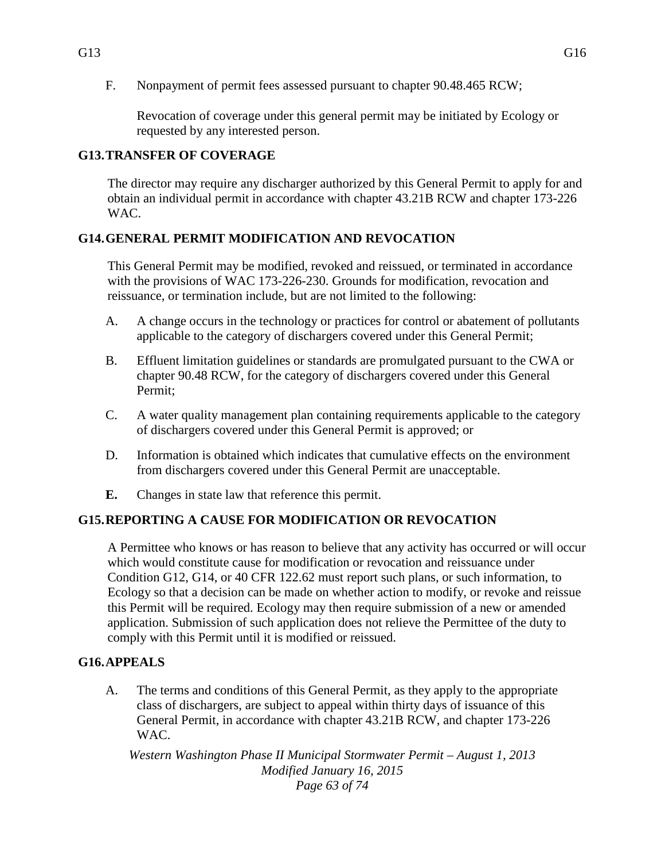F. Nonpayment of permit fees assessed pursuant to chapter 90.48.465 RCW;

Revocation of coverage under this general permit may be initiated by Ecology or requested by any interested person.

# **G13.TRANSFER OF COVERAGE**

The director may require any discharger authorized by this General Permit to apply for and obtain an individual permit in accordance with chapter 43.21B RCW and chapter 173-226 WAC.

# **G14.GENERAL PERMIT MODIFICATION AND REVOCATION**

This General Permit may be modified, revoked and reissued, or terminated in accordance with the provisions of WAC 173-226-230. Grounds for modification, revocation and reissuance, or termination include, but are not limited to the following:

- A. A change occurs in the technology or practices for control or abatement of pollutants applicable to the category of dischargers covered under this General Permit;
- B. Effluent limitation guidelines or standards are promulgated pursuant to the CWA or chapter 90.48 RCW, for the category of dischargers covered under this General Permit;
- C. A water quality management plan containing requirements applicable to the category of dischargers covered under this General Permit is approved; or
- D. Information is obtained which indicates that cumulative effects on the environment from dischargers covered under this General Permit are unacceptable.
- **E.** Changes in state law that reference this permit.

# **G15.REPORTING A CAUSE FOR MODIFICATION OR REVOCATION**

A Permittee who knows or has reason to believe that any activity has occurred or will occur which would constitute cause for modification or revocation and reissuance under Condition G12, G14, or 40 CFR 122.62 must report such plans, or such information, to Ecology so that a decision can be made on whether action to modify, or revoke and reissue this Permit will be required. Ecology may then require submission of a new or amended application. Submission of such application does not relieve the Permittee of the duty to comply with this Permit until it is modified or reissued.

# **G16.APPEALS**

A. The terms and conditions of this General Permit, as they apply to the appropriate class of dischargers, are subject to appeal within thirty days of issuance of this General Permit, in accordance with chapter 43.21B RCW, and chapter 173-226 WAC.

*Western Washington Phase II Municipal Stormwater Permit – August 1, 2013 Modified January 16, 2015 Page 63 of 74*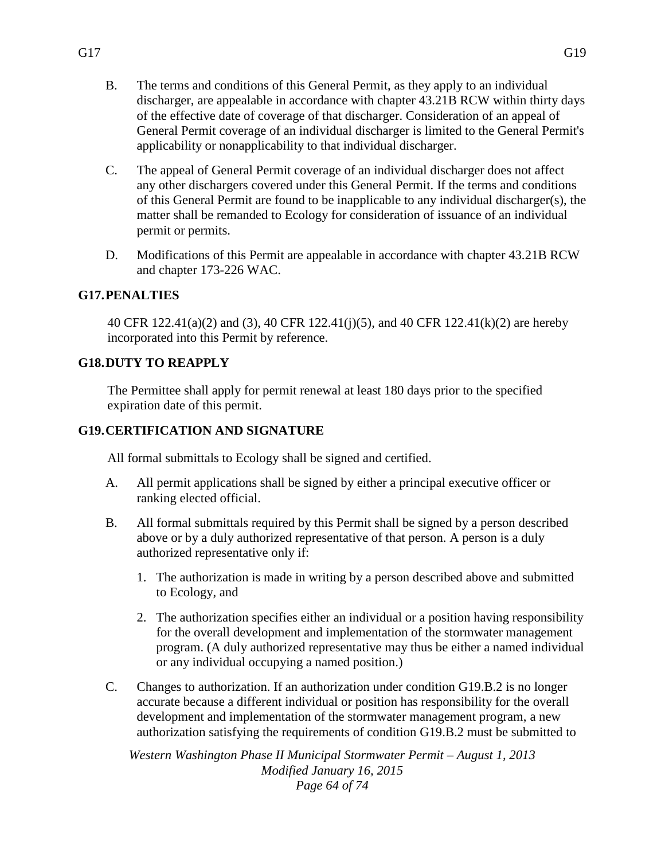- B. The terms and conditions of this General Permit, as they apply to an individual discharger, are appealable in accordance with chapter 43.21B RCW within thirty days of the effective date of coverage of that discharger. Consideration of an appeal of General Permit coverage of an individual discharger is limited to the General Permit's applicability or nonapplicability to that individual discharger.
- C. The appeal of General Permit coverage of an individual discharger does not affect any other dischargers covered under this General Permit. If the terms and conditions of this General Permit are found to be inapplicable to any individual discharger(s), the matter shall be remanded to Ecology for consideration of issuance of an individual permit or permits.
- D. Modifications of this Permit are appealable in accordance with chapter 43.21B RCW and chapter 173-226 WAC.

#### **G17.PENALTIES**

40 CFR 122.41(a)(2) and (3), 40 CFR 122.41(j)(5), and 40 CFR 122.41(k)(2) are hereby incorporated into this Permit by reference.

#### **G18.DUTY TO REAPPLY**

The Permittee shall apply for permit renewal at least 180 days prior to the specified expiration date of this permit.

### **G19.CERTIFICATION AND SIGNATURE**

All formal submittals to Ecology shall be signed and certified.

- A. All permit applications shall be signed by either a principal executive officer or ranking elected official.
- B. All formal submittals required by this Permit shall be signed by a person described above or by a duly authorized representative of that person. A person is a duly authorized representative only if:
	- 1. The authorization is made in writing by a person described above and submitted to Ecology, and
	- 2. The authorization specifies either an individual or a position having responsibility for the overall development and implementation of the stormwater management program. (A duly authorized representative may thus be either a named individual or any individual occupying a named position.)
- C. Changes to authorization. If an authorization under condition G19.B.2 is no longer accurate because a different individual or position has responsibility for the overall development and implementation of the stormwater management program, a new authorization satisfying the requirements of condition G19.B.2 must be submitted to

*Western Washington Phase II Municipal Stormwater Permit – August 1, 2013 Modified January 16, 2015 Page 64 of 74*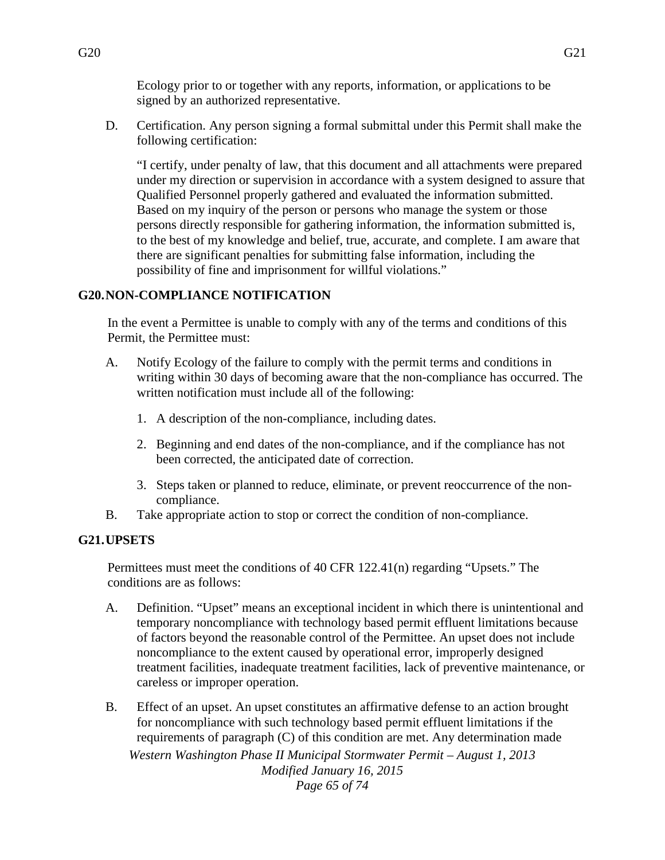Ecology prior to or together with any reports, information, or applications to be signed by an authorized representative.

D. Certification. Any person signing a formal submittal under this Permit shall make the following certification:

"I certify, under penalty of law, that this document and all attachments were prepared under my direction or supervision in accordance with a system designed to assure that Qualified Personnel properly gathered and evaluated the information submitted. Based on my inquiry of the person or persons who manage the system or those persons directly responsible for gathering information, the information submitted is, to the best of my knowledge and belief, true, accurate, and complete. I am aware that there are significant penalties for submitting false information, including the possibility of fine and imprisonment for willful violations."

## **G20.NON-COMPLIANCE NOTIFICATION**

In the event a Permittee is unable to comply with any of the terms and conditions of this Permit, the Permittee must:

- A. Notify Ecology of the failure to comply with the permit terms and conditions in writing within 30 days of becoming aware that the non-compliance has occurred. The written notification must include all of the following:
	- 1. A description of the non-compliance, including dates.
	- 2. Beginning and end dates of the non-compliance, and if the compliance has not been corrected, the anticipated date of correction.
	- 3. Steps taken or planned to reduce, eliminate, or prevent reoccurrence of the noncompliance.
- B. Take appropriate action to stop or correct the condition of non-compliance.

#### **G21.UPSETS**

Permittees must meet the conditions of 40 CFR 122.41(n) regarding "Upsets." The conditions are as follows:

- A. Definition. "Upset" means an exceptional incident in which there is unintentional and temporary noncompliance with technology based permit effluent limitations because of factors beyond the reasonable control of the Permittee. An upset does not include noncompliance to the extent caused by operational error, improperly designed treatment facilities, inadequate treatment facilities, lack of preventive maintenance, or careless or improper operation.
- *Western Washington Phase II Municipal Stormwater Permit – August 1, 2013 Modified January 16, 2015* B. Effect of an upset. An upset constitutes an affirmative defense to an action brought for noncompliance with such technology based permit effluent limitations if the requirements of paragraph (C) of this condition are met. Any determination made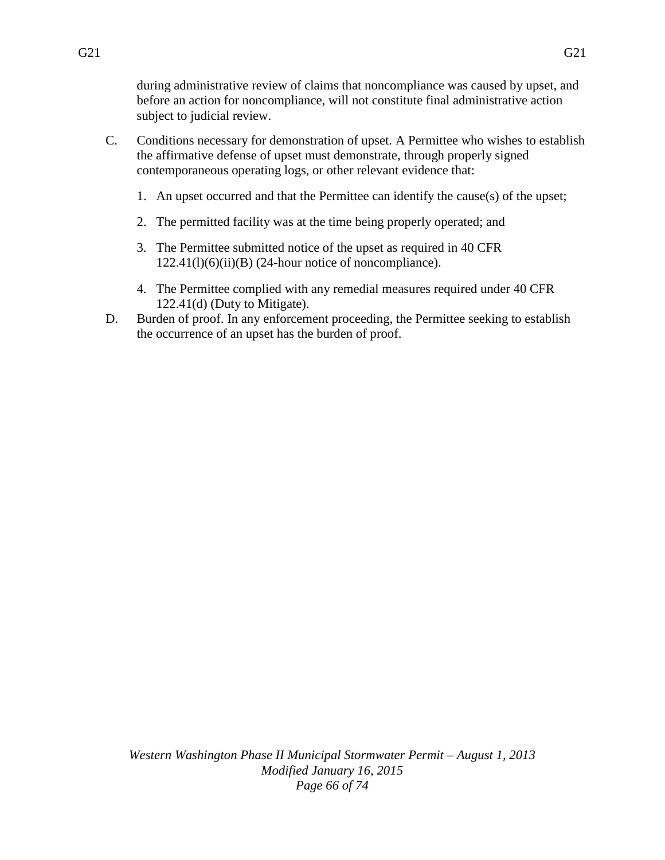during administrative review of claims that noncompliance was caused by upset, and before an action for noncompliance, will not constitute final administrative action subject to judicial review.

- C. Conditions necessary for demonstration of upset. A Permittee who wishes to establish the affirmative defense of upset must demonstrate, through properly signed contemporaneous operating logs, or other relevant evidence that:
	- 1. An upset occurred and that the Permittee can identify the cause(s) of the upset;
	- 2. The permitted facility was at the time being properly operated; and
	- 3. The Permittee submitted notice of the upset as required in 40 CFR  $122.41(l)(6)(ii)(B)$  (24-hour notice of noncompliance).
	- 4. The Permittee complied with any remedial measures required under 40 CFR 122.41(d) (Duty to Mitigate).
- D. Burden of proof. In any enforcement proceeding, the Permittee seeking to establish the occurrence of an upset has the burden of proof.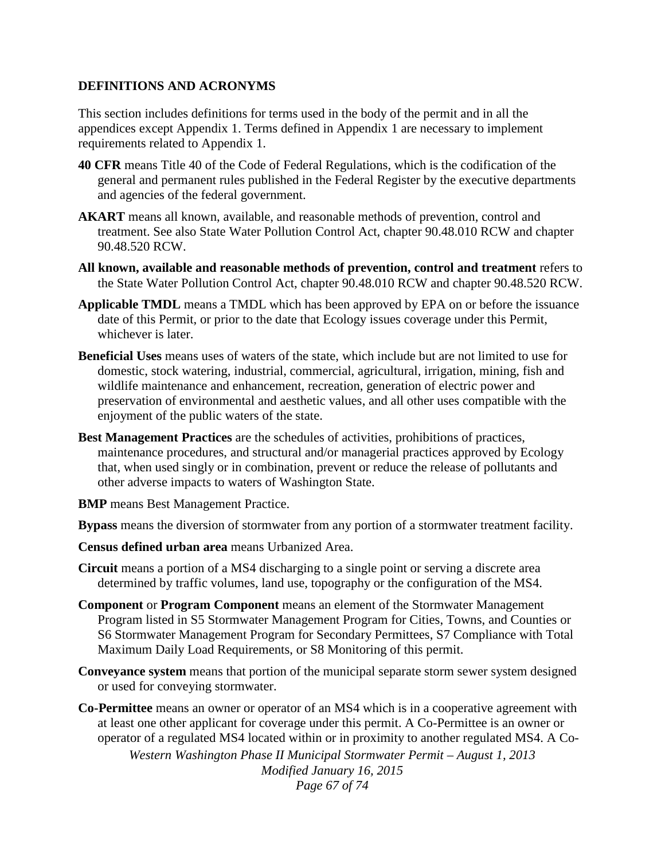## **DEFINITIONS AND ACRONYMS**

This section includes definitions for terms used in the body of the permit and in all the appendices except Appendix 1. Terms defined in Appendix 1 are necessary to implement requirements related to Appendix 1.

- **40 CFR** means Title 40 of the Code of Federal Regulations, which is the codification of the general and permanent rules published in the Federal Register by the executive departments and agencies of the federal government.
- **AKART** means all known, available, and reasonable methods of prevention, control and treatment. See also State Water Pollution Control Act, chapter 90.48.010 RCW and chapter 90.48.520 RCW.
- **All known, available and reasonable methods of prevention, control and treatment** refers to the State Water Pollution Control Act, chapter 90.48.010 RCW and chapter 90.48.520 RCW.
- **Applicable TMDL** means a TMDL which has been approved by EPA on or before the issuance date of this Permit, or prior to the date that Ecology issues coverage under this Permit, whichever is later.
- **Beneficial Uses** means uses of waters of the state, which include but are not limited to use for domestic, stock watering, industrial, commercial, agricultural, irrigation, mining, fish and wildlife maintenance and enhancement, recreation, generation of electric power and preservation of environmental and aesthetic values, and all other uses compatible with the enjoyment of the public waters of the state.
- **Best Management Practices** are the schedules of activities, prohibitions of practices, maintenance procedures, and structural and/or managerial practices approved by Ecology that, when used singly or in combination, prevent or reduce the release of pollutants and other adverse impacts to waters of Washington State.
- **BMP** means Best Management Practice.

**Bypass** means the diversion of stormwater from any portion of a stormwater treatment facility.

- **Census defined urban area** means Urbanized Area.
- **Circuit** means a portion of a MS4 discharging to a single point or serving a discrete area determined by traffic volumes, land use, topography or the configuration of the MS4.
- **Component** or **Program Component** means an element of the Stormwater Management Program listed in S5 Stormwater Management Program for Cities, Towns, and Counties or S6 Stormwater Management Program for Secondary Permittees, S7 Compliance with Total Maximum Daily Load Requirements, or S8 Monitoring of this permit.
- **Conveyance system** means that portion of the municipal separate storm sewer system designed or used for conveying stormwater.
- **Co-Permittee** means an owner or operator of an MS4 which is in a cooperative agreement with at least one other applicant for coverage under this permit. A Co-Permittee is an owner or operator of a regulated MS4 located within or in proximity to another regulated MS4. A Co-

*Western Washington Phase II Municipal Stormwater Permit – August 1, 2013 Modified January 16, 2015 Page 67 of 74*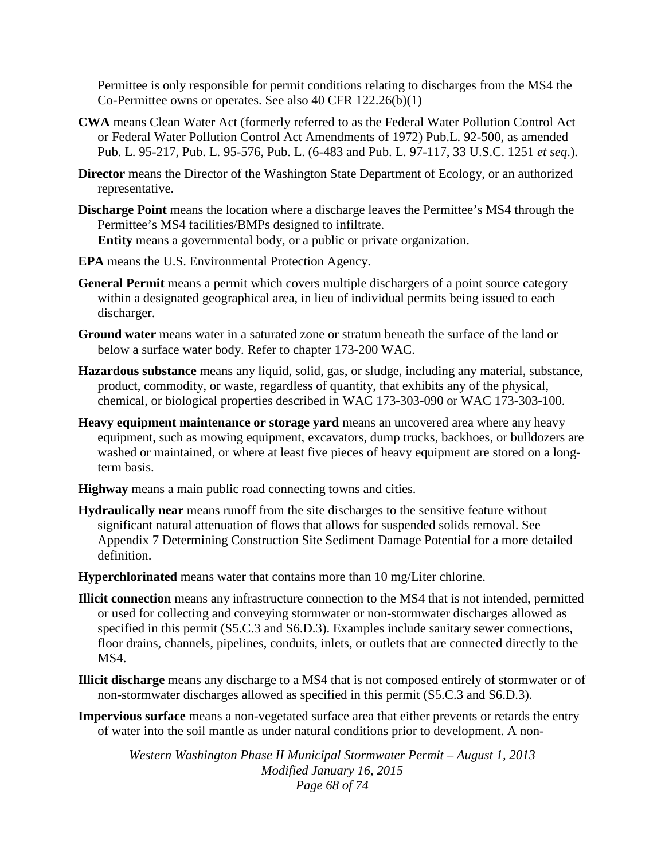Permittee is only responsible for permit conditions relating to discharges from the MS4 the Co-Permittee owns or operates. See also 40 CFR 122.26(b)(1)

- **CWA** means Clean Water Act (formerly referred to as the Federal Water Pollution Control Act or Federal Water Pollution Control Act Amendments of 1972) Pub.L. 92-500, as amended Pub. L. 95-217, Pub. L. 95-576, Pub. L. (6-483 and Pub. L. 97-117, 33 U.S.C. 1251 *et seq*.).
- **Director** means the Director of the Washington State Department of Ecology, or an authorized representative.
- **Discharge Point** means the location where a discharge leaves the Permittee's MS4 through the Permittee's MS4 facilities/BMPs designed to infiltrate. **Entity** means a governmental body, or a public or private organization.
- **EPA** means the U.S. Environmental Protection Agency.
- **General Permit** means a permit which covers multiple dischargers of a point source category within a designated geographical area, in lieu of individual permits being issued to each discharger.
- **Ground water** means water in a saturated zone or stratum beneath the surface of the land or below a surface water body. Refer to chapter 173-200 WAC.
- **Hazardous substance** means any liquid, solid, gas, or sludge, including any material, substance, product, commodity, or waste, regardless of quantity, that exhibits any of the physical, chemical, or biological properties described in WAC 173-303-090 or WAC 173-303-100.
- **Heavy equipment maintenance or storage yard** means an uncovered area where any heavy equipment, such as mowing equipment, excavators, dump trucks, backhoes, or bulldozers are washed or maintained, or where at least five pieces of heavy equipment are stored on a longterm basis.
- **Highway** means a main public road connecting towns and cities.
- **Hydraulically near** means runoff from the site discharges to the sensitive feature without significant natural attenuation of flows that allows for suspended solids removal. See Appendix 7 Determining Construction Site Sediment Damage Potential for a more detailed definition.
- **Hyperchlorinated** means water that contains more than 10 mg/Liter chlorine.
- **Illicit connection** means any infrastructure connection to the MS4 that is not intended, permitted or used for collecting and conveying stormwater or non-stormwater discharges allowed as specified in this permit (S5.C.3 and S6.D.3). Examples include sanitary sewer connections, floor drains, channels, pipelines, conduits, inlets, or outlets that are connected directly to the MS4.
- **Illicit discharge** means any discharge to a MS4 that is not composed entirely of stormwater or of non-stormwater discharges allowed as specified in this permit (S5.C.3 and S6.D.3).
- **Impervious surface** means a non-vegetated surface area that either prevents or retards the entry of water into the soil mantle as under natural conditions prior to development. A non-

*Western Washington Phase II Municipal Stormwater Permit – August 1, 2013 Modified January 16, 2015 Page 68 of 74*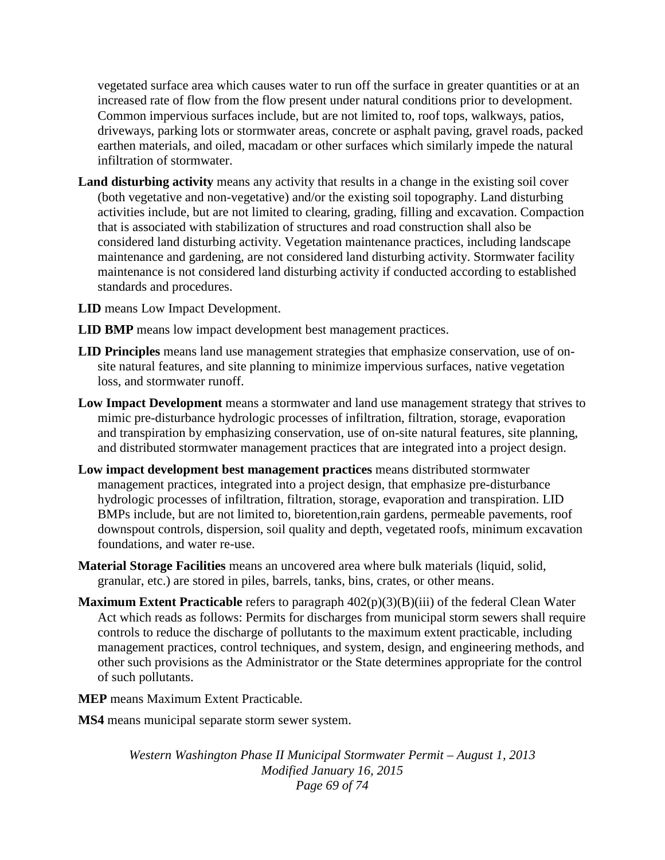vegetated surface area which causes water to run off the surface in greater quantities or at an increased rate of flow from the flow present under natural conditions prior to development. Common impervious surfaces include, but are not limited to, roof tops, walkways, patios, driveways, parking lots or stormwater areas, concrete or asphalt paving, gravel roads, packed earthen materials, and oiled, macadam or other surfaces which similarly impede the natural infiltration of stormwater.

- **Land disturbing activity** means any activity that results in a change in the existing soil cover (both vegetative and non-vegetative) and/or the existing soil topography. Land disturbing activities include, but are not limited to clearing, grading, filling and excavation. Compaction that is associated with stabilization of structures and road construction shall also be considered land disturbing activity. Vegetation maintenance practices, including landscape maintenance and gardening, are not considered land disturbing activity. Stormwater facility maintenance is not considered land disturbing activity if conducted according to established standards and procedures.
- **LID** means Low Impact Development.
- **LID BMP** means low impact development best management practices.
- **LID Principles** means land use management strategies that emphasize conservation, use of onsite natural features, and site planning to minimize impervious surfaces, native vegetation loss, and stormwater runoff.
- **Low Impact Development** means a stormwater and land use management strategy that strives to mimic pre-disturbance hydrologic processes of infiltration, filtration, storage, evaporation and transpiration by emphasizing conservation, use of on-site natural features, site planning, and distributed stormwater management practices that are integrated into a project design.
- **Low impact development best management practices** means distributed stormwater management practices, integrated into a project design, that emphasize pre-disturbance hydrologic processes of infiltration, filtration, storage, evaporation and transpiration. LID BMPs include, but are not limited to, bioretention,rain gardens, permeable pavements, roof downspout controls, dispersion, soil quality and depth, vegetated roofs, minimum excavation foundations, and water re-use.
- **Material Storage Facilities** means an uncovered area where bulk materials (liquid, solid, granular, etc.) are stored in piles, barrels, tanks, bins, crates, or other means.
- **Maximum Extent Practicable** refers to paragraph  $402(p)(3)(B)(iii)$  of the federal Clean Water Act which reads as follows: Permits for discharges from municipal storm sewers shall require controls to reduce the discharge of pollutants to the maximum extent practicable, including management practices, control techniques, and system, design, and engineering methods, and other such provisions as the Administrator or the State determines appropriate for the control of such pollutants.
- **MEP** means Maximum Extent Practicable.

**MS4** means municipal separate storm sewer system.

*Western Washington Phase II Municipal Stormwater Permit – August 1, 2013 Modified January 16, 2015 Page 69 of 74*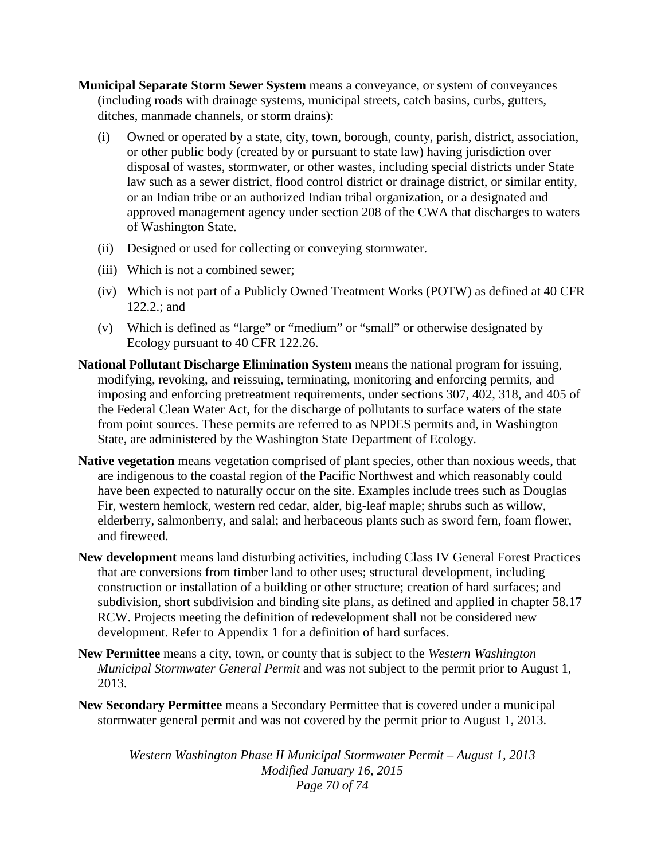- **Municipal Separate Storm Sewer System** means a conveyance, or system of conveyances (including roads with drainage systems, municipal streets, catch basins, curbs, gutters, ditches, manmade channels, or storm drains):
	- (i) Owned or operated by a state, city, town, borough, county, parish, district, association, or other public body (created by or pursuant to state law) having jurisdiction over disposal of wastes, stormwater, or other wastes, including special districts under State law such as a sewer district, flood control district or drainage district, or similar entity, or an Indian tribe or an authorized Indian tribal organization, or a designated and approved management agency under section 208 of the CWA that discharges to waters of Washington State.
	- (ii) Designed or used for collecting or conveying stormwater.
	- (iii) Which is not a combined sewer;
	- (iv) Which is not part of a Publicly Owned Treatment Works (POTW) as defined at 40 CFR 122.2.; and
	- (v) Which is defined as "large" or "medium" or "small" or otherwise designated by Ecology pursuant to 40 CFR 122.26.
- **National Pollutant Discharge Elimination System** means the national program for issuing, modifying, revoking, and reissuing, terminating, monitoring and enforcing permits, and imposing and enforcing pretreatment requirements, under sections 307, 402, 318, and 405 of the Federal Clean Water Act, for the discharge of pollutants to surface waters of the state from point sources. These permits are referred to as NPDES permits and, in Washington State, are administered by the Washington State Department of Ecology.
- **Native vegetation** means vegetation comprised of plant species, other than noxious weeds, that are indigenous to the coastal region of the Pacific Northwest and which reasonably could have been expected to naturally occur on the site. Examples include trees such as Douglas Fir, western hemlock, western red cedar, alder, big-leaf maple; shrubs such as willow, elderberry, salmonberry, and salal; and herbaceous plants such as sword fern, foam flower, and fireweed.
- **New development** means land disturbing activities, including Class IV General Forest Practices that are conversions from timber land to other uses; structural development, including construction or installation of a building or other structure; creation of hard surfaces; and subdivision, short subdivision and binding site plans, as defined and applied in chapter 58.17 RCW. Projects meeting the definition of redevelopment shall not be considered new development. Refer to Appendix 1 for a definition of hard surfaces.
- **New Permittee** means a city, town, or county that is subject to the *Western Washington Municipal Stormwater General Permit* and was not subject to the permit prior to August 1, 2013.
- **New Secondary Permittee** means a Secondary Permittee that is covered under a municipal stormwater general permit and was not covered by the permit prior to August 1, 2013.

*Western Washington Phase II Municipal Stormwater Permit – August 1, 2013 Modified January 16, 2015 Page 70 of 74*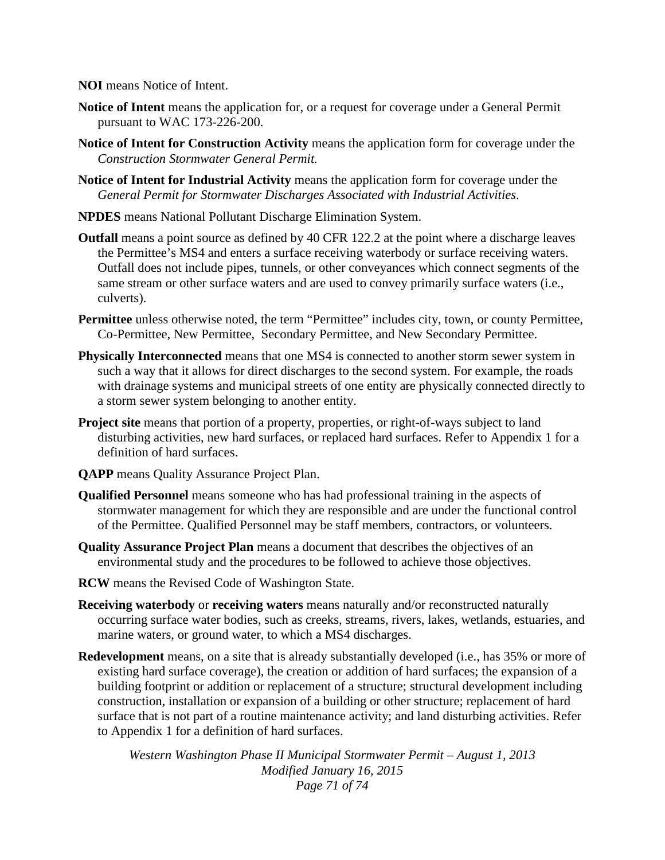**NOI** means Notice of Intent.

- **Notice of Intent** means the application for, or a request for coverage under a General Permit pursuant to WAC 173-226-200.
- **Notice of Intent for Construction Activity** means the application form for coverage under the *Construction Stormwater General Permit.*
- **Notice of Intent for Industrial Activity** means the application form for coverage under the *General Permit for Stormwater Discharges Associated with Industrial Activities*.
- **NPDES** means National Pollutant Discharge Elimination System.
- **Outfall** means a point source as defined by 40 CFR 122.2 at the point where a discharge leaves the Permittee's MS4 and enters a surface receiving waterbody or surface receiving waters. Outfall does not include pipes, tunnels, or other conveyances which connect segments of the same stream or other surface waters and are used to convey primarily surface waters (i.e., culverts).
- Permittee unless otherwise noted, the term "Permittee" includes city, town, or county Permittee, Co-Permittee, New Permittee, Secondary Permittee, and New Secondary Permittee.
- **Physically Interconnected** means that one MS4 is connected to another storm sewer system in such a way that it allows for direct discharges to the second system. For example, the roads with drainage systems and municipal streets of one entity are physically connected directly to a storm sewer system belonging to another entity.
- **Project site** means that portion of a property, properties, or right-of-ways subject to land disturbing activities, new hard surfaces, or replaced hard surfaces. Refer to Appendix 1 for a definition of hard surfaces.
- **QAPP** means Quality Assurance Project Plan.
- **Qualified Personnel** means someone who has had professional training in the aspects of stormwater management for which they are responsible and are under the functional control of the Permittee. Qualified Personnel may be staff members, contractors, or volunteers.
- **Quality Assurance Project Plan** means a document that describes the objectives of an environmental study and the procedures to be followed to achieve those objectives.
- **RCW** means the Revised Code of Washington State.
- **Receiving waterbody** or **receiving waters** means naturally and/or reconstructed naturally occurring surface water bodies, such as creeks, streams, rivers, lakes, wetlands, estuaries, and marine waters, or ground water, to which a MS4 discharges.
- **Redevelopment** means, on a site that is already substantially developed (i.e., has 35% or more of existing hard surface coverage), the creation or addition of hard surfaces; the expansion of a building footprint or addition or replacement of a structure; structural development including construction, installation or expansion of a building or other structure; replacement of hard surface that is not part of a routine maintenance activity; and land disturbing activities. Refer to Appendix 1 for a definition of hard surfaces.

*Western Washington Phase II Municipal Stormwater Permit – August 1, 2013 Modified January 16, 2015 Page 71 of 74*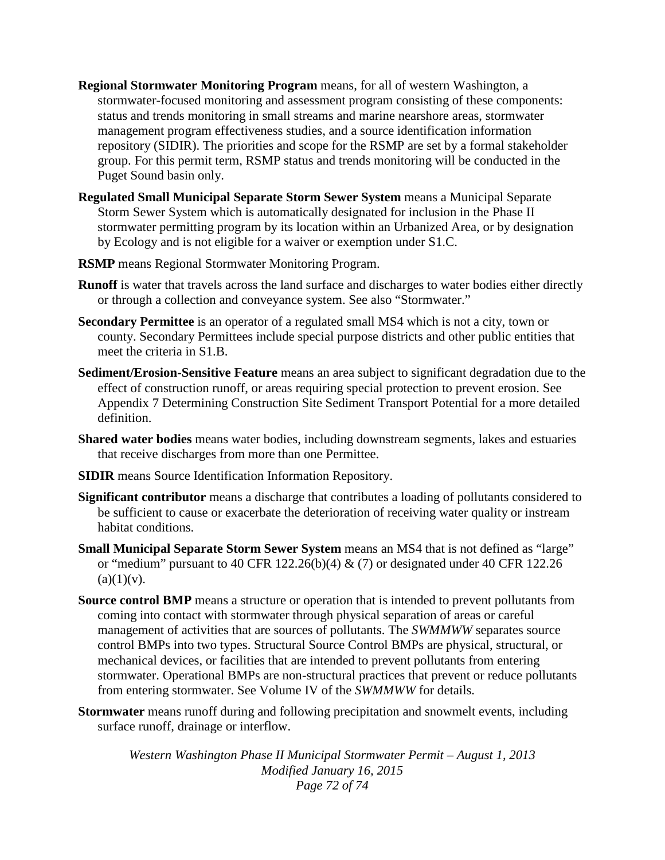- **Regional Stormwater Monitoring Program** means, for all of western Washington, a stormwater-focused monitoring and assessment program consisting of these components: status and trends monitoring in small streams and marine nearshore areas, stormwater management program effectiveness studies, and a source identification information repository (SIDIR). The priorities and scope for the RSMP are set by a formal stakeholder group. For this permit term, RSMP status and trends monitoring will be conducted in the Puget Sound basin only.
- **Regulated Small Municipal Separate Storm Sewer System** means a Municipal Separate Storm Sewer System which is automatically designated for inclusion in the Phase II stormwater permitting program by its location within an Urbanized Area, or by designation by Ecology and is not eligible for a waiver or exemption under S1.C.
- **RSMP** means Regional Stormwater Monitoring Program.
- **Runoff** is water that travels across the land surface and discharges to water bodies either directly or through a collection and conveyance system. See also "Stormwater."
- **Secondary Permittee** is an operator of a regulated small MS4 which is not a city, town or county. Secondary Permittees include special purpose districts and other public entities that meet the criteria in S1.B.
- **Sediment/Erosion-Sensitive Feature** means an area subject to significant degradation due to the effect of construction runoff, or areas requiring special protection to prevent erosion. See Appendix 7 Determining Construction Site Sediment Transport Potential for a more detailed definition.
- **Shared water bodies** means water bodies, including downstream segments, lakes and estuaries that receive discharges from more than one Permittee.
- **SIDIR** means Source Identification Information Repository.
- **Significant contributor** means a discharge that contributes a loading of pollutants considered to be sufficient to cause or exacerbate the deterioration of receiving water quality or instream habitat conditions.
- **Small Municipal Separate Storm Sewer System** means an MS4 that is not defined as "large" or "medium" pursuant to 40 CFR 122.26(b)(4)  $\&$  (7) or designated under 40 CFR 122.26  $(a)(1)(v)$ .
- **Source control BMP** means a structure or operation that is intended to prevent pollutants from coming into contact with stormwater through physical separation of areas or careful management of activities that are sources of pollutants. The *SWMMWW* separates source control BMPs into two types. Structural Source Control BMPs are physical, structural, or mechanical devices, or facilities that are intended to prevent pollutants from entering stormwater. Operational BMPs are non-structural practices that prevent or reduce pollutants from entering stormwater. See Volume IV of the *SWMMWW* for details.
- **Stormwater** means runoff during and following precipitation and snowmelt events, including surface runoff, drainage or interflow.

*Western Washington Phase II Municipal Stormwater Permit – August 1, 2013 Modified January 16, 2015 Page 72 of 74*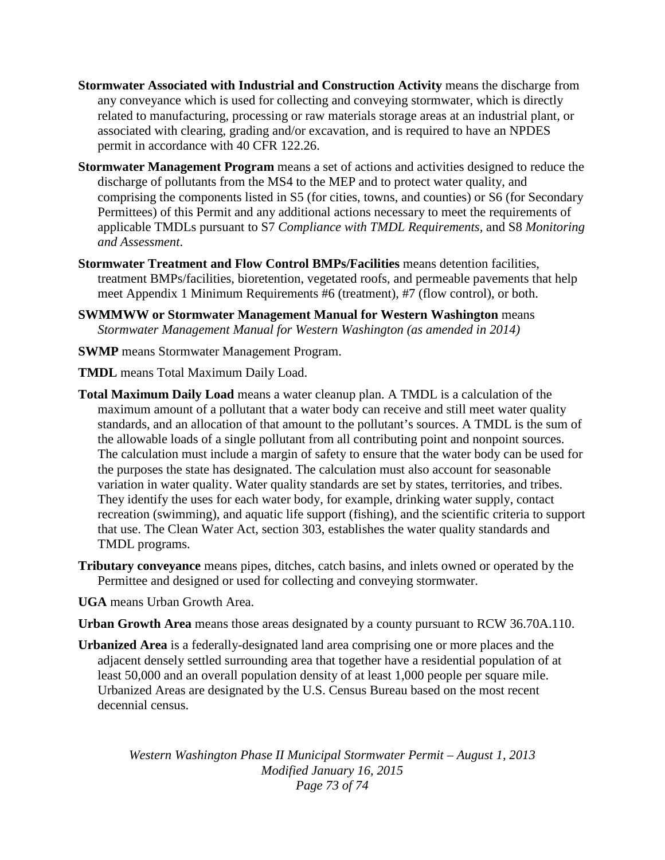- **Stormwater Associated with Industrial and Construction Activity** means the discharge from any conveyance which is used for collecting and conveying stormwater, which is directly related to manufacturing, processing or raw materials storage areas at an industrial plant, or associated with clearing, grading and/or excavation, and is required to have an NPDES permit in accordance with 40 CFR 122.26.
- **Stormwater Management Program** means a set of actions and activities designed to reduce the discharge of pollutants from the MS4 to the MEP and to protect water quality, and comprising the components listed in S5 (for cities, towns, and counties) or S6 (for Secondary Permittees) of this Permit and any additional actions necessary to meet the requirements of applicable TMDLs pursuant to S7 *Compliance with TMDL Requirements,* and S8 *Monitoring and Assessment*.
- **Stormwater Treatment and Flow Control BMPs/Facilities** means detention facilities, treatment BMPs/facilities, bioretention, vegetated roofs, and permeable pavements that help meet Appendix 1 Minimum Requirements #6 (treatment), #7 (flow control), or both.
- **SWMMWW or Stormwater Management Manual for Western Washington** means *Stormwater Management Manual for Western Washington (as amended in 2014)*
- **SWMP** means Stormwater Management Program.
- **TMDL** means Total Maximum Daily Load.
- **Total Maximum Daily Load** means a water cleanup plan. A TMDL is a calculation of the maximum amount of a pollutant that a water body can receive and still meet water quality standards, and an allocation of that amount to the pollutant's sources. A TMDL is the sum of the allowable loads of a single pollutant from all contributing point and nonpoint sources. The calculation must include a margin of safety to ensure that the water body can be used for the purposes the state has designated. The calculation must also account for seasonable variation in water quality. Water quality standards are set by states, territories, and tribes. They identify the uses for each water body, for example, drinking water supply, contact recreation (swimming), and aquatic life support (fishing), and the scientific criteria to support that use. The Clean Water Act, section 303, establishes the water quality standards and TMDL programs.
- **Tributary conveyance** means pipes, ditches, catch basins, and inlets owned or operated by the Permittee and designed or used for collecting and conveying stormwater.
- **UGA** means Urban Growth Area.
- **Urban Growth Area** means those areas designated by a county pursuant to RCW 36.70A.110.
- **Urbanized Area** is a federally-designated land area comprising one or more places and the adjacent densely settled surrounding area that together have a residential population of at least 50,000 and an overall population density of at least 1,000 people per square mile. Urbanized Areas are designated by the U.S. Census Bureau based on the most recent decennial census.

*Western Washington Phase II Municipal Stormwater Permit – August 1, 2013 Modified January 16, 2015 Page 73 of 74*